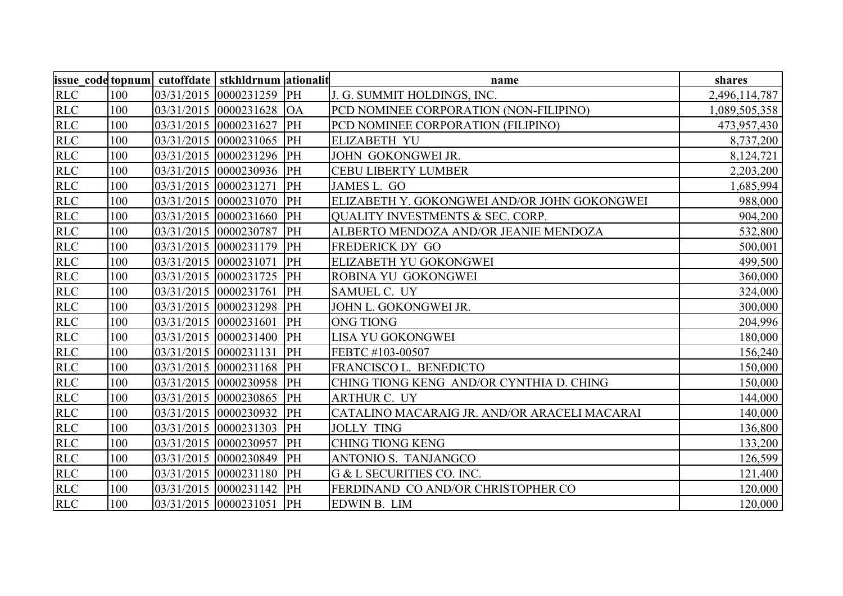|            |     |                            | name                                         | shares        |
|------------|-----|----------------------------|----------------------------------------------|---------------|
| RLC        | 100 | 03/31/2015 0000231259 PH   | J. G. SUMMIT HOLDINGS, INC.                  | 2,496,114,787 |
| <b>RLC</b> | 100 | $03/31/2015$ 0000231628 OA | PCD NOMINEE CORPORATION (NON-FILIPINO)       | 1,089,505,358 |
| <b>RLC</b> | 100 | 03/31/2015 0000231627 PH   | PCD NOMINEE CORPORATION (FILIPINO)           | 473,957,430   |
| <b>RLC</b> | 100 | 03/31/2015 0000231065 PH   | <b>ELIZABETH YU</b>                          | 8,737,200     |
| <b>RLC</b> | 100 | 03/31/2015 0000231296 PH   | JOHN GOKONGWEI JR.                           | 8,124,721     |
| <b>RLC</b> | 100 | 03/31/2015 0000230936 PH   | <b>CEBU LIBERTY LUMBER</b>                   | 2,203,200     |
| <b>RLC</b> | 100 | 03/31/2015 0000231271 PH   | JAMES L. GO                                  | 1,685,994     |
| <b>RLC</b> | 100 | 03/31/2015 0000231070 PH   | ELIZABETH Y. GOKONGWEI AND/OR JOHN GOKONGWEI | 988,000       |
| <b>RLC</b> | 100 | 03/31/2015 0000231660 PH   | <b>QUALITY INVESTMENTS &amp; SEC. CORP.</b>  | 904,200       |
| <b>RLC</b> | 100 | 03/31/2015 0000230787 PH   | ALBERTO MENDOZA AND/OR JEANIE MENDOZA        | 532,800       |
| <b>RLC</b> | 100 | 03/31/2015 0000231179 PH   | FREDERICK DY GO                              | 500,001       |
| <b>RLC</b> | 100 | 03/31/2015 0000231071 PH   | ELIZABETH YU GOKONGWEI                       | 499,500       |
| <b>RLC</b> | 100 | 03/31/2015 0000231725 PH   | ROBINA YU GOKONGWEI                          | 360,000       |
| RLC        | 100 | 03/31/2015 0000231761 PH   | <b>SAMUEL C. UY</b>                          | 324,000       |
| <b>RLC</b> | 100 | 03/31/2015 0000231298 PH   | JOHN L. GOKONGWEI JR.                        | 300,000       |
| <b>RLC</b> | 100 | 03/31/2015 0000231601 PH   | <b>ONG TIONG</b>                             | 204,996       |
| <b>RLC</b> | 100 | 03/31/2015 0000231400 PH   | <b>LISA YU GOKONGWEI</b>                     | 180,000       |
| <b>RLC</b> | 100 | 03/31/2015 0000231131 PH   | FEBTC #103-00507                             | 156,240       |
| <b>RLC</b> | 100 | 03/31/2015 0000231168 PH   | FRANCISCO L. BENEDICTO                       | 150,000       |
| <b>RLC</b> | 100 | 03/31/2015 0000230958 PH   | CHING TIONG KENG AND/OR CYNTHIA D. CHING     | 150,000       |
| <b>RLC</b> | 100 | 03/31/2015 0000230865 PH   | <b>ARTHUR C. UY</b>                          | 144,000       |
| <b>RLC</b> | 100 | 03/31/2015 0000230932 PH   | CATALINO MACARAIG JR. AND/OR ARACELI MACARAI | 140,000       |
| <b>RLC</b> | 100 | 03/31/2015 0000231303 PH   | <b>JOLLY TING</b>                            | 136,800       |
| <b>RLC</b> | 100 | 03/31/2015 0000230957 PH   | <b>CHING TIONG KENG</b>                      | 133,200       |
| <b>RLC</b> | 100 | 03/31/2015 0000230849 PH   | ANTONIO S. TANJANGCO                         | 126,599       |
| <b>RLC</b> | 100 | 03/31/2015 0000231180 PH   | G & L SECURITIES CO. INC.                    | 121,400       |
| <b>RLC</b> | 100 | 03/31/2015 0000231142 PH   | FERDINAND CO AND/OR CHRISTOPHER CO           | 120,000       |
| <b>RLC</b> | 100 | 03/31/2015 0000231051 PH   | <b>EDWIN B. LIM</b>                          | 120,000       |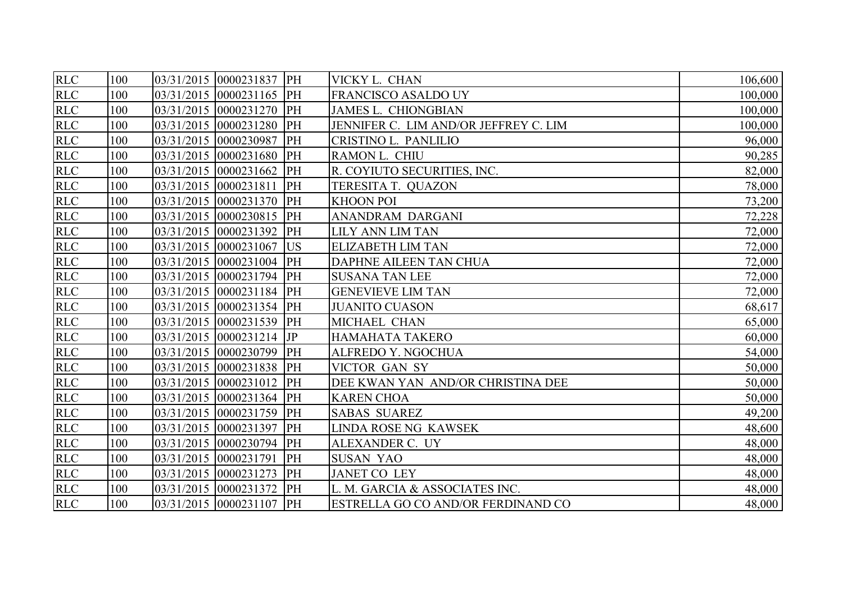| <b>RLC</b> | 100 | 03/31/2015 0000231837 PH | VICKY L. CHAN                         | 106,600 |
|------------|-----|--------------------------|---------------------------------------|---------|
| <b>RLC</b> | 100 | 03/31/2015 0000231165 PH | FRANCISCO ASALDO UY                   | 100,000 |
| <b>RLC</b> | 100 | 03/31/2015 0000231270 PH | <b>JAMES L. CHIONGBIAN</b>            | 100,000 |
| <b>RLC</b> | 100 | 03/31/2015 0000231280 PH | JENNIFER C. LIM AND/OR JEFFREY C. LIM | 100,000 |
| <b>RLC</b> | 100 | 03/31/2015 0000230987 PH | CRISTINO L. PANLILIO                  | 96,000  |
| <b>RLC</b> | 100 | 03/31/2015 0000231680 PH | RAMON L. CHIU                         | 90,285  |
| <b>RLC</b> | 100 | 03/31/2015 0000231662 PH | R. COYIUTO SECURITIES, INC.           | 82,000  |
| <b>RLC</b> | 100 | 03/31/2015 0000231811 PH | TERESITA T. QUAZON                    | 78,000  |
| <b>RLC</b> | 100 | 03/31/2015 0000231370 PH | <b>KHOON POI</b>                      | 73,200  |
| <b>RLC</b> | 100 | 03/31/2015 0000230815 PH | <b>ANANDRAM DARGANI</b>               | 72,228  |
| <b>RLC</b> | 100 | 03/31/2015 0000231392 PH | <b>LILY ANN LIM TAN</b>               | 72,000  |
| <b>RLC</b> | 100 | 03/31/2015 0000231067 US | <b>ELIZABETH LIM TAN</b>              | 72,000  |
| <b>RLC</b> | 100 | 03/31/2015 0000231004 PH | DAPHNE AILEEN TAN CHUA                | 72,000  |
| <b>RLC</b> | 100 | 03/31/2015 0000231794 PH | <b>SUSANA TAN LEE</b>                 | 72,000  |
| RLC        | 100 | 03/31/2015 0000231184 PH | <b>GENEVIEVE LIM TAN</b>              | 72,000  |
| <b>RLC</b> | 100 | 03/31/2015 0000231354 PH | <b>JUANITO CUASON</b>                 | 68,617  |
| RLC        | 100 | 03/31/2015 0000231539 PH | MICHAEL CHAN                          | 65,000  |
| <b>RLC</b> | 100 | 03/31/2015 0000231214 JP | <b>HAMAHATA TAKERO</b>                | 60,000  |
| <b>RLC</b> | 100 | 03/31/2015 0000230799 PH | <b>ALFREDO Y. NGOCHUA</b>             | 54,000  |
| <b>RLC</b> | 100 | 03/31/2015 0000231838 PH | <b>VICTOR GAN SY</b>                  | 50,000  |
| <b>RLC</b> | 100 | 03/31/2015 0000231012 PH | DEE KWAN YAN AND/OR CHRISTINA DEE     | 50,000  |
| <b>RLC</b> | 100 | 03/31/2015 0000231364 PH | <b>KAREN CHOA</b>                     | 50,000  |
| <b>RLC</b> | 100 | 03/31/2015 0000231759 PH | <b>SABAS SUAREZ</b>                   | 49,200  |
| <b>RLC</b> | 100 | 03/31/2015 0000231397 PH | <b>LINDA ROSE NG KAWSEK</b>           | 48,600  |
| <b>RLC</b> | 100 | 03/31/2015 0000230794 PH | ALEXANDER C. UY                       | 48,000  |
| <b>RLC</b> | 100 | 03/31/2015 0000231791 PH | <b>SUSAN YAO</b>                      | 48,000  |
| <b>RLC</b> | 100 | 03/31/2015 0000231273 PH | <b>JANET CO LEY</b>                   | 48,000  |
| <b>RLC</b> | 100 | 03/31/2015 0000231372 PH | L. M. GARCIA & ASSOCIATES INC.        | 48,000  |
| <b>RLC</b> | 100 | 03/31/2015 0000231107 PH | ESTRELLA GO CO AND/OR FERDINAND CO    | 48,000  |
|            |     |                          |                                       |         |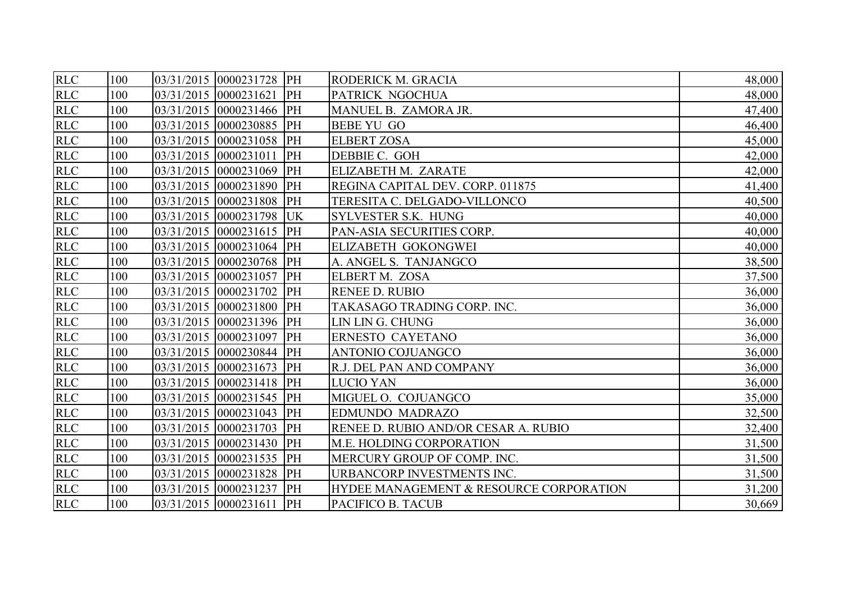| <b>RLC</b> | 100 | 03/31/2015 0000231728 PH | RODERICK M. GRACIA                      | 48,000 |
|------------|-----|--------------------------|-----------------------------------------|--------|
| <b>RLC</b> | 100 | 03/31/2015 0000231621 PH | PATRICK NGOCHUA                         | 48,000 |
| <b>RLC</b> | 100 | 03/31/2015 0000231466 PH | MANUEL B. ZAMORA JR.                    | 47,400 |
| <b>RLC</b> | 100 | 03/31/2015 0000230885 PH | <b>BEBE YU GO</b>                       | 46,400 |
| <b>RLC</b> | 100 | 03/31/2015 0000231058 PH | <b>ELBERT ZOSA</b>                      | 45,000 |
| <b>RLC</b> | 100 | 03/31/2015 0000231011 PH | DEBBIE C. GOH                           | 42,000 |
| <b>RLC</b> | 100 | 03/31/2015 0000231069 PH | ELIZABETH M. ZARATE                     | 42,000 |
| <b>RLC</b> | 100 | 03/31/2015 0000231890 PH | REGINA CAPITAL DEV. CORP. 011875        | 41,400 |
| <b>RLC</b> | 100 | 03/31/2015 0000231808 PH | TERESITA C. DELGADO-VILLONCO            | 40,500 |
| <b>RLC</b> | 100 | 03/31/2015 0000231798 UK | <b>SYLVESTER S.K. HUNG</b>              | 40,000 |
| <b>RLC</b> | 100 | 03/31/2015 0000231615 PH | PAN-ASIA SECURITIES CORP.               | 40,000 |
| <b>RLC</b> | 100 | 03/31/2015 0000231064 PH | ELIZABETH GOKONGWEI                     | 40,000 |
| <b>RLC</b> | 100 | 03/31/2015 0000230768 PH | A. ANGEL S. TANJANGCO                   | 38,500 |
| RLC        | 100 | 03/31/2015 0000231057 PH | ELBERT M. ZOSA                          | 37,500 |
| <b>RLC</b> | 100 | 03/31/2015 0000231702 PH | <b>RENEE D. RUBIO</b>                   | 36,000 |
| <b>RLC</b> | 100 | 03/31/2015 0000231800 PH | TAKASAGO TRADING CORP. INC.             | 36,000 |
| <b>RLC</b> | 100 | 03/31/2015 0000231396 PH | LIN LIN G. CHUNG                        | 36,000 |
| <b>RLC</b> | 100 | 03/31/2015 0000231097 PH | <b>ERNESTO CAYETANO</b>                 | 36,000 |
| <b>RLC</b> | 100 | 03/31/2015 0000230844 PH | ANTONIO COJUANGCO                       | 36,000 |
| <b>RLC</b> | 100 | 03/31/2015 0000231673 PH | R.J. DEL PAN AND COMPANY                | 36,000 |
| RLC        | 100 | 03/31/2015 0000231418 PH | <b>LUCIO YAN</b>                        | 36,000 |
| <b>RLC</b> | 100 | 03/31/2015 0000231545 PH | MIGUEL O. COJUANGCO                     | 35,000 |
| <b>RLC</b> | 100 | 03/31/2015 0000231043 PH | <b>EDMUNDO MADRAZO</b>                  | 32,500 |
| <b>RLC</b> | 100 | 03/31/2015 0000231703 PH | RENEE D. RUBIO AND/OR CESAR A. RUBIO    | 32,400 |
| <b>RLC</b> | 100 | 03/31/2015 0000231430 PH | <b>M.E. HOLDING CORPORATION</b>         | 31,500 |
| <b>RLC</b> | 100 | 03/31/2015 0000231535 PH | MERCURY GROUP OF COMP. INC.             | 31,500 |
| <b>RLC</b> | 100 | 03/31/2015 0000231828 PH | URBANCORP INVESTMENTS INC.              | 31,500 |
| <b>RLC</b> | 100 | 03/31/2015 0000231237 PH | HYDEE MANAGEMENT & RESOURCE CORPORATION | 31,200 |
| <b>RLC</b> | 100 | 03/31/2015 0000231611 PH | PACIFICO B. TACUB                       | 30,669 |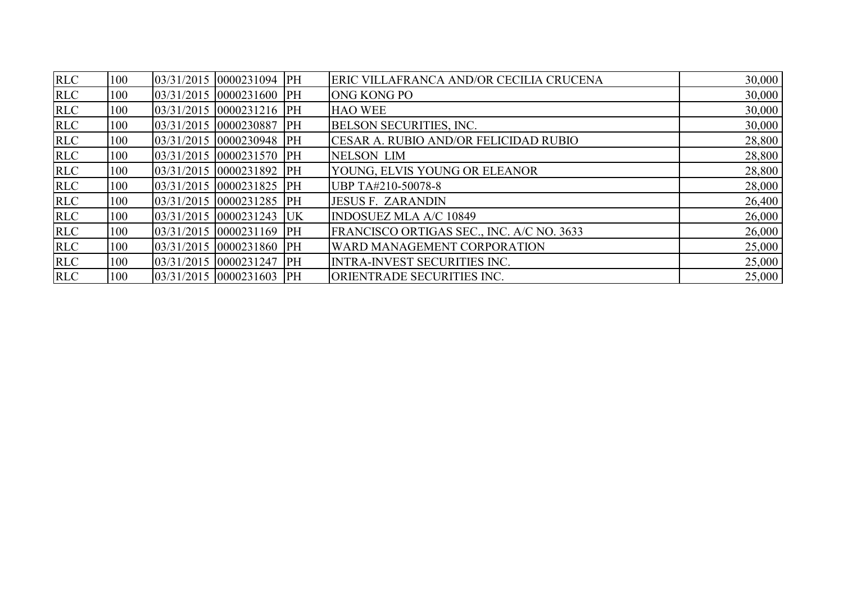| <b>RLC</b> | 100 | 03/31/2015 0000231094 PH   | ERIC VILLAFRANCA AND/OR CECILIA CRUCENA      | 30,000 |
|------------|-----|----------------------------|----------------------------------------------|--------|
| <b>RLC</b> | 100 | 03/31/2015 0000231600 PH   | <b>ONG KONG PO</b>                           | 30,000 |
| <b>RLC</b> | 100 | $03/31/2015$ 0000231216 PH | <b>HAO WEE</b>                               | 30,000 |
| <b>RLC</b> | 100 | 03/31/2015 0000230887 PH   | <b>BELSON SECURITIES, INC.</b>               | 30,000 |
| <b>RLC</b> | 100 | 03/31/2015 0000230948 PH   | <b>CESAR A. RUBIO AND/OR FELICIDAD RUBIO</b> | 28,800 |
| <b>RLC</b> | 100 | $03/31/2015$ 0000231570 PH | <b>NELSON LIM</b>                            | 28,800 |
| <b>RLC</b> | 100 | $03/31/2015$ 0000231892 PH | YOUNG, ELVIS YOUNG OR ELEANOR                | 28,800 |
| <b>RLC</b> | 100 | $03/31/2015$ 0000231825 PH | UBP TA#210-50078-8                           | 28,000 |
| <b>RLC</b> | 100 | $03/31/2015$ 0000231285 PH | <b>JESUS F. ZARANDIN</b>                     | 26,400 |
| <b>RLC</b> | 100 | $03/31/2015$ 0000231243 UK | <b>INDOSUEZ MLA A/C 10849</b>                | 26,000 |
| <b>RLC</b> | 100 | $03/31/2015$ 0000231169 PH | FRANCISCO ORTIGAS SEC., INC. A/C NO. 3633    | 26,000 |
| <b>RLC</b> | 100 | 03/31/2015 0000231860 PH   | <b>WARD MANAGEMENT CORPORATION</b>           | 25,000 |
| <b>RLC</b> | 100 | $03/31/2015$ 0000231247 PH | <b>INTRA-INVEST SECURITIES INC.</b>          | 25,000 |
| <b>RLC</b> | 100 | 03/31/2015 0000231603 PH   | ORIENTRADE SECURITIES INC.                   | 25,000 |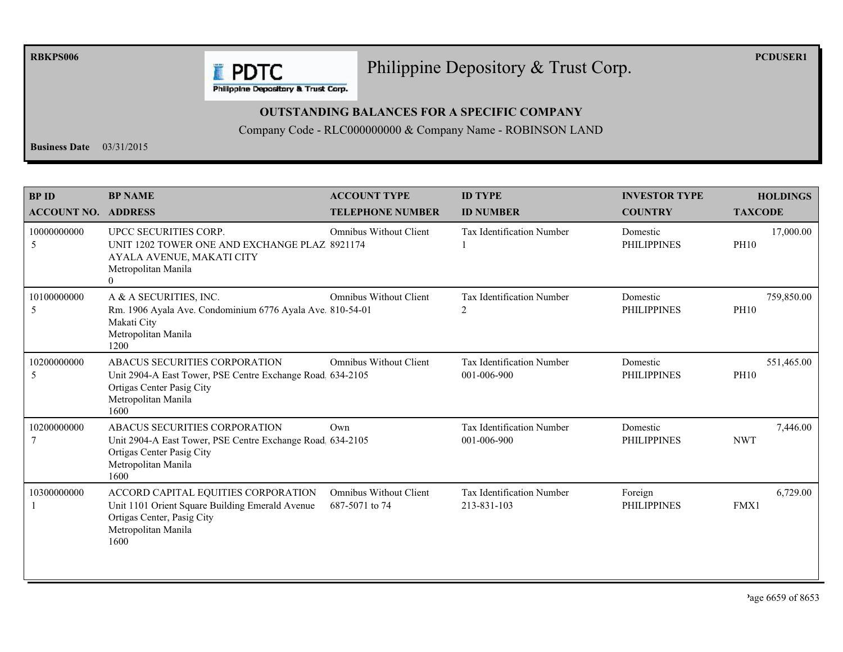**RBKPS006** 

## Philippine Depository & Trust Corp.

**PCDUSER1** 

**E** PDTC Philippine Depository & Trust Corp.

## **OUTSTANDING BALANCES FOR A SPECIFIC COMPANY**

Company Code - RLC000000000 & Company Name - ROBINSON LAND

**Business Date**  $03/31/2015$ 

| <b>BPID</b><br><b>ACCOUNT NO.</b> | <b>BP NAME</b><br><b>ADDRESS</b>                                                                                                                        | <b>ACCOUNT TYPE</b><br><b>TELEPHONE NUMBER</b>  | <b>ID TYPE</b><br><b>ID NUMBER</b>              | <b>INVESTOR TYPE</b><br><b>COUNTRY</b> | <b>HOLDINGS</b><br><b>TAXCODE</b> |
|-----------------------------------|---------------------------------------------------------------------------------------------------------------------------------------------------------|-------------------------------------------------|-------------------------------------------------|----------------------------------------|-----------------------------------|
| 10000000000<br>5                  | UPCC SECURITIES CORP.<br>UNIT 1202 TOWER ONE AND EXCHANGE PLAZ 8921174<br>AYALA AVENUE, MAKATI CITY<br>Metropolitan Manila<br>$\theta$                  | <b>Omnibus Without Client</b>                   | <b>Tax Identification Number</b>                | Domestic<br><b>PHILIPPINES</b>         | 17,000.00<br><b>PH10</b>          |
| 10100000000<br>5                  | A & A SECURITIES, INC.<br>Rm. 1906 Ayala Ave. Condominium 6776 Ayala Ave. 810-54-01<br>Makati City<br>Metropolitan Manila<br>1200                       | <b>Omnibus Without Client</b>                   | <b>Tax Identification Number</b><br>2           | Domestic<br><b>PHILIPPINES</b>         | 759,850.00<br><b>PH10</b>         |
| 10200000000<br>5                  | ABACUS SECURITIES CORPORATION<br>Unit 2904-A East Tower, PSE Centre Exchange Road. 634-2105<br>Ortigas Center Pasig City<br>Metropolitan Manila<br>1600 | <b>Omnibus Without Client</b>                   | Tax Identification Number<br>001-006-900        | Domestic<br><b>PHILIPPINES</b>         | 551,465.00<br><b>PH10</b>         |
| 10200000000                       | ABACUS SECURITIES CORPORATION<br>Unit 2904-A East Tower, PSE Centre Exchange Road 634-2105<br>Ortigas Center Pasig City<br>Metropolitan Manila<br>1600  | Own                                             | <b>Tax Identification Number</b><br>001-006-900 | Domestic<br><b>PHILIPPINES</b>         | 7,446.00<br><b>NWT</b>            |
| 10300000000                       | ACCORD CAPITAL EQUITIES CORPORATION<br>Unit 1101 Orient Square Building Emerald Avenue<br>Ortigas Center, Pasig City<br>Metropolitan Manila<br>1600     | <b>Omnibus Without Client</b><br>687-5071 to 74 | <b>Tax Identification Number</b><br>213-831-103 | Foreign<br><b>PHILIPPINES</b>          | 6,729.00<br>FMX1                  |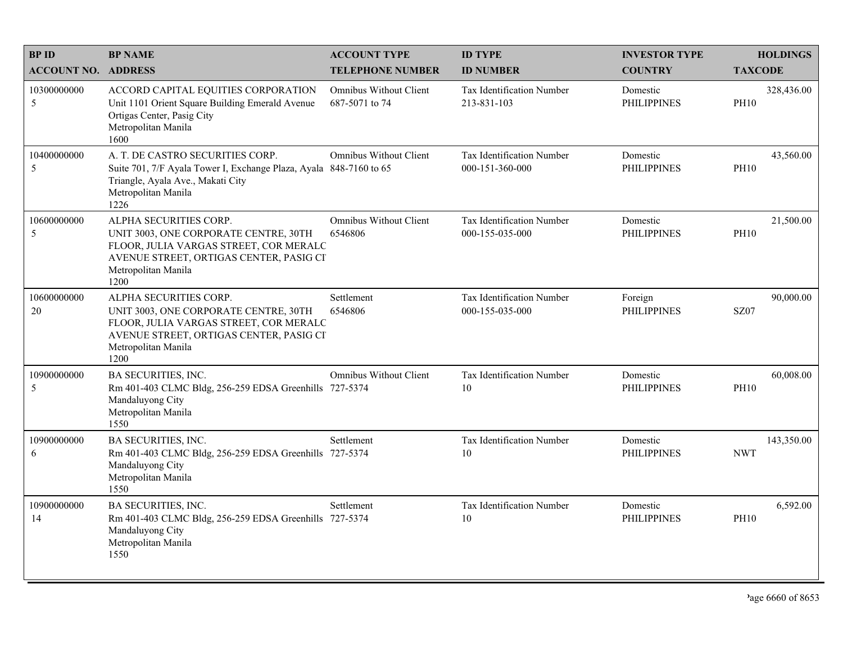| <b>BPID</b>                | <b>BP NAME</b>                                                                                                                                                                      | <b>ACCOUNT TYPE</b>                             | <b>ID TYPE</b>                                      | <b>INVESTOR TYPE</b>           | <b>HOLDINGS</b>           |
|----------------------------|-------------------------------------------------------------------------------------------------------------------------------------------------------------------------------------|-------------------------------------------------|-----------------------------------------------------|--------------------------------|---------------------------|
| <b>ACCOUNT NO. ADDRESS</b> |                                                                                                                                                                                     | <b>TELEPHONE NUMBER</b>                         | <b>ID NUMBER</b>                                    | <b>COUNTRY</b>                 | <b>TAXCODE</b>            |
| 10300000000<br>5           | ACCORD CAPITAL EQUITIES CORPORATION<br>Unit 1101 Orient Square Building Emerald Avenue<br>Ortigas Center, Pasig City<br>Metropolitan Manila<br>1600                                 | <b>Omnibus Without Client</b><br>687-5071 to 74 | <b>Tax Identification Number</b><br>213-831-103     | Domestic<br><b>PHILIPPINES</b> | 328,436.00<br><b>PH10</b> |
| 10400000000<br>5           | A. T. DE CASTRO SECURITIES CORP.<br>Suite 701, 7/F Ayala Tower I, Exchange Plaza, Ayala 848-7160 to 65<br>Triangle, Ayala Ave., Makati City<br>Metropolitan Manila<br>1226          | <b>Omnibus Without Client</b>                   | <b>Tax Identification Number</b><br>000-151-360-000 | Domestic<br><b>PHILIPPINES</b> | 43,560.00<br><b>PH10</b>  |
| 10600000000<br>5           | ALPHA SECURITIES CORP.<br>UNIT 3003, ONE CORPORATE CENTRE, 30TH<br>FLOOR, JULIA VARGAS STREET, COR MERALC<br>AVENUE STREET, ORTIGAS CENTER, PASIG CI<br>Metropolitan Manila<br>1200 | <b>Omnibus Without Client</b><br>6546806        | Tax Identification Number<br>000-155-035-000        | Domestic<br><b>PHILIPPINES</b> | 21,500.00<br><b>PH10</b>  |
| 10600000000<br>20          | ALPHA SECURITIES CORP.<br>UNIT 3003, ONE CORPORATE CENTRE, 30TH<br>FLOOR, JULIA VARGAS STREET, COR MERALC<br>AVENUE STREET, ORTIGAS CENTER, PASIG CI<br>Metropolitan Manila<br>1200 | Settlement<br>6546806                           | Tax Identification Number<br>000-155-035-000        | Foreign<br><b>PHILIPPINES</b>  | 90,000.00<br><b>SZ07</b>  |
| 10900000000<br>5           | <b>BA SECURITIES, INC.</b><br>Rm 401-403 CLMC Bldg, 256-259 EDSA Greenhills 727-5374<br>Mandaluyong City<br>Metropolitan Manila<br>1550                                             | <b>Omnibus Without Client</b>                   | Tax Identification Number<br>10                     | Domestic<br><b>PHILIPPINES</b> | 60,008.00<br><b>PH10</b>  |
| 10900000000<br>6           | BA SECURITIES, INC.<br>Rm 401-403 CLMC Bldg, 256-259 EDSA Greenhills 727-5374<br>Mandaluyong City<br>Metropolitan Manila<br>1550                                                    | Settlement                                      | Tax Identification Number<br>10                     | Domestic<br><b>PHILIPPINES</b> | 143,350.00<br><b>NWT</b>  |
| 10900000000<br>14          | <b>BA SECURITIES, INC.</b><br>Rm 401-403 CLMC Bldg, 256-259 EDSA Greenhills 727-5374<br>Mandaluyong City<br>Metropolitan Manila<br>1550                                             | Settlement                                      | Tax Identification Number<br>10                     | Domestic<br><b>PHILIPPINES</b> | 6,592.00<br><b>PH10</b>   |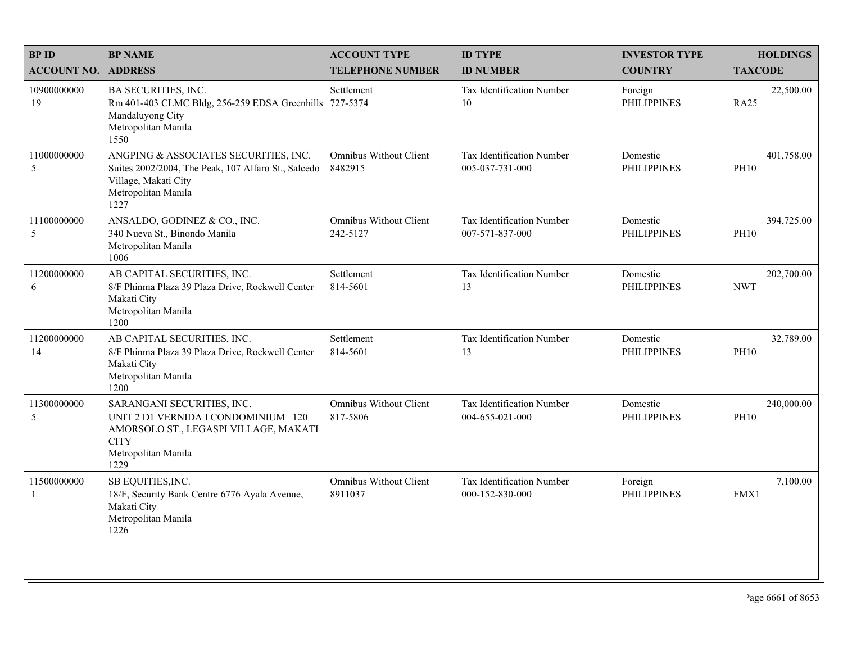| <b>BPID</b>                | <b>BP NAME</b>                                                                                                                                           | <b>ACCOUNT TYPE</b>                       | <b>ID TYPE</b>                                      | <b>INVESTOR TYPE</b>           | <b>HOLDINGS</b>           |
|----------------------------|----------------------------------------------------------------------------------------------------------------------------------------------------------|-------------------------------------------|-----------------------------------------------------|--------------------------------|---------------------------|
| <b>ACCOUNT NO. ADDRESS</b> |                                                                                                                                                          | <b>TELEPHONE NUMBER</b>                   | <b>ID NUMBER</b>                                    | <b>COUNTRY</b>                 | <b>TAXCODE</b>            |
| 10900000000<br>19          | BA SECURITIES, INC.<br>Rm 401-403 CLMC Bldg, 256-259 EDSA Greenhills 727-5374<br>Mandaluyong City<br>Metropolitan Manila<br>1550                         | Settlement                                | <b>Tax Identification Number</b><br>10              | Foreign<br><b>PHILIPPINES</b>  | 22,500.00<br><b>RA25</b>  |
| 11000000000<br>5           | ANGPING & ASSOCIATES SECURITIES, INC.<br>Suites 2002/2004, The Peak, 107 Alfaro St., Salcedo<br>Village, Makati City<br>Metropolitan Manila<br>1227      | <b>Omnibus Without Client</b><br>8482915  | Tax Identification Number<br>005-037-731-000        | Domestic<br><b>PHILIPPINES</b> | 401,758.00<br><b>PH10</b> |
| 11100000000<br>5           | ANSALDO, GODINEZ & CO., INC.<br>340 Nueva St., Binondo Manila<br>Metropolitan Manila<br>1006                                                             | <b>Omnibus Without Client</b><br>242-5127 | Tax Identification Number<br>007-571-837-000        | Domestic<br><b>PHILIPPINES</b> | 394,725.00<br><b>PH10</b> |
| 11200000000<br>6           | AB CAPITAL SECURITIES, INC.<br>8/F Phinma Plaza 39 Plaza Drive, Rockwell Center<br>Makati City<br>Metropolitan Manila<br>1200                            | Settlement<br>814-5601                    | Tax Identification Number<br>13                     | Domestic<br><b>PHILIPPINES</b> | 202,700.00<br><b>NWT</b>  |
| 11200000000<br>14          | AB CAPITAL SECURITIES, INC.<br>8/F Phinma Plaza 39 Plaza Drive, Rockwell Center<br>Makati City<br>Metropolitan Manila<br>1200                            | Settlement<br>814-5601                    | Tax Identification Number<br>13                     | Domestic<br><b>PHILIPPINES</b> | 32,789.00<br><b>PH10</b>  |
| 11300000000<br>5           | SARANGANI SECURITIES, INC.<br>UNIT 2 D1 VERNIDA I CONDOMINIUM 120<br>AMORSOLO ST., LEGASPI VILLAGE, MAKATI<br><b>CITY</b><br>Metropolitan Manila<br>1229 | Omnibus Without Client<br>817-5806        | Tax Identification Number<br>004-655-021-000        | Domestic<br><b>PHILIPPINES</b> | 240,000.00<br><b>PH10</b> |
| 11500000000<br>1           | SB EQUITIES, INC.<br>18/F, Security Bank Centre 6776 Ayala Avenue,<br>Makati City<br>Metropolitan Manila<br>1226                                         | <b>Omnibus Without Client</b><br>8911037  | <b>Tax Identification Number</b><br>000-152-830-000 | Foreign<br><b>PHILIPPINES</b>  | 7,100.00<br>FMX1          |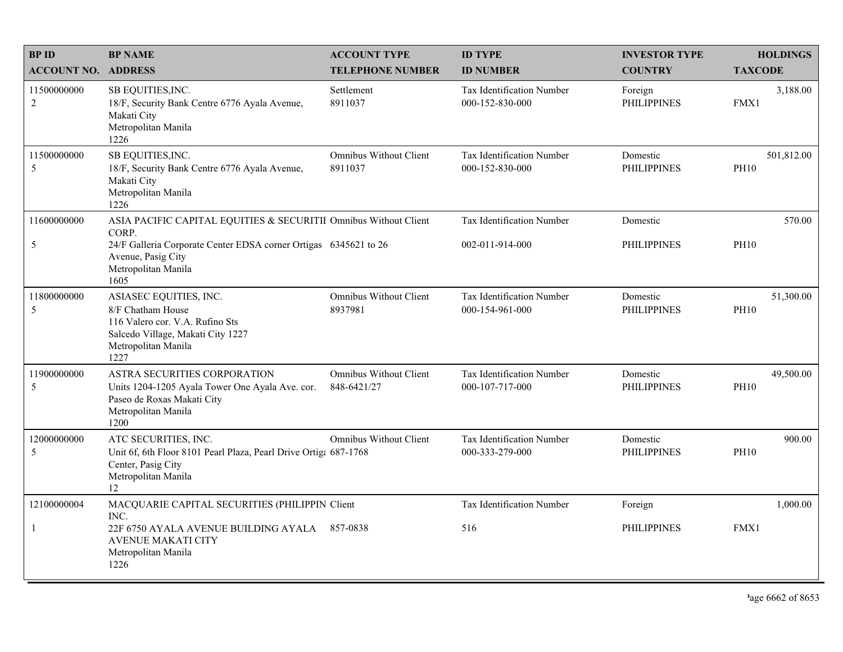| <b>BPID</b>                | <b>BP NAME</b>                                                                                                                                     | <b>ACCOUNT TYPE</b>                          | <b>ID TYPE</b>                               | <b>INVESTOR TYPE</b>           | <b>HOLDINGS</b>           |
|----------------------------|----------------------------------------------------------------------------------------------------------------------------------------------------|----------------------------------------------|----------------------------------------------|--------------------------------|---------------------------|
| <b>ACCOUNT NO. ADDRESS</b> |                                                                                                                                                    | <b>TELEPHONE NUMBER</b>                      | <b>ID NUMBER</b>                             | <b>COUNTRY</b>                 | <b>TAXCODE</b>            |
| 11500000000<br>2           | SB EQUITIES, INC.<br>18/F, Security Bank Centre 6776 Ayala Avenue,<br>Makati City<br>Metropolitan Manila<br>1226                                   | Settlement<br>8911037                        | Tax Identification Number<br>000-152-830-000 | Foreign<br><b>PHILIPPINES</b>  | 3,188.00<br>FMX1          |
| 11500000000<br>5           | SB EQUITIES, INC.<br>18/F, Security Bank Centre 6776 Ayala Avenue,<br>Makati City<br>Metropolitan Manila<br>1226                                   | <b>Omnibus Without Client</b><br>8911037     | Tax Identification Number<br>000-152-830-000 | Domestic<br><b>PHILIPPINES</b> | 501,812.00<br><b>PH10</b> |
| 11600000000                | ASIA PACIFIC CAPITAL EQUITIES & SECURITII Omnibus Without Client<br>CORP.                                                                          |                                              | Tax Identification Number                    | Domestic                       | 570.00                    |
| $\mathfrak{S}$             | 24/F Galleria Corporate Center EDSA corner Ortigas 6345621 to 26<br>Avenue, Pasig City<br>Metropolitan Manila<br>1605                              |                                              | 002-011-914-000                              | <b>PHILIPPINES</b>             | <b>PH10</b>               |
| 11800000000<br>5           | ASIASEC EQUITIES, INC.<br>8/F Chatham House<br>116 Valero cor. V.A. Rufino Sts<br>Salcedo Village, Makati City 1227<br>Metropolitan Manila<br>1227 | Omnibus Without Client<br>8937981            | Tax Identification Number<br>000-154-961-000 | Domestic<br><b>PHILIPPINES</b> | 51,300.00<br><b>PH10</b>  |
| 11900000000<br>5           | ASTRA SECURITIES CORPORATION<br>Units 1204-1205 Ayala Tower One Ayala Ave. cor.<br>Paseo de Roxas Makati City<br>Metropolitan Manila<br>1200       | <b>Omnibus Without Client</b><br>848-6421/27 | Tax Identification Number<br>000-107-717-000 | Domestic<br><b>PHILIPPINES</b> | 49,500.00<br><b>PH10</b>  |
| 12000000000<br>5           | ATC SECURITIES, INC.<br>Unit 6f, 6th Floor 8101 Pearl Plaza, Pearl Drive Ortiga 687-1768<br>Center, Pasig City<br>Metropolitan Manila<br>12        | <b>Omnibus Without Client</b>                | Tax Identification Number<br>000-333-279-000 | Domestic<br><b>PHILIPPINES</b> | 900.00<br><b>PH10</b>     |
| 12100000004                | MACQUARIE CAPITAL SECURITIES (PHILIPPIN Client<br>INC.                                                                                             |                                              | Tax Identification Number                    | Foreign                        | 1,000.00                  |
| $\mathbf{1}$               | 22F 6750 AYALA AVENUE BUILDING AYALA 857-0838<br><b>AVENUE MAKATI CITY</b><br>Metropolitan Manila<br>1226                                          |                                              | 516                                          | <b>PHILIPPINES</b>             | FMX1                      |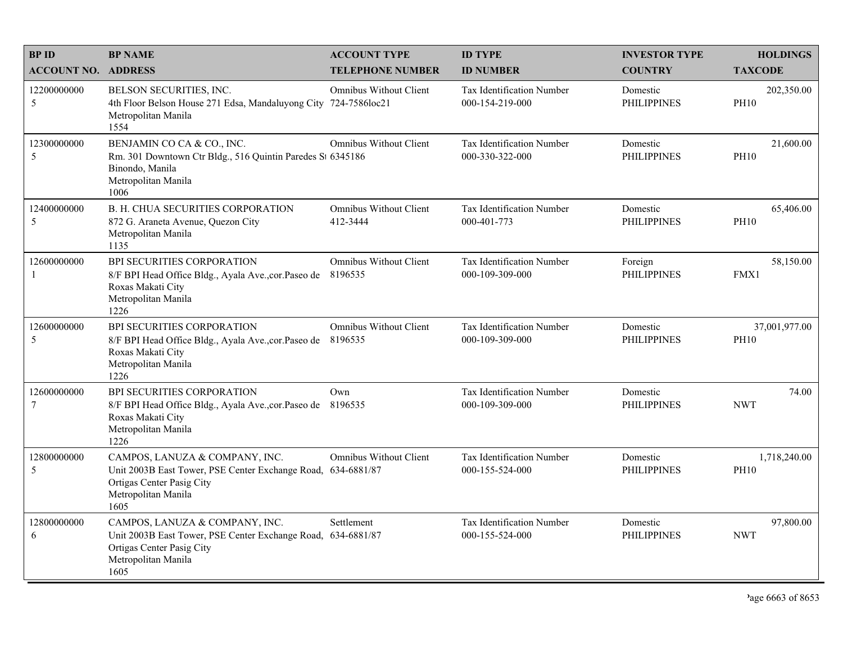| <b>BPID</b>                | <b>BP NAME</b>                                                                                                                                             | <b>ACCOUNT TYPE</b>                       | <b>ID TYPE</b>                                      | <b>INVESTOR TYPE</b>           | <b>HOLDINGS</b>              |
|----------------------------|------------------------------------------------------------------------------------------------------------------------------------------------------------|-------------------------------------------|-----------------------------------------------------|--------------------------------|------------------------------|
| <b>ACCOUNT NO. ADDRESS</b> |                                                                                                                                                            | <b>TELEPHONE NUMBER</b>                   | <b>ID NUMBER</b>                                    | <b>COUNTRY</b>                 | <b>TAXCODE</b>               |
| 12200000000<br>5           | BELSON SECURITIES, INC.<br>4th Floor Belson House 271 Edsa, Mandaluyong City 724-7586loc21<br>Metropolitan Manila<br>1554                                  | <b>Omnibus Without Client</b>             | Tax Identification Number<br>000-154-219-000        | Domestic<br><b>PHILIPPINES</b> | 202,350.00<br><b>PH10</b>    |
| 12300000000<br>5           | BENJAMIN CO CA & CO., INC.<br>Rm. 301 Downtown Ctr Bldg., 516 Quintin Paredes St 6345186<br>Binondo, Manila<br>Metropolitan Manila<br>1006                 | <b>Omnibus Without Client</b>             | Tax Identification Number<br>000-330-322-000        | Domestic<br><b>PHILIPPINES</b> | 21,600.00<br><b>PH10</b>     |
| 12400000000<br>5           | B. H. CHUA SECURITIES CORPORATION<br>872 G. Araneta Avenue, Quezon City<br>Metropolitan Manila<br>1135                                                     | <b>Omnibus Without Client</b><br>412-3444 | Tax Identification Number<br>000-401-773            | Domestic<br><b>PHILIPPINES</b> | 65,406.00<br><b>PH10</b>     |
| 12600000000<br>-1          | BPI SECURITIES CORPORATION<br>8/F BPI Head Office Bldg., Ayala Ave., cor. Paseo de<br>Roxas Makati City<br>Metropolitan Manila<br>1226                     | <b>Omnibus Without Client</b><br>8196535  | Tax Identification Number<br>000-109-309-000        | Foreign<br><b>PHILIPPINES</b>  | 58,150.00<br>FMX1            |
| 12600000000<br>5           | BPI SECURITIES CORPORATION<br>8/F BPI Head Office Bldg., Ayala Ave., cor. Paseo de 8196535<br>Roxas Makati City<br>Metropolitan Manila<br>1226             | <b>Omnibus Without Client</b>             | Tax Identification Number<br>000-109-309-000        | Domestic<br><b>PHILIPPINES</b> | 37,001,977.00<br><b>PH10</b> |
| 12600000000<br>$\tau$      | BPI SECURITIES CORPORATION<br>8/F BPI Head Office Bldg., Ayala Ave., cor. Paseo de<br>Roxas Makati City<br>Metropolitan Manila<br>1226                     | Own<br>8196535                            | Tax Identification Number<br>000-109-309-000        | Domestic<br><b>PHILIPPINES</b> | 74.00<br><b>NWT</b>          |
| 12800000000<br>5           | CAMPOS, LANUZA & COMPANY, INC.<br>Unit 2003B East Tower, PSE Center Exchange Road, 634-6881/87<br>Ortigas Center Pasig City<br>Metropolitan Manila<br>1605 | <b>Omnibus Without Client</b>             | <b>Tax Identification Number</b><br>000-155-524-000 | Domestic<br><b>PHILIPPINES</b> | 1,718,240.00<br><b>PH10</b>  |
| 12800000000<br>6           | CAMPOS, LANUZA & COMPANY, INC.<br>Unit 2003B East Tower, PSE Center Exchange Road, 634-6881/87<br>Ortigas Center Pasig City<br>Metropolitan Manila<br>1605 | Settlement                                | Tax Identification Number<br>000-155-524-000        | Domestic<br><b>PHILIPPINES</b> | 97,800.00<br><b>NWT</b>      |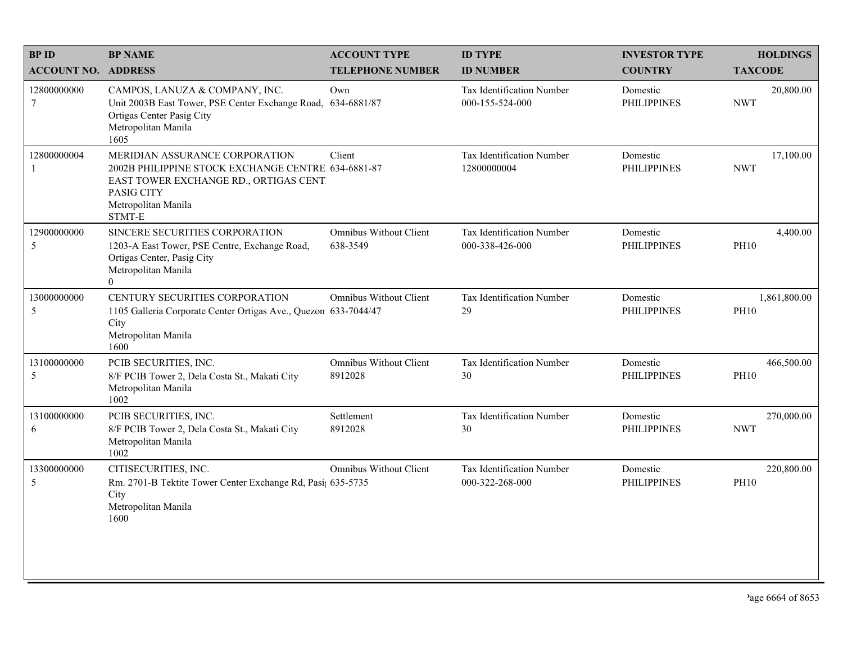| <b>BPID</b>                     | <b>BP NAME</b>                                                                                                                                                                                | <b>ACCOUNT TYPE</b>                | <b>ID TYPE</b>                                      | <b>INVESTOR TYPE</b>           | <b>HOLDINGS</b>             |
|---------------------------------|-----------------------------------------------------------------------------------------------------------------------------------------------------------------------------------------------|------------------------------------|-----------------------------------------------------|--------------------------------|-----------------------------|
| <b>ACCOUNT NO. ADDRESS</b>      |                                                                                                                                                                                               | <b>TELEPHONE NUMBER</b>            | <b>ID NUMBER</b>                                    | <b>COUNTRY</b>                 | <b>TAXCODE</b>              |
| 12800000000<br>$\boldsymbol{7}$ | CAMPOS, LANUZA & COMPANY, INC.<br>Unit 2003B East Tower, PSE Center Exchange Road,<br>Ortigas Center Pasig City<br>Metropolitan Manila<br>1605                                                | Own<br>634-6881/87                 | <b>Tax Identification Number</b><br>000-155-524-000 | Domestic<br><b>PHILIPPINES</b> | 20,800.00<br><b>NWT</b>     |
| 12800000004<br>1                | MERIDIAN ASSURANCE CORPORATION<br>2002B PHILIPPINE STOCK EXCHANGE CENTRE 634-6881-87<br>EAST TOWER EXCHANGE RD., ORTIGAS CENT<br>PASIG CITY<br>Metropolitan Manila<br>$\operatorname{STMT-E}$ | Client                             | Tax Identification Number<br>12800000004            | Domestic<br><b>PHILIPPINES</b> | 17,100.00<br><b>NWT</b>     |
| 12900000000<br>5                | SINCERE SECURITIES CORPORATION<br>1203-A East Tower, PSE Centre, Exchange Road,<br>Ortigas Center, Pasig City<br>Metropolitan Manila<br>$\theta$                                              | Omnibus Without Client<br>638-3549 | Tax Identification Number<br>000-338-426-000        | Domestic<br><b>PHILIPPINES</b> | 4,400.00<br><b>PH10</b>     |
| 13000000000<br>5                | CENTURY SECURITIES CORPORATION<br>1105 Galleria Corporate Center Ortigas Ave., Quezon 633-7044/47<br>City<br>Metropolitan Manila<br>1600                                                      | <b>Omnibus Without Client</b>      | Tax Identification Number<br>29                     | Domestic<br><b>PHILIPPINES</b> | 1,861,800.00<br><b>PH10</b> |
| 13100000000<br>5                | PCIB SECURITIES, INC.<br>8/F PCIB Tower 2, Dela Costa St., Makati City<br>Metropolitan Manila<br>1002                                                                                         | Omnibus Without Client<br>8912028  | Tax Identification Number<br>30                     | Domestic<br><b>PHILIPPINES</b> | 466,500.00<br><b>PH10</b>   |
| 13100000000<br>6                | PCIB SECURITIES, INC.<br>8/F PCIB Tower 2, Dela Costa St., Makati City<br>Metropolitan Manila<br>1002                                                                                         | Settlement<br>8912028              | Tax Identification Number<br>30                     | Domestic<br><b>PHILIPPINES</b> | 270,000.00<br><b>NWT</b>    |
| 13300000000<br>5                | CITISECURITIES, INC.<br>Rm. 2701-B Tektite Tower Center Exchange Rd, Pasi; 635-5735<br>City<br>Metropolitan Manila<br>1600                                                                    | Omnibus Without Client             | Tax Identification Number<br>000-322-268-000        | Domestic<br><b>PHILIPPINES</b> | 220,800.00<br><b>PH10</b>   |
|                                 |                                                                                                                                                                                               |                                    |                                                     |                                |                             |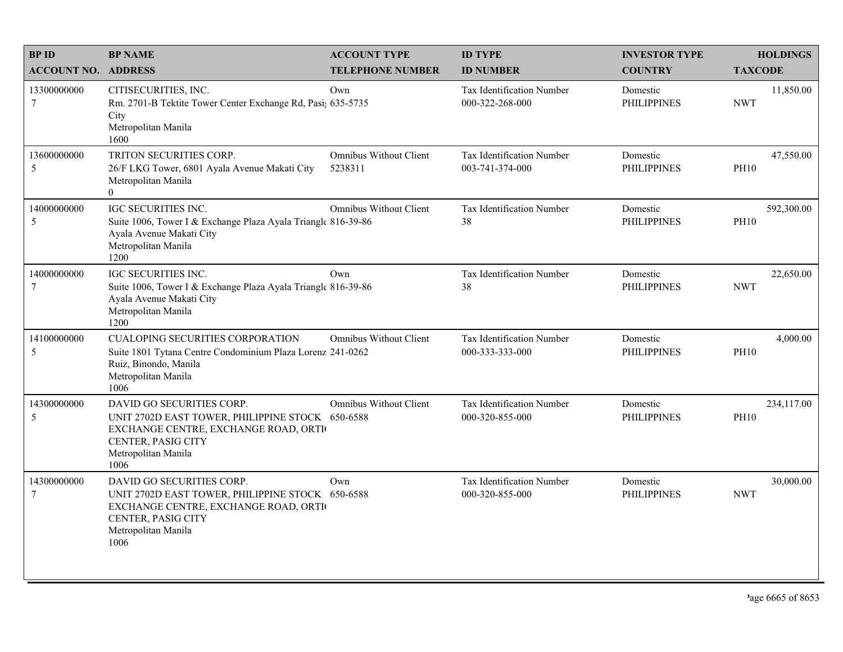| <b>BPID</b>                | <b>BP NAME</b>                                                                                                                                                             | <b>ACCOUNT TYPE</b>               | <b>ID TYPE</b>                                      | <b>INVESTOR TYPE</b>           | <b>HOLDINGS</b>           |
|----------------------------|----------------------------------------------------------------------------------------------------------------------------------------------------------------------------|-----------------------------------|-----------------------------------------------------|--------------------------------|---------------------------|
| <b>ACCOUNT NO. ADDRESS</b> |                                                                                                                                                                            | <b>TELEPHONE NUMBER</b>           | <b>ID NUMBER</b>                                    | <b>COUNTRY</b>                 | <b>TAXCODE</b>            |
| 13300000000<br>$\tau$      | CITISECURITIES, INC.<br>Rm. 2701-B Tektite Tower Center Exchange Rd, Pasi; 635-5735<br>City<br>Metropolitan Manila<br>1600                                                 | Own                               | <b>Tax Identification Number</b><br>000-322-268-000 | Domestic<br><b>PHILIPPINES</b> | 11,850.00<br><b>NWT</b>   |
| 13600000000<br>5           | TRITON SECURITIES CORP.<br>26/F LKG Tower, 6801 Ayala Avenue Makati City<br>Metropolitan Manila<br>$\theta$                                                                | Omnibus Without Client<br>5238311 | Tax Identification Number<br>003-741-374-000        | Domestic<br><b>PHILIPPINES</b> | 47,550.00<br><b>PH10</b>  |
| 14000000000<br>5           | IGC SECURITIES INC.<br>Suite 1006, Tower I & Exchange Plaza Ayala Triangle 816-39-86<br>Ayala Avenue Makati City<br>Metropolitan Manila<br>1200                            | <b>Omnibus Without Client</b>     | Tax Identification Number<br>38                     | Domestic<br><b>PHILIPPINES</b> | 592,300.00<br><b>PH10</b> |
| 14000000000<br>$\tau$      | <b>IGC SECURITIES INC.</b><br>Suite 1006, Tower I & Exchange Plaza Ayala Triangle 816-39-86<br>Ayala Avenue Makati City<br>Metropolitan Manila<br>1200                     | Own                               | Tax Identification Number<br>38                     | Domestic<br><b>PHILIPPINES</b> | 22,650.00<br><b>NWT</b>   |
| 14100000000<br>5           | <b>CUALOPING SECURITIES CORPORATION</b><br>Suite 1801 Tytana Centre Condominium Plaza Lorenz 241-0262<br>Ruiz, Binondo, Manila<br>Metropolitan Manila<br>1006              | Omnibus Without Client            | Tax Identification Number<br>000-333-333-000        | Domestic<br><b>PHILIPPINES</b> | 4,000.00<br><b>PH10</b>   |
| 14300000000<br>5           | DAVID GO SECURITIES CORP.<br>UNIT 2702D EAST TOWER, PHILIPPINE STOCK 650-6588<br>EXCHANGE CENTRE, EXCHANGE ROAD, ORTI<br>CENTER, PASIG CITY<br>Metropolitan Manila<br>1006 | <b>Omnibus Without Client</b>     | Tax Identification Number<br>000-320-855-000        | Domestic<br><b>PHILIPPINES</b> | 234,117.00<br><b>PH10</b> |
| 14300000000<br>$\tau$      | DAVID GO SECURITIES CORP.<br>UNIT 2702D EAST TOWER, PHILIPPINE STOCK 650-6588<br>EXCHANGE CENTRE, EXCHANGE ROAD, ORTI<br>CENTER, PASIG CITY<br>Metropolitan Manila<br>1006 | Own                               | Tax Identification Number<br>000-320-855-000        | Domestic<br><b>PHILIPPINES</b> | 30,000.00<br><b>NWT</b>   |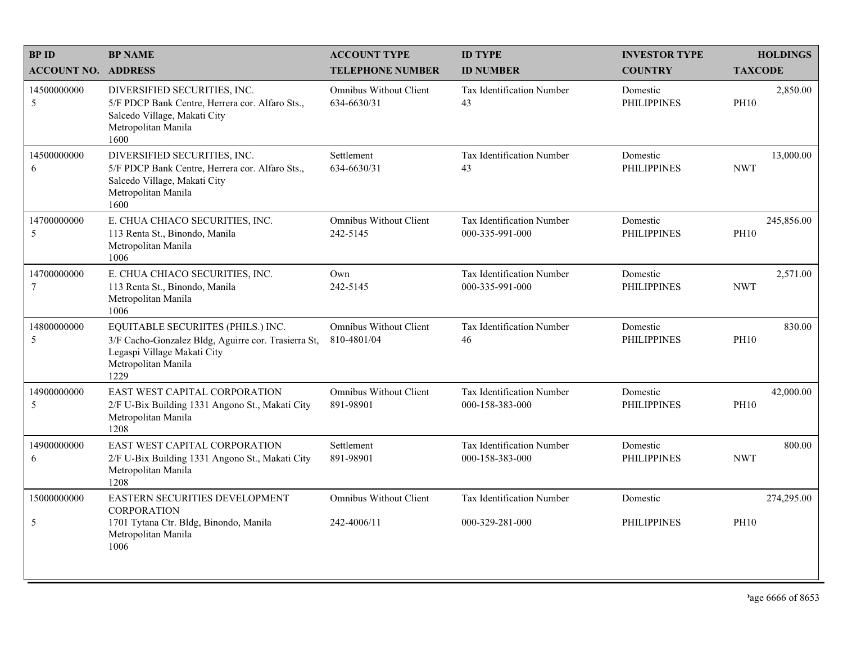| <b>BPID</b>                | <b>BP NAME</b>                                                                                                                                          | <b>ACCOUNT TYPE</b>                          | <b>ID TYPE</b>                               | <b>INVESTOR TYPE</b>           | <b>HOLDINGS</b>           |
|----------------------------|---------------------------------------------------------------------------------------------------------------------------------------------------------|----------------------------------------------|----------------------------------------------|--------------------------------|---------------------------|
| <b>ACCOUNT NO. ADDRESS</b> |                                                                                                                                                         | <b>TELEPHONE NUMBER</b>                      | <b>ID NUMBER</b>                             | <b>COUNTRY</b>                 | <b>TAXCODE</b>            |
| 14500000000<br>5           | DIVERSIFIED SECURITIES, INC.<br>5/F PDCP Bank Centre, Herrera cor. Alfaro Sts.,<br>Salcedo Village, Makati City<br>Metropolitan Manila<br>1600          | <b>Omnibus Without Client</b><br>634-6630/31 | <b>Tax Identification Number</b><br>43       | Domestic<br><b>PHILIPPINES</b> | 2,850.00<br><b>PH10</b>   |
| 14500000000<br>6           | DIVERSIFIED SECURITIES, INC.<br>5/F PDCP Bank Centre, Herrera cor. Alfaro Sts.,<br>Salcedo Village, Makati City<br>Metropolitan Manila<br>1600          | Settlement<br>634-6630/31                    | Tax Identification Number<br>43              | Domestic<br><b>PHILIPPINES</b> | 13,000.00<br><b>NWT</b>   |
| 14700000000<br>5           | E. CHUA CHIACO SECURITIES, INC.<br>113 Renta St., Binondo, Manila<br>Metropolitan Manila<br>1006                                                        | <b>Omnibus Without Client</b><br>242-5145    | Tax Identification Number<br>000-335-991-000 | Domestic<br><b>PHILIPPINES</b> | 245,856.00<br><b>PH10</b> |
| 14700000000<br>$\tau$      | E. CHUA CHIACO SECURITIES, INC.<br>113 Renta St., Binondo, Manila<br>Metropolitan Manila<br>1006                                                        | Own<br>242-5145                              | Tax Identification Number<br>000-335-991-000 | Domestic<br><b>PHILIPPINES</b> | 2,571.00<br><b>NWT</b>    |
| 14800000000<br>5           | EQUITABLE SECURIITES (PHILS.) INC.<br>3/F Cacho-Gonzalez Bldg, Aguirre cor. Trasierra St,<br>Legaspi Village Makati City<br>Metropolitan Manila<br>1229 | <b>Omnibus Without Client</b><br>810-4801/04 | Tax Identification Number<br>46              | Domestic<br><b>PHILIPPINES</b> | 830.00<br><b>PH10</b>     |
| 14900000000<br>5           | EAST WEST CAPITAL CORPORATION<br>2/F U-Bix Building 1331 Angono St., Makati City<br>Metropolitan Manila<br>1208                                         | <b>Omnibus Without Client</b><br>891-98901   | Tax Identification Number<br>000-158-383-000 | Domestic<br><b>PHILIPPINES</b> | 42,000.00<br><b>PH10</b>  |
| 14900000000<br>6           | EAST WEST CAPITAL CORPORATION<br>2/F U-Bix Building 1331 Angono St., Makati City<br>Metropolitan Manila<br>1208                                         | Settlement<br>891-98901                      | Tax Identification Number<br>000-158-383-000 | Domestic<br><b>PHILIPPINES</b> | 800.00<br><b>NWT</b>      |
| 15000000000                | EASTERN SECURITIES DEVELOPMENT<br><b>CORPORATION</b>                                                                                                    | <b>Omnibus Without Client</b>                | Tax Identification Number                    | Domestic                       | 274,295.00                |
| 5                          | 1701 Tytana Ctr. Bldg, Binondo, Manila<br>Metropolitan Manila<br>1006                                                                                   | 242-4006/11                                  | 000-329-281-000                              | <b>PHILIPPINES</b>             | <b>PH10</b>               |
|                            |                                                                                                                                                         |                                              |                                              |                                |                           |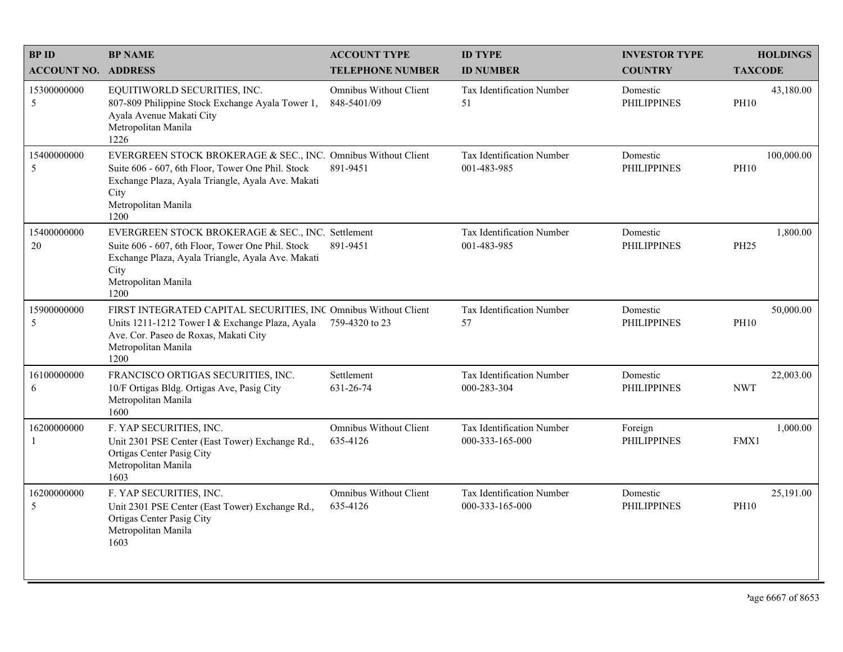| <b>BPID</b>                | <b>BP NAME</b>                                                                                                                                                                                                 | <b>ACCOUNT TYPE</b>                       | <b>ID TYPE</b>                               | <b>INVESTOR TYPE</b>           | <b>HOLDINGS</b>           |
|----------------------------|----------------------------------------------------------------------------------------------------------------------------------------------------------------------------------------------------------------|-------------------------------------------|----------------------------------------------|--------------------------------|---------------------------|
| <b>ACCOUNT NO. ADDRESS</b> |                                                                                                                                                                                                                | <b>TELEPHONE NUMBER</b>                   | <b>ID NUMBER</b>                             | <b>COUNTRY</b>                 | <b>TAXCODE</b>            |
| 15300000000<br>5           | EQUITIWORLD SECURITIES, INC.<br>807-809 Philippine Stock Exchange Ayala Tower 1,<br>Ayala Avenue Makati City<br>Metropolitan Manila<br>1226                                                                    | Omnibus Without Client<br>848-5401/09     | Tax Identification Number<br>51              | Domestic<br><b>PHILIPPINES</b> | 43,180.00<br><b>PH10</b>  |
| 15400000000<br>5           | EVERGREEN STOCK BROKERAGE & SEC., INC. Omnibus Without Client<br>Suite 606 - 607, 6th Floor, Tower One Phil. Stock<br>Exchange Plaza, Ayala Triangle, Ayala Ave. Makati<br>City<br>Metropolitan Manila<br>1200 | 891-9451                                  | Tax Identification Number<br>001-483-985     | Domestic<br><b>PHILIPPINES</b> | 100,000.00<br><b>PH10</b> |
| 15400000000<br>20          | EVERGREEN STOCK BROKERAGE & SEC., INC. Settlement<br>Suite 606 - 607, 6th Floor, Tower One Phil. Stock<br>Exchange Plaza, Ayala Triangle, Ayala Ave. Makati<br>City<br>Metropolitan Manila<br>1200             | 891-9451                                  | Tax Identification Number<br>001-483-985     | Domestic<br><b>PHILIPPINES</b> | 1,800.00<br>PH25          |
| 15900000000<br>5           | FIRST INTEGRATED CAPITAL SECURITIES, INC Omnibus Without Client<br>Units 1211-1212 Tower I & Exchange Plaza, Ayala<br>Ave. Cor. Paseo de Roxas, Makati City<br>Metropolitan Manila<br>1200                     | 759-4320 to 23                            | Tax Identification Number<br>57              | Domestic<br><b>PHILIPPINES</b> | 50,000.00<br><b>PH10</b>  |
| 16100000000<br>6           | FRANCISCO ORTIGAS SECURITIES, INC.<br>10/F Ortigas Bldg. Ortigas Ave, Pasig City<br>Metropolitan Manila<br>1600                                                                                                | Settlement<br>631-26-74                   | Tax Identification Number<br>000-283-304     | Domestic<br><b>PHILIPPINES</b> | 22,003.00<br><b>NWT</b>   |
| 16200000000                | F. YAP SECURITIES, INC.<br>Unit 2301 PSE Center (East Tower) Exchange Rd.,<br>Ortigas Center Pasig City<br>Metropolitan Manila<br>1603                                                                         | <b>Omnibus Without Client</b><br>635-4126 | Tax Identification Number<br>000-333-165-000 | Foreign<br><b>PHILIPPINES</b>  | 1,000.00<br>FMX1          |
| 16200000000<br>5           | F. YAP SECURITIES, INC.<br>Unit 2301 PSE Center (East Tower) Exchange Rd.,<br>Ortigas Center Pasig City<br>Metropolitan Manila<br>1603                                                                         | <b>Omnibus Without Client</b><br>635-4126 | Tax Identification Number<br>000-333-165-000 | Domestic<br><b>PHILIPPINES</b> | 25,191.00<br><b>PH10</b>  |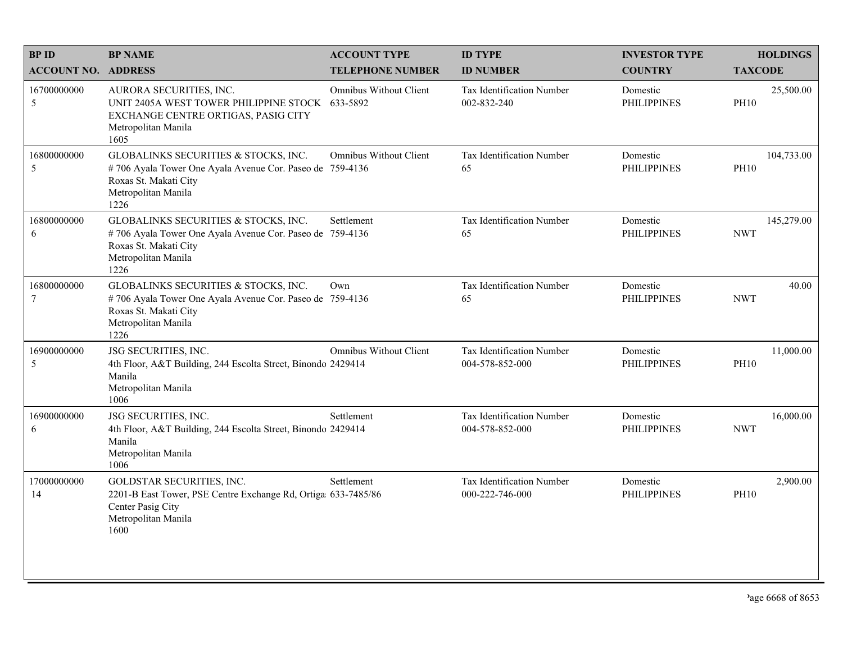| <b>BPID</b>                   | <b>BP NAME</b>                                                                                                                                           | <b>ACCOUNT TYPE</b>           | <b>ID TYPE</b>                               | <b>INVESTOR TYPE</b>           | <b>HOLDINGS</b>           |
|-------------------------------|----------------------------------------------------------------------------------------------------------------------------------------------------------|-------------------------------|----------------------------------------------|--------------------------------|---------------------------|
| <b>ACCOUNT NO. ADDRESS</b>    |                                                                                                                                                          | <b>TELEPHONE NUMBER</b>       | <b>ID NUMBER</b>                             | <b>COUNTRY</b>                 | <b>TAXCODE</b>            |
| 16700000000<br>5              | AURORA SECURITIES, INC.<br>UNIT 2405A WEST TOWER PHILIPPINE STOCK 633-5892<br>EXCHANGE CENTRE ORTIGAS, PASIG CITY<br>Metropolitan Manila<br>1605         | <b>Omnibus Without Client</b> | Tax Identification Number<br>002-832-240     | Domestic<br><b>PHILIPPINES</b> | 25,500.00<br><b>PH10</b>  |
| 16800000000<br>5              | GLOBALINKS SECURITIES & STOCKS, INC.<br>#706 Ayala Tower One Ayala Avenue Cor. Paseo de 759-4136<br>Roxas St. Makati City<br>Metropolitan Manila<br>1226 | <b>Omnibus Without Client</b> | <b>Tax Identification Number</b><br>65       | Domestic<br><b>PHILIPPINES</b> | 104,733.00<br><b>PH10</b> |
| 16800000000<br>6              | GLOBALINKS SECURITIES & STOCKS, INC.<br>#706 Ayala Tower One Ayala Avenue Cor. Paseo de 759-4136<br>Roxas St. Makati City<br>Metropolitan Manila<br>1226 | Settlement                    | Tax Identification Number<br>65              | Domestic<br><b>PHILIPPINES</b> | 145,279.00<br><b>NWT</b>  |
| 16800000000<br>$\overline{7}$ | GLOBALINKS SECURITIES & STOCKS, INC.<br>#706 Ayala Tower One Ayala Avenue Cor. Paseo de 759-4136<br>Roxas St. Makati City<br>Metropolitan Manila<br>1226 | Own                           | Tax Identification Number<br>65              | Domestic<br><b>PHILIPPINES</b> | 40.00<br><b>NWT</b>       |
| 16900000000<br>5              | JSG SECURITIES, INC.<br>4th Floor, A&T Building, 244 Escolta Street, Binondo 2429414<br>Manila<br>Metropolitan Manila<br>1006                            | <b>Omnibus Without Client</b> | Tax Identification Number<br>004-578-852-000 | Domestic<br><b>PHILIPPINES</b> | 11,000.00<br><b>PH10</b>  |
| 16900000000<br>6              | JSG SECURITIES, INC.<br>4th Floor, A&T Building, 244 Escolta Street, Binondo 2429414<br>Manila<br>Metropolitan Manila<br>1006                            | Settlement                    | Tax Identification Number<br>004-578-852-000 | Domestic<br><b>PHILIPPINES</b> | 16,000.00<br><b>NWT</b>   |
| 17000000000<br>14             | GOLDSTAR SECURITIES, INC.<br>2201-B East Tower, PSE Centre Exchange Rd, Ortiga 633-7485/86<br>Center Pasig City<br>Metropolitan Manila<br>1600           | Settlement                    | Tax Identification Number<br>000-222-746-000 | Domestic<br><b>PHILIPPINES</b> | 2,900.00<br>PH10          |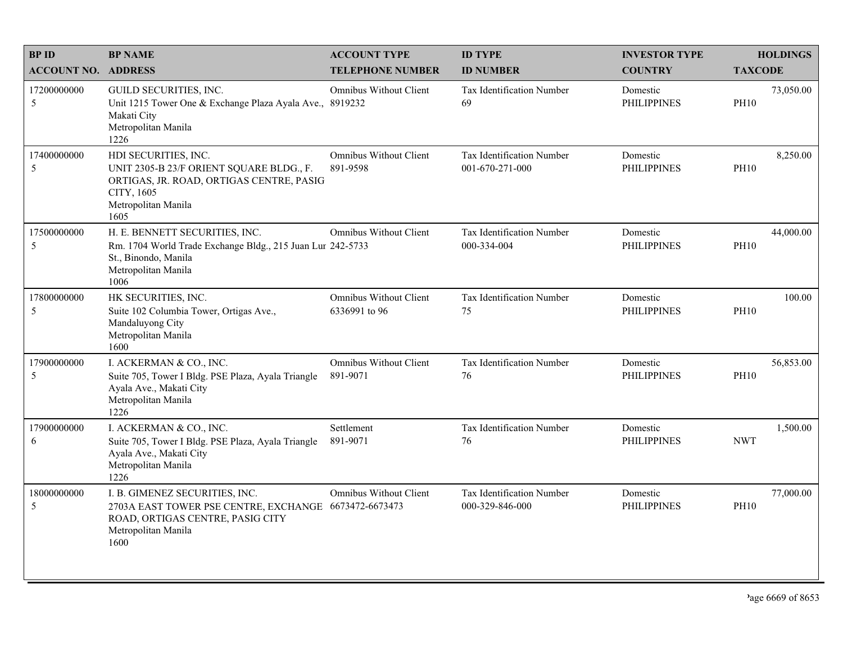| <b>BPID</b>                | <b>BP NAME</b>                                                                                                                                             | <b>ACCOUNT TYPE</b>                            | <b>ID TYPE</b>                                  | <b>INVESTOR TYPE</b>           | <b>HOLDINGS</b>          |
|----------------------------|------------------------------------------------------------------------------------------------------------------------------------------------------------|------------------------------------------------|-------------------------------------------------|--------------------------------|--------------------------|
| <b>ACCOUNT NO. ADDRESS</b> |                                                                                                                                                            | <b>TELEPHONE NUMBER</b>                        | <b>ID NUMBER</b>                                | <b>COUNTRY</b>                 | <b>TAXCODE</b>           |
| 17200000000<br>5           | GUILD SECURITIES, INC.<br>Unit 1215 Tower One & Exchange Plaza Ayala Ave., 8919232<br>Makati City<br>Metropolitan Manila<br>1226                           | <b>Omnibus Without Client</b>                  | Tax Identification Number<br>69                 | Domestic<br><b>PHILIPPINES</b> | 73,050.00<br><b>PH10</b> |
| 17400000000<br>5           | HDI SECURITIES, INC.<br>UNIT 2305-B 23/F ORIENT SQUARE BLDG., F.<br>ORTIGAS, JR. ROAD, ORTIGAS CENTRE, PASIG<br>CITY, 1605<br>Metropolitan Manila<br>1605  | <b>Omnibus Without Client</b><br>891-9598      | Tax Identification Number<br>001-670-271-000    | Domestic<br><b>PHILIPPINES</b> | 8,250.00<br><b>PH10</b>  |
| 17500000000<br>5           | H. E. BENNETT SECURITIES, INC.<br>Rm. 1704 World Trade Exchange Bldg., 215 Juan Lur 242-5733<br>St., Binondo, Manila<br>Metropolitan Manila<br>1006        | <b>Omnibus Without Client</b>                  | <b>Tax Identification Number</b><br>000-334-004 | Domestic<br><b>PHILIPPINES</b> | 44,000.00<br><b>PH10</b> |
| 17800000000<br>5           | HK SECURITIES, INC.<br>Suite 102 Columbia Tower, Ortigas Ave.,<br>Mandaluyong City<br>Metropolitan Manila<br>1600                                          | <b>Omnibus Without Client</b><br>6336991 to 96 | Tax Identification Number<br>75                 | Domestic<br><b>PHILIPPINES</b> | 100.00<br><b>PH10</b>    |
| 17900000000<br>5           | I. ACKERMAN & CO., INC.<br>Suite 705, Tower I Bldg. PSE Plaza, Ayala Triangle<br>Ayala Ave., Makati City<br>Metropolitan Manila<br>1226                    | <b>Omnibus Without Client</b><br>891-9071      | Tax Identification Number<br>76                 | Domestic<br><b>PHILIPPINES</b> | 56,853.00<br><b>PH10</b> |
| 17900000000<br>6           | I. ACKERMAN & CO., INC.<br>Suite 705, Tower I Bldg. PSE Plaza, Ayala Triangle<br>Ayala Ave., Makati City<br>Metropolitan Manila<br>1226                    | Settlement<br>891-9071                         | Tax Identification Number<br>76                 | Domestic<br><b>PHILIPPINES</b> | 1,500.00<br><b>NWT</b>   |
| 18000000000<br>5           | I. B. GIMENEZ SECURITIES, INC.<br>2703A EAST TOWER PSE CENTRE, EXCHANGE 6673472-6673473<br>ROAD, ORTIGAS CENTRE, PASIG CITY<br>Metropolitan Manila<br>1600 | Omnibus Without Client                         | Tax Identification Number<br>000-329-846-000    | Domestic<br><b>PHILIPPINES</b> | 77,000.00<br><b>PH10</b> |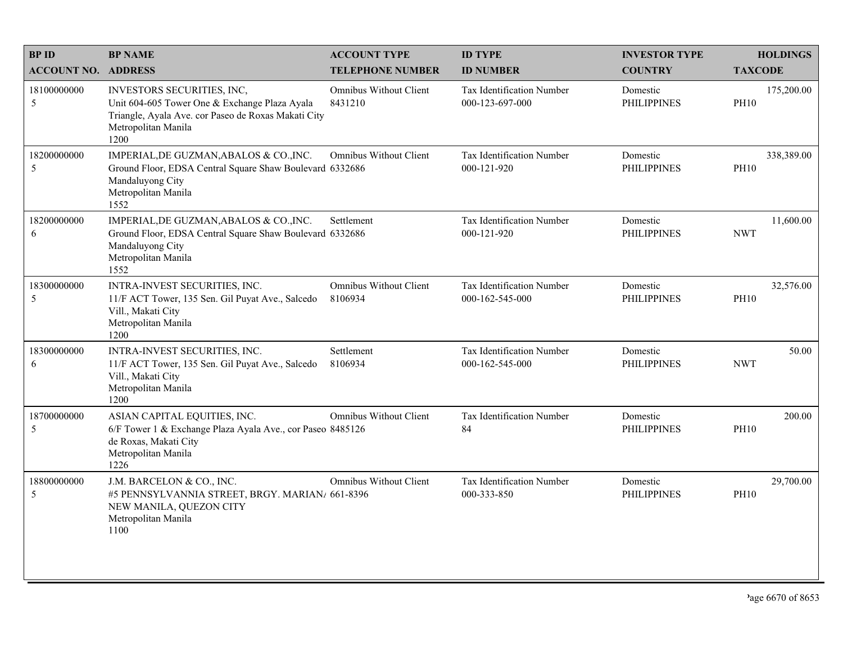| <b>BPID</b>                | <b>BP NAME</b>                                                                                                                                                    | <b>ACCOUNT TYPE</b>               | <b>ID TYPE</b>                                      | <b>INVESTOR TYPE</b>           | <b>HOLDINGS</b>           |
|----------------------------|-------------------------------------------------------------------------------------------------------------------------------------------------------------------|-----------------------------------|-----------------------------------------------------|--------------------------------|---------------------------|
| <b>ACCOUNT NO. ADDRESS</b> |                                                                                                                                                                   | <b>TELEPHONE NUMBER</b>           | <b>ID NUMBER</b>                                    | <b>COUNTRY</b>                 | <b>TAXCODE</b>            |
| 18100000000<br>5           | INVESTORS SECURITIES, INC,<br>Unit 604-605 Tower One & Exchange Plaza Ayala<br>Triangle, Ayala Ave. cor Paseo de Roxas Makati City<br>Metropolitan Manila<br>1200 | Omnibus Without Client<br>8431210 | <b>Tax Identification Number</b><br>000-123-697-000 | Domestic<br><b>PHILIPPINES</b> | 175,200.00<br><b>PH10</b> |
| 18200000000<br>5           | IMPERIAL, DE GUZMAN, ABALOS & CO., INC.<br>Ground Floor, EDSA Central Square Shaw Boulevard 6332686<br>Mandaluyong City<br>Metropolitan Manila<br>1552            | <b>Omnibus Without Client</b>     | Tax Identification Number<br>000-121-920            | Domestic<br><b>PHILIPPINES</b> | 338,389.00<br><b>PH10</b> |
| 18200000000<br>6           | IMPERIAL, DE GUZMAN, ABALOS & CO., INC.<br>Ground Floor, EDSA Central Square Shaw Boulevard 6332686<br>Mandaluyong City<br>Metropolitan Manila<br>1552            | Settlement                        | Tax Identification Number<br>000-121-920            | Domestic<br><b>PHILIPPINES</b> | 11,600.00<br><b>NWT</b>   |
| 18300000000<br>5           | INTRA-INVEST SECURITIES, INC.<br>11/F ACT Tower, 135 Sen. Gil Puyat Ave., Salcedo<br>Vill., Makati City<br>Metropolitan Manila<br>1200                            | Omnibus Without Client<br>8106934 | Tax Identification Number<br>000-162-545-000        | Domestic<br><b>PHILIPPINES</b> | 32,576.00<br><b>PH10</b>  |
| 18300000000<br>6           | INTRA-INVEST SECURITIES, INC.<br>11/F ACT Tower, 135 Sen. Gil Puyat Ave., Salcedo<br>Vill., Makati City<br>Metropolitan Manila<br>1200                            | Settlement<br>8106934             | Tax Identification Number<br>000-162-545-000        | Domestic<br><b>PHILIPPINES</b> | 50.00<br><b>NWT</b>       |
| 18700000000<br>$\sqrt{5}$  | ASIAN CAPITAL EQUITIES, INC.<br>6/F Tower 1 & Exchange Plaza Ayala Ave., cor Paseo 8485126<br>de Roxas, Makati City<br>Metropolitan Manila<br>1226                | <b>Omnibus Without Client</b>     | Tax Identification Number<br>84                     | Domestic<br><b>PHILIPPINES</b> | 200.00<br><b>PH10</b>     |
| 18800000000<br>5           | J.M. BARCELON & CO., INC.<br>#5 PENNSYLVANNIA STREET, BRGY. MARIAN/ 661-8396<br>NEW MANILA, QUEZON CITY<br>Metropolitan Manila<br>1100                            | <b>Omnibus Without Client</b>     | Tax Identification Number<br>000-333-850            | Domestic<br><b>PHILIPPINES</b> | 29,700.00<br><b>PH10</b>  |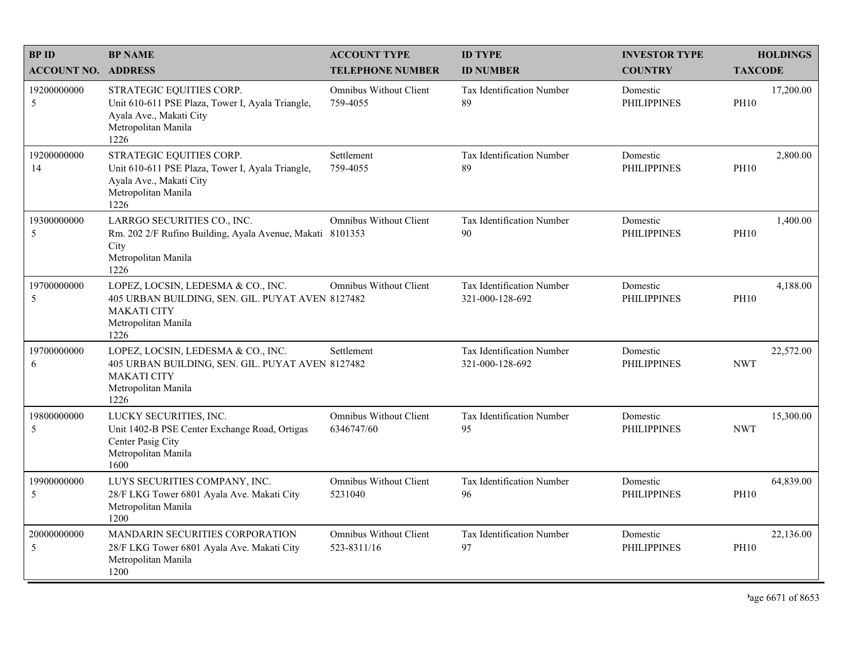| <b>BPID</b>                | <b>BP NAME</b>                                                                                                                              | <b>ACCOUNT TYPE</b>                          | <b>ID TYPE</b>                                      | <b>INVESTOR TYPE</b>           |                | <b>HOLDINGS</b> |
|----------------------------|---------------------------------------------------------------------------------------------------------------------------------------------|----------------------------------------------|-----------------------------------------------------|--------------------------------|----------------|-----------------|
| <b>ACCOUNT NO. ADDRESS</b> |                                                                                                                                             | <b>TELEPHONE NUMBER</b>                      | <b>ID NUMBER</b>                                    | <b>COUNTRY</b>                 | <b>TAXCODE</b> |                 |
| 19200000000<br>5           | STRATEGIC EQUITIES CORP.<br>Unit 610-611 PSE Plaza, Tower I, Ayala Triangle,<br>Ayala Ave., Makati City<br>Metropolitan Manila<br>1226      | <b>Omnibus Without Client</b><br>759-4055    | <b>Tax Identification Number</b><br>89              | Domestic<br><b>PHILIPPINES</b> | <b>PH10</b>    | 17,200.00       |
| 19200000000<br>14          | STRATEGIC EQUITIES CORP.<br>Unit 610-611 PSE Plaza, Tower I, Ayala Triangle,<br>Ayala Ave., Makati City<br>Metropolitan Manila<br>1226      | Settlement<br>759-4055                       | Tax Identification Number<br>89                     | Domestic<br><b>PHILIPPINES</b> | <b>PH10</b>    | 2,800.00        |
| 19300000000<br>5           | LARRGO SECURITIES CO., INC.<br>Rm. 202 2/F Rufino Building, Ayala Avenue, Makati 8101353<br>City<br>Metropolitan Manila<br>1226             | <b>Omnibus Without Client</b>                | Tax Identification Number<br>90                     | Domestic<br><b>PHILIPPINES</b> | <b>PH10</b>    | 1,400.00        |
| 19700000000<br>5           | LOPEZ, LOCSIN, LEDESMA & CO., INC.<br>405 URBAN BUILDING, SEN. GIL. PUYAT AVEN 8127482<br><b>MAKATI CITY</b><br>Metropolitan Manila<br>1226 | Omnibus Without Client                       | Tax Identification Number<br>321-000-128-692        | Domestic<br><b>PHILIPPINES</b> | <b>PH10</b>    | 4,188.00        |
| 19700000000<br>6           | LOPEZ, LOCSIN, LEDESMA & CO., INC.<br>405 URBAN BUILDING, SEN. GIL. PUYAT AVEN 8127482<br><b>MAKATI CITY</b><br>Metropolitan Manila<br>1226 | Settlement                                   | <b>Tax Identification Number</b><br>321-000-128-692 | Domestic<br><b>PHILIPPINES</b> | <b>NWT</b>     | 22,572.00       |
| 19800000000<br>5           | LUCKY SECURITIES, INC.<br>Unit 1402-B PSE Center Exchange Road, Ortigas<br>Center Pasig City<br>Metropolitan Manila<br>1600                 | <b>Omnibus Without Client</b><br>6346747/60  | Tax Identification Number<br>95                     | Domestic<br><b>PHILIPPINES</b> | <b>NWT</b>     | 15,300.00       |
| 19900000000<br>5           | LUYS SECURITIES COMPANY, INC.<br>28/F LKG Tower 6801 Ayala Ave. Makati City<br>Metropolitan Manila<br>1200                                  | <b>Omnibus Without Client</b><br>5231040     | Tax Identification Number<br>96                     | Domestic<br><b>PHILIPPINES</b> | <b>PH10</b>    | 64,839.00       |
| 20000000000<br>5           | <b>MANDARIN SECURITIES CORPORATION</b><br>28/F LKG Tower 6801 Ayala Ave. Makati City<br>Metropolitan Manila<br>1200                         | <b>Omnibus Without Client</b><br>523-8311/16 | Tax Identification Number<br>97                     | Domestic<br><b>PHILIPPINES</b> | <b>PH10</b>    | 22,136.00       |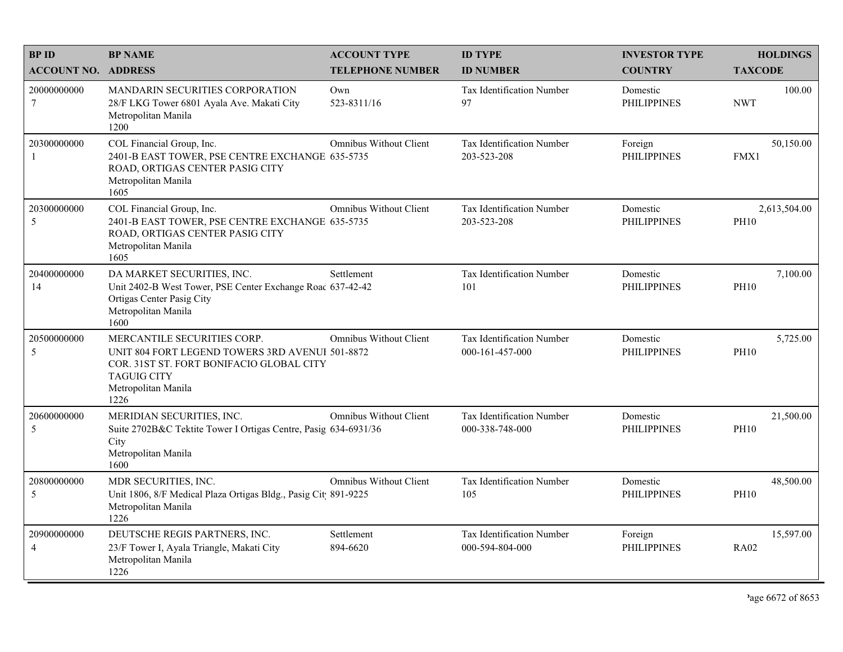| <b>BPID</b><br><b>ACCOUNT NO. ADDRESS</b> | <b>BP NAME</b>                                                                                                                                                                  | <b>ACCOUNT TYPE</b><br><b>TELEPHONE NUMBER</b> | <b>ID TYPE</b><br><b>ID NUMBER</b>                  | <b>INVESTOR TYPE</b><br><b>COUNTRY</b> | <b>HOLDINGS</b><br><b>TAXCODE</b> |
|-------------------------------------------|---------------------------------------------------------------------------------------------------------------------------------------------------------------------------------|------------------------------------------------|-----------------------------------------------------|----------------------------------------|-----------------------------------|
| 20000000000<br>7                          | MANDARIN SECURITIES CORPORATION<br>28/F LKG Tower 6801 Ayala Ave. Makati City<br>Metropolitan Manila<br>1200                                                                    | Own<br>523-8311/16                             | <b>Tax Identification Number</b><br>97              | Domestic<br><b>PHILIPPINES</b>         | 100.00<br><b>NWT</b>              |
| 20300000000<br>$\mathbf{1}$               | COL Financial Group, Inc.<br>2401-B EAST TOWER, PSE CENTRE EXCHANGE 635-5735<br>ROAD, ORTIGAS CENTER PASIG CITY<br>Metropolitan Manila<br>1605                                  | Omnibus Without Client                         | Tax Identification Number<br>203-523-208            | Foreign<br><b>PHILIPPINES</b>          | 50,150.00<br>FMX1                 |
| 20300000000<br>5                          | COL Financial Group, Inc.<br>2401-B EAST TOWER, PSE CENTRE EXCHANGE 635-5735<br>ROAD, ORTIGAS CENTER PASIG CITY<br>Metropolitan Manila<br>1605                                  | <b>Omnibus Without Client</b>                  | Tax Identification Number<br>203-523-208            | Domestic<br><b>PHILIPPINES</b>         | 2,613,504.00<br><b>PH10</b>       |
| 20400000000<br>14                         | DA MARKET SECURITIES, INC.<br>Unit 2402-B West Tower, PSE Center Exchange Roac 637-42-42<br>Ortigas Center Pasig City<br>Metropolitan Manila<br>1600                            | Settlement                                     | Tax Identification Number<br>101                    | Domestic<br><b>PHILIPPINES</b>         | 7,100.00<br><b>PH10</b>           |
| 20500000000<br>5                          | MERCANTILE SECURITIES CORP.<br>UNIT 804 FORT LEGEND TOWERS 3RD AVENUI 501-8872<br>COR. 31ST ST. FORT BONIFACIO GLOBAL CITY<br><b>TAGUIG CITY</b><br>Metropolitan Manila<br>1226 | <b>Omnibus Without Client</b>                  | Tax Identification Number<br>000-161-457-000        | Domestic<br><b>PHILIPPINES</b>         | 5,725.00<br><b>PH10</b>           |
| 20600000000<br>5                          | MERIDIAN SECURITIES, INC.<br>Suite 2702B&C Tektite Tower I Ortigas Centre, Pasig 634-6931/36<br>City<br>Metropolitan Manila<br>1600                                             | <b>Omnibus Without Client</b>                  | Tax Identification Number<br>000-338-748-000        | Domestic<br><b>PHILIPPINES</b>         | 21,500.00<br><b>PH10</b>          |
| 20800000000<br>5                          | MDR SECURITIES, INC.<br>Unit 1806, 8/F Medical Plaza Ortigas Bldg., Pasig Cit 891-9225<br>Metropolitan Manila<br>1226                                                           | <b>Omnibus Without Client</b>                  | Tax Identification Number<br>105                    | Domestic<br><b>PHILIPPINES</b>         | 48,500.00<br><b>PH10</b>          |
| 20900000000<br>$\overline{4}$             | DEUTSCHE REGIS PARTNERS, INC.<br>23/F Tower I, Ayala Triangle, Makati City<br>Metropolitan Manila<br>1226                                                                       | Settlement<br>894-6620                         | <b>Tax Identification Number</b><br>000-594-804-000 | Foreign<br><b>PHILIPPINES</b>          | 15,597.00<br><b>RA02</b>          |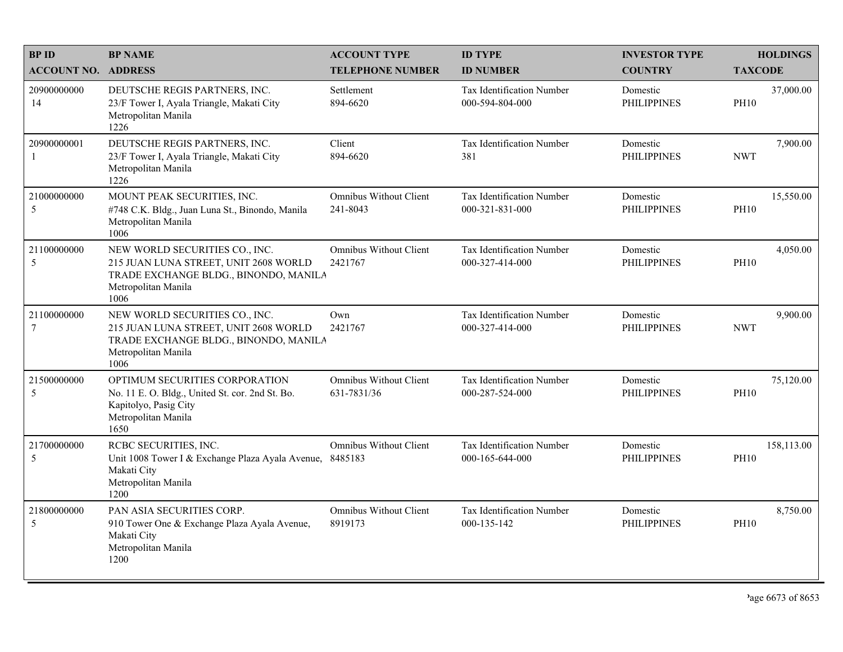| <b>BPID</b><br><b>ACCOUNT NO. ADDRESS</b> | <b>BP NAME</b>                                                                                                                                  | <b>ACCOUNT TYPE</b><br><b>TELEPHONE NUMBER</b> | <b>ID TYPE</b><br><b>ID NUMBER</b>                   | <b>INVESTOR TYPE</b><br><b>COUNTRY</b> | <b>HOLDINGS</b><br><b>TAXCODE</b> |
|-------------------------------------------|-------------------------------------------------------------------------------------------------------------------------------------------------|------------------------------------------------|------------------------------------------------------|----------------------------------------|-----------------------------------|
| 20900000000<br>14                         | DEUTSCHE REGIS PARTNERS, INC.<br>23/F Tower I, Ayala Triangle, Makati City<br>Metropolitan Manila<br>1226                                       | Settlement<br>894-6620                         | Tax Identification Number<br>000-594-804-000         | Domestic<br><b>PHILIPPINES</b>         | 37,000.00<br><b>PH10</b>          |
| 20900000001<br>-1                         | DEUTSCHE REGIS PARTNERS, INC.<br>23/F Tower I, Ayala Triangle, Makati City<br>Metropolitan Manila<br>1226                                       | Client<br>894-6620                             | Tax Identification Number<br>381                     | Domestic<br><b>PHILIPPINES</b>         | 7,900.00<br><b>NWT</b>            |
| 21000000000<br>5                          | MOUNT PEAK SECURITIES, INC.<br>#748 C.K. Bldg., Juan Luna St., Binondo, Manila<br>Metropolitan Manila<br>1006                                   | Omnibus Without Client<br>241-8043             | Tax Identification Number<br>$000 - 321 - 831 - 000$ | Domestic<br><b>PHILIPPINES</b>         | 15,550.00<br><b>PH10</b>          |
| 21100000000<br>5                          | NEW WORLD SECURITIES CO., INC.<br>215 JUAN LUNA STREET, UNIT 2608 WORLD<br>TRADE EXCHANGE BLDG., BINONDO, MANILA<br>Metropolitan Manila<br>1006 | <b>Omnibus Without Client</b><br>2421767       | Tax Identification Number<br>000-327-414-000         | Domestic<br><b>PHILIPPINES</b>         | 4,050.00<br><b>PH10</b>           |
| 21100000000<br>$\overline{7}$             | NEW WORLD SECURITIES CO., INC.<br>215 JUAN LUNA STREET, UNIT 2608 WORLD<br>TRADE EXCHANGE BLDG., BINONDO, MANILA<br>Metropolitan Manila<br>1006 | Own<br>2421767                                 | Tax Identification Number<br>000-327-414-000         | Domestic<br><b>PHILIPPINES</b>         | 9,900.00<br><b>NWT</b>            |
| 21500000000<br>5                          | OPTIMUM SECURITIES CORPORATION<br>No. 11 E. O. Bldg., United St. cor. 2nd St. Bo.<br>Kapitolyo, Pasig City<br>Metropolitan Manila<br>1650       | <b>Omnibus Without Client</b><br>631-7831/36   | Tax Identification Number<br>000-287-524-000         | Domestic<br><b>PHILIPPINES</b>         | 75,120.00<br><b>PH10</b>          |
| 21700000000<br>5                          | RCBC SECURITIES, INC.<br>Unit 1008 Tower I & Exchange Plaza Ayala Avenue,<br>Makati City<br>Metropolitan Manila<br>1200                         | <b>Omnibus Without Client</b><br>8485183       | Tax Identification Number<br>000-165-644-000         | Domestic<br><b>PHILIPPINES</b>         | 158,113.00<br><b>PH10</b>         |
| 21800000000<br>5                          | PAN ASIA SECURITIES CORP.<br>910 Tower One & Exchange Plaza Ayala Avenue,<br>Makati City<br>Metropolitan Manila<br>1200                         | <b>Omnibus Without Client</b><br>8919173       | Tax Identification Number<br>000-135-142             | Domestic<br><b>PHILIPPINES</b>         | 8,750.00<br><b>PH10</b>           |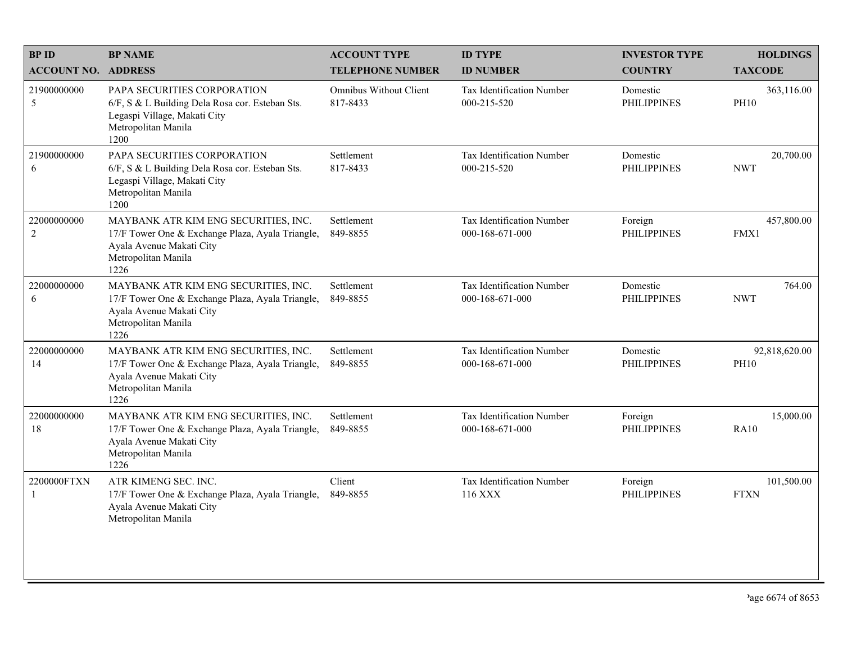| <b>BPID</b>                 | <b>BP NAME</b>                                                                                                                                      | <b>ACCOUNT TYPE</b>                | <b>ID TYPE</b>                               | <b>INVESTOR TYPE</b>           | <b>HOLDINGS</b>              |
|-----------------------------|-----------------------------------------------------------------------------------------------------------------------------------------------------|------------------------------------|----------------------------------------------|--------------------------------|------------------------------|
| <b>ACCOUNT NO. ADDRESS</b>  |                                                                                                                                                     | <b>TELEPHONE NUMBER</b>            | <b>ID NUMBER</b>                             | <b>COUNTRY</b>                 | <b>TAXCODE</b>               |
| 21900000000<br>5            | PAPA SECURITIES CORPORATION<br>6/F, S & L Building Dela Rosa cor. Esteban Sts.<br>Legaspi Village, Makati City<br>Metropolitan Manila<br>1200       | Omnibus Without Client<br>817-8433 | Tax Identification Number<br>000-215-520     | Domestic<br><b>PHILIPPINES</b> | 363,116.00<br><b>PH10</b>    |
| 21900000000<br>6            | PAPA SECURITIES CORPORATION<br>6/F, S & L Building Dela Rosa cor. Esteban Sts.<br>Legaspi Village, Makati City<br>Metropolitan Manila<br>1200       | Settlement<br>817-8433             | Tax Identification Number<br>000-215-520     | Domestic<br><b>PHILIPPINES</b> | 20,700.00<br><b>NWT</b>      |
| 22000000000<br>$\sqrt{2}$   | MAYBANK ATR KIM ENG SECURITIES, INC.<br>17/F Tower One & Exchange Plaza, Ayala Triangle,<br>Ayala Avenue Makati City<br>Metropolitan Manila<br>1226 | Settlement<br>849-8855             | Tax Identification Number<br>000-168-671-000 | Foreign<br><b>PHILIPPINES</b>  | 457,800.00<br>FMX1           |
| 22000000000<br>6            | MAYBANK ATR KIM ENG SECURITIES, INC.<br>17/F Tower One & Exchange Plaza, Ayala Triangle,<br>Ayala Avenue Makati City<br>Metropolitan Manila<br>1226 | Settlement<br>849-8855             | Tax Identification Number<br>000-168-671-000 | Domestic<br><b>PHILIPPINES</b> | 764.00<br><b>NWT</b>         |
| 22000000000<br>14           | MAYBANK ATR KIM ENG SECURITIES, INC.<br>17/F Tower One & Exchange Plaza, Ayala Triangle,<br>Ayala Avenue Makati City<br>Metropolitan Manila<br>1226 | Settlement<br>849-8855             | Tax Identification Number<br>000-168-671-000 | Domestic<br><b>PHILIPPINES</b> | 92,818,620.00<br><b>PH10</b> |
| 22000000000<br>18           | MAYBANK ATR KIM ENG SECURITIES, INC.<br>17/F Tower One & Exchange Plaza, Ayala Triangle,<br>Ayala Avenue Makati City<br>Metropolitan Manila<br>1226 | Settlement<br>849-8855             | Tax Identification Number<br>000-168-671-000 | Foreign<br><b>PHILIPPINES</b>  | 15,000.00<br><b>RA10</b>     |
| 2200000FTXN<br>$\mathbf{1}$ | ATR KIMENG SEC. INC.<br>17/F Tower One & Exchange Plaza, Ayala Triangle,<br>Ayala Avenue Makati City<br>Metropolitan Manila                         | Client<br>849-8855                 | Tax Identification Number<br>116 XXX         | Foreign<br><b>PHILIPPINES</b>  | 101,500.00<br><b>FTXN</b>    |
|                             |                                                                                                                                                     |                                    |                                              |                                |                              |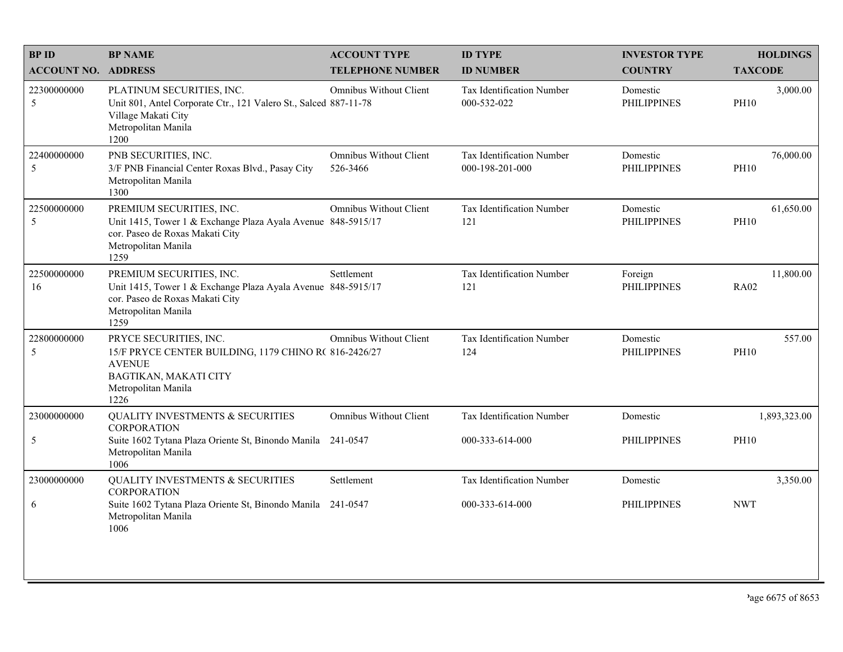| <b>BPID</b>                | <b>BP NAME</b>                                                                                                                                             | <b>ACCOUNT TYPE</b>                | <b>ID TYPE</b>                               | <b>INVESTOR TYPE</b>           | <b>HOLDINGS</b>          |
|----------------------------|------------------------------------------------------------------------------------------------------------------------------------------------------------|------------------------------------|----------------------------------------------|--------------------------------|--------------------------|
| <b>ACCOUNT NO. ADDRESS</b> |                                                                                                                                                            | <b>TELEPHONE NUMBER</b>            | <b>ID NUMBER</b>                             | <b>COUNTRY</b>                 | <b>TAXCODE</b>           |
| 22300000000<br>5           | PLATINUM SECURITIES, INC.<br>Unit 801, Antel Corporate Ctr., 121 Valero St., Salced 887-11-78<br>Village Makati City<br>Metropolitan Manila<br>1200        | Omnibus Without Client             | Tax Identification Number<br>000-532-022     | Domestic<br><b>PHILIPPINES</b> | 3,000.00<br><b>PH10</b>  |
| 22400000000<br>5           | PNB SECURITIES, INC.<br>3/F PNB Financial Center Roxas Blvd., Pasay City<br>Metropolitan Manila<br>1300                                                    | Omnibus Without Client<br>526-3466 | Tax Identification Number<br>000-198-201-000 | Domestic<br><b>PHILIPPINES</b> | 76,000.00<br><b>PH10</b> |
| 22500000000<br>5           | PREMIUM SECURITIES, INC.<br>Unit 1415, Tower 1 & Exchange Plaza Ayala Avenue 848-5915/17<br>cor. Paseo de Roxas Makati City<br>Metropolitan Manila<br>1259 | Omnibus Without Client             | Tax Identification Number<br>121             | Domestic<br><b>PHILIPPINES</b> | 61,650.00<br><b>PH10</b> |
| 22500000000<br>16          | PREMIUM SECURITIES, INC.<br>Unit 1415, Tower 1 & Exchange Plaza Ayala Avenue 848-5915/17<br>cor. Paseo de Roxas Makati City<br>Metropolitan Manila<br>1259 | Settlement                         | Tax Identification Number<br>121             | Foreign<br><b>PHILIPPINES</b>  | 11,800.00<br><b>RA02</b> |
| 22800000000<br>5           | PRYCE SECURITIES, INC.<br>15/F PRYCE CENTER BUILDING, 1179 CHINO R(816-2426/27<br><b>AVENUE</b><br>BAGTIKAN, MAKATI CITY<br>Metropolitan Manila<br>1226    | Omnibus Without Client             | Tax Identification Number<br>124             | Domestic<br><b>PHILIPPINES</b> | 557.00<br><b>PH10</b>    |
| 23000000000                | <b>QUALITY INVESTMENTS &amp; SECURITIES</b>                                                                                                                | Omnibus Without Client             | Tax Identification Number                    | Domestic                       | 1,893,323.00             |
| $\sqrt{5}$                 | <b>CORPORATION</b><br>Suite 1602 Tytana Plaza Oriente St, Binondo Manila 241-0547<br>Metropolitan Manila<br>1006                                           |                                    | 000-333-614-000                              | <b>PHILIPPINES</b>             | <b>PH10</b>              |
| 23000000000                | <b>QUALITY INVESTMENTS &amp; SECURITIES</b><br><b>CORPORATION</b>                                                                                          | Settlement                         | <b>Tax Identification Number</b>             | Domestic                       | 3,350.00                 |
| 6                          | Suite 1602 Tytana Plaza Oriente St, Binondo Manila 241-0547<br>Metropolitan Manila<br>1006                                                                 |                                    | 000-333-614-000                              | <b>PHILIPPINES</b>             | <b>NWT</b>               |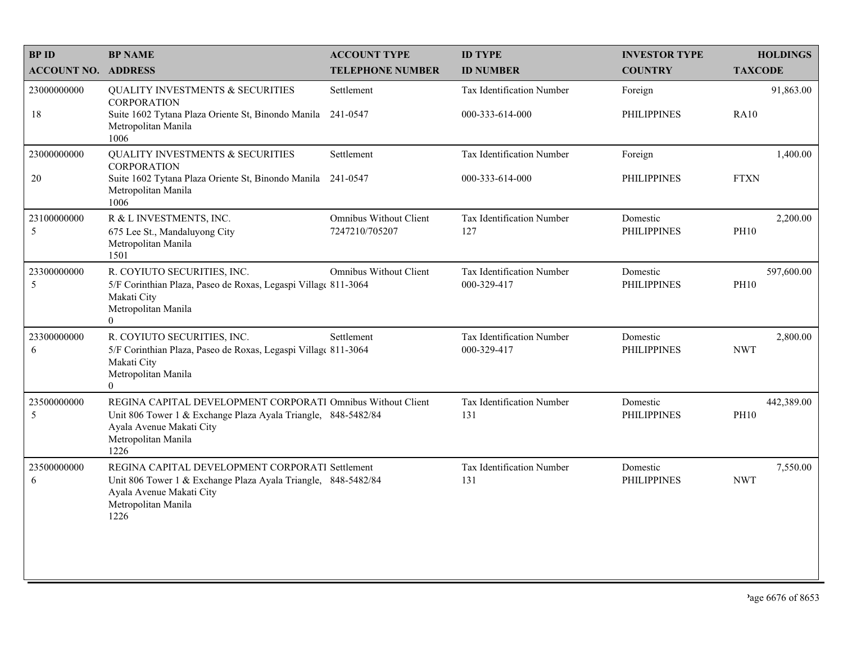| <b>BP ID</b>               | <b>BP NAME</b>                                                                                                                                                                          | <b>ACCOUNT TYPE</b>                      | <b>ID TYPE</b>                           | <b>INVESTOR TYPE</b>           | <b>HOLDINGS</b>           |
|----------------------------|-----------------------------------------------------------------------------------------------------------------------------------------------------------------------------------------|------------------------------------------|------------------------------------------|--------------------------------|---------------------------|
| <b>ACCOUNT NO. ADDRESS</b> |                                                                                                                                                                                         | <b>TELEPHONE NUMBER</b>                  | <b>ID NUMBER</b>                         | <b>COUNTRY</b>                 | <b>TAXCODE</b>            |
| 23000000000                | <b>QUALITY INVESTMENTS &amp; SECURITIES</b><br><b>CORPORATION</b>                                                                                                                       | Settlement                               | <b>Tax Identification Number</b>         | Foreign                        | 91,863.00                 |
| 18                         | Suite 1602 Tytana Plaza Oriente St, Binondo Manila 241-0547<br>Metropolitan Manila<br>1006                                                                                              |                                          | 000-333-614-000                          | <b>PHILIPPINES</b>             | <b>RA10</b>               |
| 23000000000                | <b>QUALITY INVESTMENTS &amp; SECURITIES</b><br><b>CORPORATION</b>                                                                                                                       | Settlement                               | Tax Identification Number                | Foreign                        | 1,400.00                  |
| 20                         | Suite 1602 Tytana Plaza Oriente St, Binondo Manila<br>Metropolitan Manila<br>1006                                                                                                       | 241-0547                                 | 000-333-614-000                          | <b>PHILIPPINES</b>             | <b>FTXN</b>               |
| 23100000000<br>5           | R & L INVESTMENTS, INC.<br>675 Lee St., Mandaluyong City<br>Metropolitan Manila<br>1501                                                                                                 | Omnibus Without Client<br>7247210/705207 | Tax Identification Number<br>127         | Domestic<br><b>PHILIPPINES</b> | 2,200.00<br><b>PH10</b>   |
| 23300000000<br>5           | R. COYIUTO SECURITIES, INC.<br>5/F Corinthian Plaza, Paseo de Roxas, Legaspi Village 811-3064<br>Makati City<br>Metropolitan Manila<br>$\Omega$                                         | Omnibus Without Client                   | Tax Identification Number<br>000-329-417 | Domestic<br><b>PHILIPPINES</b> | 597,600.00<br><b>PH10</b> |
| 23300000000<br>6           | R. COYIUTO SECURITIES, INC.<br>5/F Corinthian Plaza, Paseo de Roxas, Legaspi Villag( 811-3064<br>Makati City<br>Metropolitan Manila<br>$\overline{0}$                                   | Settlement                               | Tax Identification Number<br>000-329-417 | Domestic<br><b>PHILIPPINES</b> | 2,800.00<br><b>NWT</b>    |
| 23500000000<br>5           | REGINA CAPITAL DEVELOPMENT CORPORATI Omnibus Without Client<br>Unit 806 Tower 1 & Exchange Plaza Ayala Triangle, 848-5482/84<br>Ayala Avenue Makati City<br>Metropolitan Manila<br>1226 |                                          | Tax Identification Number<br>131         | Domestic<br><b>PHILIPPINES</b> | 442,389.00<br><b>PH10</b> |
| 23500000000<br>6           | REGINA CAPITAL DEVELOPMENT CORPORATI Settlement<br>Unit 806 Tower 1 & Exchange Plaza Ayala Triangle, 848-5482/84<br>Ayala Avenue Makati City<br>Metropolitan Manila<br>1226             |                                          | Tax Identification Number<br>131         | Domestic<br><b>PHILIPPINES</b> | 7,550.00<br><b>NWT</b>    |
|                            |                                                                                                                                                                                         |                                          |                                          |                                |                           |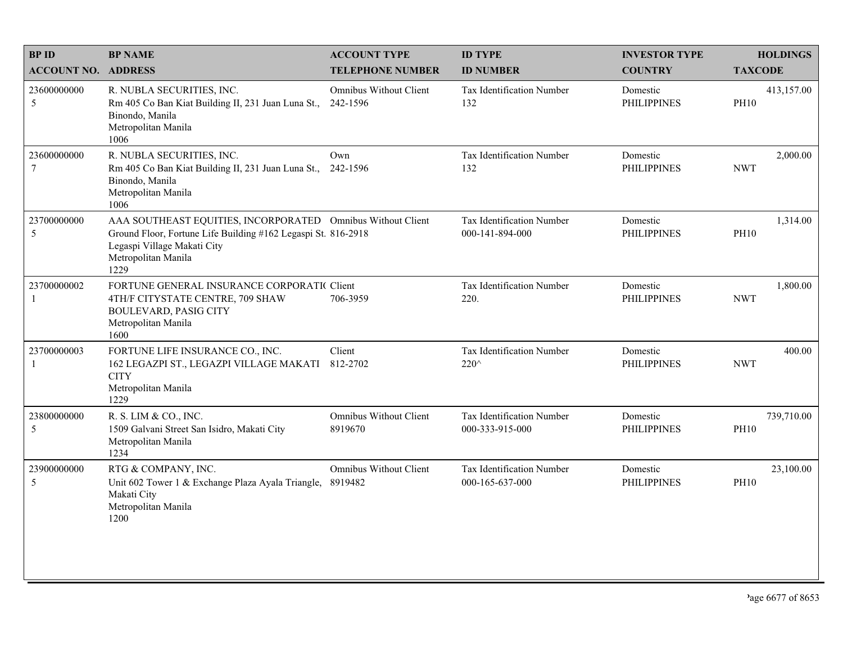| <b>BPID</b>                | <b>BP NAME</b>                                                                                                                                                                             | <b>ACCOUNT TYPE</b>                | <b>ID TYPE</b>                               | <b>INVESTOR TYPE</b>           | <b>HOLDINGS</b>           |
|----------------------------|--------------------------------------------------------------------------------------------------------------------------------------------------------------------------------------------|------------------------------------|----------------------------------------------|--------------------------------|---------------------------|
| <b>ACCOUNT NO. ADDRESS</b> |                                                                                                                                                                                            | <b>TELEPHONE NUMBER</b>            | <b>ID NUMBER</b>                             | <b>COUNTRY</b>                 | <b>TAXCODE</b>            |
| 23600000000<br>5           | R. NUBLA SECURITIES, INC.<br>Rm 405 Co Ban Kiat Building II, 231 Juan Luna St.,<br>Binondo, Manila<br>Metropolitan Manila<br>1006                                                          | Omnibus Without Client<br>242-1596 | Tax Identification Number<br>132             | Domestic<br><b>PHILIPPINES</b> | 413,157.00<br><b>PH10</b> |
| 23600000000<br>$\tau$      | R. NUBLA SECURITIES, INC.<br>Rm 405 Co Ban Kiat Building II, 231 Juan Luna St.,<br>Binondo, Manila<br>Metropolitan Manila<br>1006                                                          | Own<br>242-1596                    | Tax Identification Number<br>132             | Domestic<br><b>PHILIPPINES</b> | 2,000.00<br><b>NWT</b>    |
| 23700000000<br>5           | AAA SOUTHEAST EQUITIES, INCORPORATED Omnibus Without Client<br>Ground Floor, Fortune Life Building #162 Legaspi St. 816-2918<br>Legaspi Village Makati City<br>Metropolitan Manila<br>1229 |                                    | Tax Identification Number<br>000-141-894-000 | Domestic<br><b>PHILIPPINES</b> | 1,314.00<br><b>PH10</b>   |
| 23700000002                | FORTUNE GENERAL INSURANCE CORPORATIC Client<br>4TH/F CITYSTATE CENTRE, 709 SHAW<br><b>BOULEVARD, PASIG CITY</b><br>Metropolitan Manila<br>1600                                             | 706-3959                           | Tax Identification Number<br>220.            | Domestic<br><b>PHILIPPINES</b> | 1,800.00<br><b>NWT</b>    |
| 23700000003                | FORTUNE LIFE INSURANCE CO., INC.<br>162 LEGAZPI ST., LEGAZPI VILLAGE MAKATI<br><b>CITY</b><br>Metropolitan Manila<br>1229                                                                  | Client<br>812-2702                 | Tax Identification Number<br>220^            | Domestic<br><b>PHILIPPINES</b> | 400.00<br><b>NWT</b>      |
| 23800000000<br>5           | R. S. LIM & CO., INC.<br>1509 Galvani Street San Isidro, Makati City<br>Metropolitan Manila<br>1234                                                                                        | Omnibus Without Client<br>8919670  | Tax Identification Number<br>000-333-915-000 | Domestic<br><b>PHILIPPINES</b> | 739,710.00<br><b>PH10</b> |
| 23900000000<br>5           | RTG & COMPANY, INC.<br>Unit 602 Tower 1 & Exchange Plaza Ayala Triangle, 8919482<br>Makati City<br>Metropolitan Manila<br>1200                                                             | <b>Omnibus Without Client</b>      | Tax Identification Number<br>000-165-637-000 | Domestic<br><b>PHILIPPINES</b> | 23,100.00<br><b>PH10</b>  |
|                            |                                                                                                                                                                                            |                                    |                                              |                                |                           |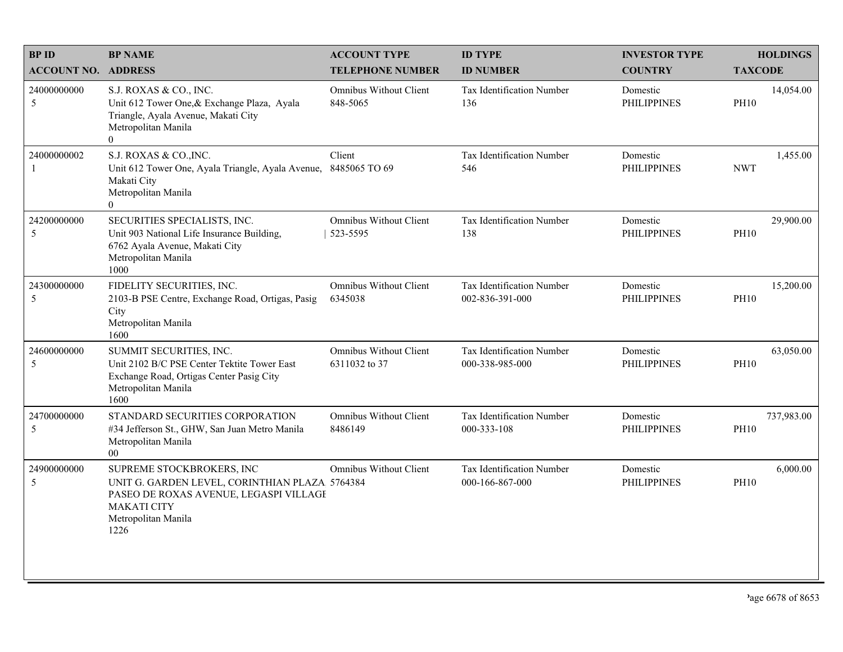| <b>BPID</b>                 | <b>BP NAME</b>                                                                                                                                                             | <b>ACCOUNT TYPE</b>                      | <b>ID TYPE</b>                               | <b>INVESTOR TYPE</b>           | <b>HOLDINGS</b>           |
|-----------------------------|----------------------------------------------------------------------------------------------------------------------------------------------------------------------------|------------------------------------------|----------------------------------------------|--------------------------------|---------------------------|
| <b>ACCOUNT NO. ADDRESS</b>  |                                                                                                                                                                            | <b>TELEPHONE NUMBER</b>                  | <b>ID NUMBER</b>                             | <b>COUNTRY</b>                 | <b>TAXCODE</b>            |
| 24000000000<br>5            | S.J. ROXAS & CO., INC.<br>Unit 612 Tower One, & Exchange Plaza, Ayala<br>Triangle, Ayala Avenue, Makati City<br>Metropolitan Manila<br>$\overline{0}$                      | Omnibus Without Client<br>848-5065       | <b>Tax Identification Number</b><br>136      | Domestic<br><b>PHILIPPINES</b> | 14,054.00<br><b>PH10</b>  |
| 24000000002<br>$\mathbf{1}$ | S.J. ROXAS & CO., INC.<br>Unit 612 Tower One, Ayala Triangle, Ayala Avenue, 8485065 TO 69<br>Makati City<br>Metropolitan Manila<br>$\Omega$                                | Client                                   | Tax Identification Number<br>546             | Domestic<br><b>PHILIPPINES</b> | 1,455.00<br><b>NWT</b>    |
| 24200000000<br>5            | SECURITIES SPECIALISTS, INC.<br>Unit 903 National Life Insurance Building,<br>6762 Ayala Avenue, Makati City<br>Metropolitan Manila<br>1000                                | Omnibus Without Client<br>523-5595       | Tax Identification Number<br>138             | Domestic<br><b>PHILIPPINES</b> | 29,900.00<br><b>PH10</b>  |
| 24300000000<br>5            | FIDELITY SECURITIES, INC.<br>2103-B PSE Centre, Exchange Road, Ortigas, Pasig<br>City<br>Metropolitan Manila<br>1600                                                       | <b>Omnibus Without Client</b><br>6345038 | Tax Identification Number<br>002-836-391-000 | Domestic<br><b>PHILIPPINES</b> | 15,200.00<br><b>PH10</b>  |
| 24600000000<br>5            | SUMMIT SECURITIES, INC.<br>Unit 2102 B/C PSE Center Tektite Tower East<br>Exchange Road, Ortigas Center Pasig City<br>Metropolitan Manila<br>1600                          | Omnibus Without Client<br>6311032 to 37  | Tax Identification Number<br>000-338-985-000 | Domestic<br><b>PHILIPPINES</b> | 63,050.00<br><b>PH10</b>  |
| 24700000000<br>5            | STANDARD SECURITIES CORPORATION<br>#34 Jefferson St., GHW, San Juan Metro Manila<br>Metropolitan Manila<br>$00\,$                                                          | <b>Omnibus Without Client</b><br>8486149 | Tax Identification Number<br>000-333-108     | Domestic<br><b>PHILIPPINES</b> | 737,983.00<br><b>PH10</b> |
| 24900000000<br>5            | SUPREME STOCKBROKERS, INC<br>UNIT G. GARDEN LEVEL, CORINTHIAN PLAZA 5764384<br>PASEO DE ROXAS AVENUE, LEGASPI VILLAGI<br><b>MAKATI CITY</b><br>Metropolitan Manila<br>1226 | Omnibus Without Client                   | Tax Identification Number<br>000-166-867-000 | Domestic<br><b>PHILIPPINES</b> | 6,000.00<br><b>PH10</b>   |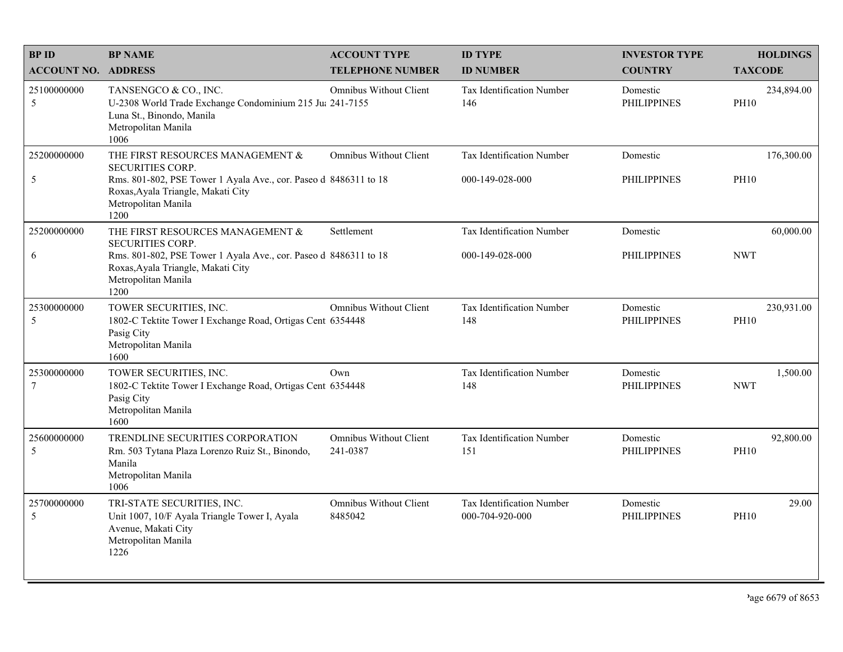| <b>BPID</b>                    | <b>BP NAME</b>                                                                                                                                                                                       | <b>ACCOUNT TYPE</b>                       | <b>ID TYPE</b>                               | <b>INVESTOR TYPE</b>           | <b>HOLDINGS</b>           |
|--------------------------------|------------------------------------------------------------------------------------------------------------------------------------------------------------------------------------------------------|-------------------------------------------|----------------------------------------------|--------------------------------|---------------------------|
| <b>ACCOUNT NO. ADDRESS</b>     |                                                                                                                                                                                                      | <b>TELEPHONE NUMBER</b>                   | <b>ID NUMBER</b>                             | <b>COUNTRY</b>                 | <b>TAXCODE</b>            |
| 25100000000<br>5               | TANSENGCO & CO., INC.<br>U-2308 World Trade Exchange Condominium 215 Ju: 241-7155<br>Luna St., Binondo, Manila<br>Metropolitan Manila<br>1006                                                        | Omnibus Without Client                    | Tax Identification Number<br>146             | Domestic<br><b>PHILIPPINES</b> | 234,894.00<br><b>PH10</b> |
| 25200000000<br>5               | THE FIRST RESOURCES MANAGEMENT &<br><b>SECURITIES CORP.</b><br>Rms. 801-802, PSE Tower 1 Ayala Ave., cor. Paseo d 8486311 to 18<br>Roxas, Ayala Triangle, Makati City<br>Metropolitan Manila<br>1200 | <b>Omnibus Without Client</b>             | Tax Identification Number<br>000-149-028-000 | Domestic<br><b>PHILIPPINES</b> | 176,300.00<br><b>PH10</b> |
| 25200000000<br>6               | THE FIRST RESOURCES MANAGEMENT &<br><b>SECURITIES CORP.</b><br>Rms. 801-802, PSE Tower 1 Ayala Ave., cor. Paseo d 8486311 to 18<br>Roxas, Ayala Triangle, Makati City<br>Metropolitan Manila<br>1200 | Settlement                                | Tax Identification Number<br>000-149-028-000 | Domestic<br><b>PHILIPPINES</b> | 60,000.00<br><b>NWT</b>   |
| 25300000000<br>5               | TOWER SECURITIES, INC.<br>1802-C Tektite Tower I Exchange Road, Ortigas Cent 6354448<br>Pasig City<br>Metropolitan Manila<br>1600                                                                    | <b>Omnibus Without Client</b>             | Tax Identification Number<br>148             | Domestic<br><b>PHILIPPINES</b> | 230,931.00<br><b>PH10</b> |
| 25300000000<br>$7\phantom{.0}$ | TOWER SECURITIES, INC.<br>1802-C Tektite Tower I Exchange Road, Ortigas Cent 6354448<br>Pasig City<br>Metropolitan Manila<br>1600                                                                    | Own                                       | Tax Identification Number<br>148             | Domestic<br><b>PHILIPPINES</b> | 1,500.00<br><b>NWT</b>    |
| 25600000000<br>5               | TRENDLINE SECURITIES CORPORATION<br>Rm. 503 Tytana Plaza Lorenzo Ruiz St., Binondo,<br>Manila<br>Metropolitan Manila<br>1006                                                                         | <b>Omnibus Without Client</b><br>241-0387 | Tax Identification Number<br>151             | Domestic<br><b>PHILIPPINES</b> | 92,800.00<br><b>PH10</b>  |
| 25700000000<br>5               | TRI-STATE SECURITIES, INC.<br>Unit 1007, 10/F Ayala Triangle Tower I, Ayala<br>Avenue, Makati City<br>Metropolitan Manila<br>1226                                                                    | <b>Omnibus Without Client</b><br>8485042  | Tax Identification Number<br>000-704-920-000 | Domestic<br><b>PHILIPPINES</b> | 29.00<br><b>PH10</b>      |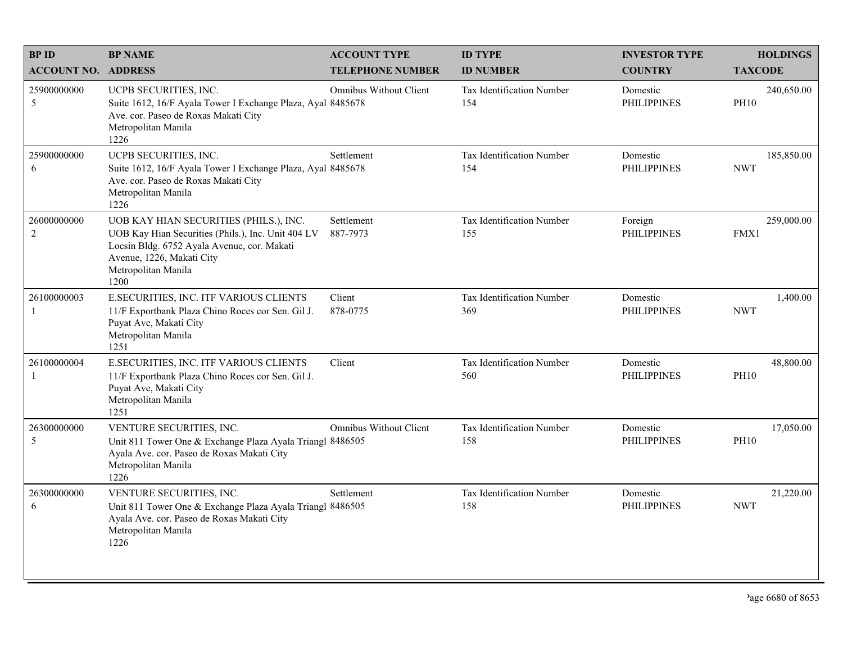| <b>BPID</b>                   | <b>BP NAME</b>                                                                                                                                                                                          | <b>ACCOUNT TYPE</b>           | <b>ID TYPE</b>                   | <b>INVESTOR TYPE</b>           | <b>HOLDINGS</b>           |
|-------------------------------|---------------------------------------------------------------------------------------------------------------------------------------------------------------------------------------------------------|-------------------------------|----------------------------------|--------------------------------|---------------------------|
| <b>ACCOUNT NO. ADDRESS</b>    |                                                                                                                                                                                                         | <b>TELEPHONE NUMBER</b>       | <b>ID NUMBER</b>                 | <b>COUNTRY</b>                 | <b>TAXCODE</b>            |
| 25900000000<br>5              | UCPB SECURITIES, INC.<br>Suite 1612, 16/F Ayala Tower I Exchange Plaza, Ayal 8485678<br>Ave. cor. Paseo de Roxas Makati City<br>Metropolitan Manila<br>1226                                             | Omnibus Without Client        | Tax Identification Number<br>154 | Domestic<br><b>PHILIPPINES</b> | 240,650.00<br><b>PH10</b> |
| 25900000000<br>6              | UCPB SECURITIES, INC.<br>Suite 1612, 16/F Ayala Tower I Exchange Plaza, Ayal 8485678<br>Ave. cor. Paseo de Roxas Makati City<br>Metropolitan Manila<br>1226                                             | Settlement                    | Tax Identification Number<br>154 | Domestic<br><b>PHILIPPINES</b> | 185,850.00<br><b>NWT</b>  |
| 26000000000<br>$\overline{2}$ | UOB KAY HIAN SECURITIES (PHILS.), INC.<br>UOB Kay Hian Securities (Phils.), Inc. Unit 404 LV<br>Locsin Bldg. 6752 Ayala Avenue, cor. Makati<br>Avenue, 1226, Makati City<br>Metropolitan Manila<br>1200 | Settlement<br>887-7973        | Tax Identification Number<br>155 | Foreign<br><b>PHILIPPINES</b>  | 259,000.00<br>FMX1        |
| 26100000003<br>$\mathbf{1}$   | E.SECURITIES, INC. ITF VARIOUS CLIENTS<br>11/F Exportbank Plaza Chino Roces cor Sen. Gil J.<br>Puyat Ave, Makati City<br>Metropolitan Manila<br>1251                                                    | Client<br>878-0775            | Tax Identification Number<br>369 | Domestic<br><b>PHILIPPINES</b> | 1,400.00<br><b>NWT</b>    |
| 26100000004<br>$\mathbf{1}$   | E.SECURITIES, INC. ITF VARIOUS CLIENTS<br>11/F Exportbank Plaza Chino Roces cor Sen. Gil J.<br>Puyat Ave, Makati City<br>Metropolitan Manila<br>1251                                                    | Client                        | Tax Identification Number<br>560 | Domestic<br><b>PHILIPPINES</b> | 48,800.00<br><b>PH10</b>  |
| 26300000000<br>5              | VENTURE SECURITIES, INC.<br>Unit 811 Tower One & Exchange Plaza Ayala Triangl 8486505<br>Ayala Ave. cor. Paseo de Roxas Makati City<br>Metropolitan Manila<br>1226                                      | <b>Omnibus Without Client</b> | Tax Identification Number<br>158 | Domestic<br><b>PHILIPPINES</b> | 17,050.00<br><b>PH10</b>  |
| 26300000000<br>6              | VENTURE SECURITIES, INC.<br>Unit 811 Tower One & Exchange Plaza Ayala Triangl 8486505<br>Ayala Ave. cor. Paseo de Roxas Makati City<br>Metropolitan Manila<br>1226                                      | Settlement                    | Tax Identification Number<br>158 | Domestic<br><b>PHILIPPINES</b> | 21,220.00<br><b>NWT</b>   |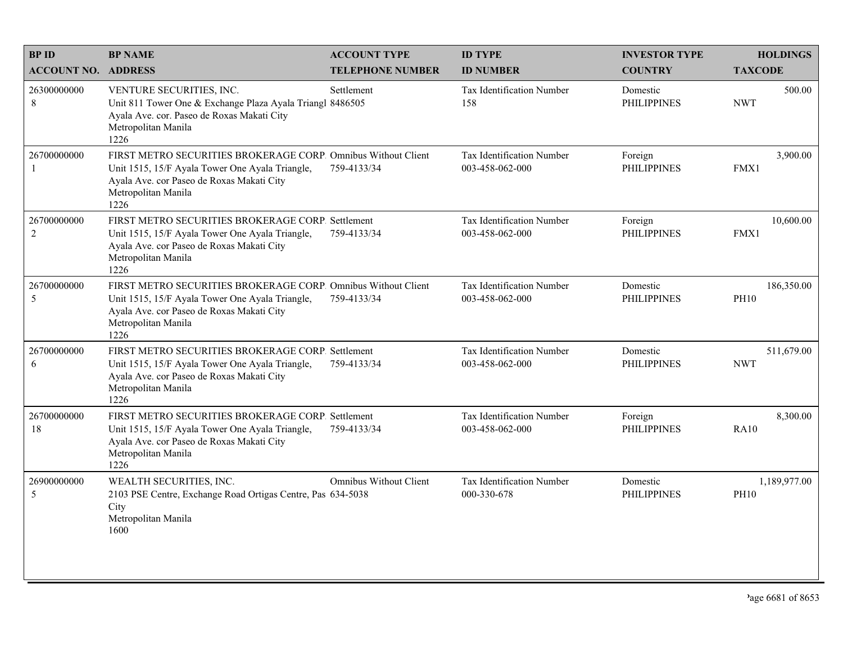| <b>BPID</b>                | <b>BP NAME</b>                                                                                                                                                                               | <b>ACCOUNT TYPE</b>     | <b>ID TYPE</b>                               | <b>INVESTOR TYPE</b>           | <b>HOLDINGS</b>             |
|----------------------------|----------------------------------------------------------------------------------------------------------------------------------------------------------------------------------------------|-------------------------|----------------------------------------------|--------------------------------|-----------------------------|
| <b>ACCOUNT NO. ADDRESS</b> |                                                                                                                                                                                              | <b>TELEPHONE NUMBER</b> | <b>ID NUMBER</b>                             | <b>COUNTRY</b>                 | <b>TAXCODE</b>              |
| 26300000000<br>8           | VENTURE SECURITIES, INC.<br>Unit 811 Tower One & Exchange Plaza Ayala Triangl 8486505<br>Ayala Ave. cor. Paseo de Roxas Makati City<br>Metropolitan Manila<br>1226                           | Settlement              | Tax Identification Number<br>158             | Domestic<br><b>PHILIPPINES</b> | 500.00<br><b>NWT</b>        |
| 26700000000                | FIRST METRO SECURITIES BROKERAGE CORP. Omnibus Without Client<br>Unit 1515, 15/F Ayala Tower One Ayala Triangle,<br>Ayala Ave. cor Paseo de Roxas Makati City<br>Metropolitan Manila<br>1226 | 759-4133/34             | Tax Identification Number<br>003-458-062-000 | Foreign<br><b>PHILIPPINES</b>  | 3,900.00<br>FMX1            |
| 26700000000<br>$\sqrt{2}$  | FIRST METRO SECURITIES BROKERAGE CORP. Settlement<br>Unit 1515, 15/F Ayala Tower One Ayala Triangle,<br>Ayala Ave. cor Paseo de Roxas Makati City<br>Metropolitan Manila<br>1226             | 759-4133/34             | Tax Identification Number<br>003-458-062-000 | Foreign<br><b>PHILIPPINES</b>  | 10,600.00<br>FMX1           |
| 26700000000<br>5           | FIRST METRO SECURITIES BROKERAGE CORP. Omnibus Without Client<br>Unit 1515, 15/F Ayala Tower One Ayala Triangle,<br>Ayala Ave. cor Paseo de Roxas Makati City<br>Metropolitan Manila<br>1226 | 759-4133/34             | Tax Identification Number<br>003-458-062-000 | Domestic<br><b>PHILIPPINES</b> | 186,350.00<br><b>PH10</b>   |
| 26700000000<br>6           | FIRST METRO SECURITIES BROKERAGE CORP. Settlement<br>Unit 1515, 15/F Ayala Tower One Ayala Triangle,<br>Ayala Ave. cor Paseo de Roxas Makati City<br>Metropolitan Manila<br>1226             | 759-4133/34             | Tax Identification Number<br>003-458-062-000 | Domestic<br><b>PHILIPPINES</b> | 511,679.00<br><b>NWT</b>    |
| 26700000000<br>18          | FIRST METRO SECURITIES BROKERAGE CORP. Settlement<br>Unit 1515, 15/F Ayala Tower One Ayala Triangle,<br>Ayala Ave. cor Paseo de Roxas Makati City<br>Metropolitan Manila<br>1226             | 759-4133/34             | Tax Identification Number<br>003-458-062-000 | Foreign<br><b>PHILIPPINES</b>  | 8,300.00<br><b>RA10</b>     |
| 26900000000<br>5           | WEALTH SECURITIES, INC.<br>2103 PSE Centre, Exchange Road Ortigas Centre, Pas 634-5038<br>City<br>Metropolitan Manila<br>1600                                                                | Omnibus Without Client  | Tax Identification Number<br>000-330-678     | Domestic<br><b>PHILIPPINES</b> | 1,189,977.00<br><b>PH10</b> |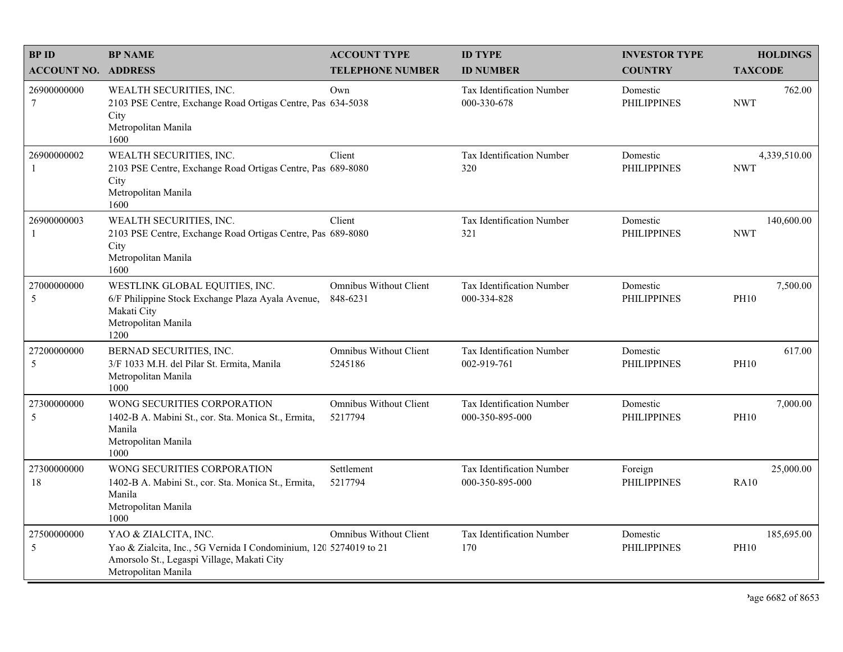| <b>BPID</b>                    | <b>BP NAME</b>                                                                                                                                                 | <b>ACCOUNT TYPE</b>                       | <b>ID TYPE</b>                                      | <b>INVESTOR TYPE</b>           | <b>HOLDINGS</b>            |
|--------------------------------|----------------------------------------------------------------------------------------------------------------------------------------------------------------|-------------------------------------------|-----------------------------------------------------|--------------------------------|----------------------------|
| <b>ACCOUNT NO. ADDRESS</b>     |                                                                                                                                                                | <b>TELEPHONE NUMBER</b>                   | <b>ID NUMBER</b>                                    | <b>COUNTRY</b>                 | <b>TAXCODE</b>             |
| 26900000000<br>$7\phantom{.0}$ | WEALTH SECURITIES, INC.<br>2103 PSE Centre, Exchange Road Ortigas Centre, Pas 634-5038<br>City<br>Metropolitan Manila<br>1600                                  | Own                                       | <b>Tax Identification Number</b><br>000-330-678     | Domestic<br><b>PHILIPPINES</b> | 762.00<br><b>NWT</b>       |
| 26900000002<br>$\mathbf{1}$    | WEALTH SECURITIES, INC.<br>2103 PSE Centre, Exchange Road Ortigas Centre, Pas 689-8080<br>City<br>Metropolitan Manila<br>1600                                  | Client                                    | <b>Tax Identification Number</b><br>320             | Domestic<br><b>PHILIPPINES</b> | 4,339,510.00<br><b>NWT</b> |
| 26900000003<br>-1              | WEALTH SECURITIES, INC.<br>2103 PSE Centre, Exchange Road Ortigas Centre, Pas 689-8080<br>City<br>Metropolitan Manila<br>1600                                  | Client                                    | Tax Identification Number<br>321                    | Domestic<br><b>PHILIPPINES</b> | 140,600.00<br><b>NWT</b>   |
| 27000000000<br>5               | WESTLINK GLOBAL EQUITIES, INC.<br>6/F Philippine Stock Exchange Plaza Ayala Avenue,<br>Makati City<br>Metropolitan Manila<br>1200                              | <b>Omnibus Without Client</b><br>848-6231 | Tax Identification Number<br>000-334-828            | Domestic<br><b>PHILIPPINES</b> | 7,500.00<br><b>PH10</b>    |
| 27200000000<br>5               | BERNAD SECURITIES, INC.<br>3/F 1033 M.H. del Pilar St. Ermita, Manila<br>Metropolitan Manila<br>1000                                                           | <b>Omnibus Without Client</b><br>5245186  | Tax Identification Number<br>002-919-761            | Domestic<br><b>PHILIPPINES</b> | 617.00<br><b>PH10</b>      |
| 27300000000<br>5               | WONG SECURITIES CORPORATION<br>1402-B A. Mabini St., cor. Sta. Monica St., Ermita,<br>Manila<br>Metropolitan Manila<br>1000                                    | <b>Omnibus Without Client</b><br>5217794  | <b>Tax Identification Number</b><br>000-350-895-000 | Domestic<br><b>PHILIPPINES</b> | 7,000.00<br><b>PH10</b>    |
| 27300000000<br>18              | WONG SECURITIES CORPORATION<br>1402-B A. Mabini St., cor. Sta. Monica St., Ermita,<br>Manila<br>Metropolitan Manila<br>1000                                    | Settlement<br>5217794                     | Tax Identification Number<br>000-350-895-000        | Foreign<br><b>PHILIPPINES</b>  | 25,000.00<br><b>RA10</b>   |
| 27500000000<br>5               | YAO & ZIALCITA, INC.<br>Yao & Zialcita, Inc., 5G Vernida I Condominium, 120 5274019 to 21<br>Amorsolo St., Legaspi Village, Makati City<br>Metropolitan Manila | <b>Omnibus Without Client</b>             | Tax Identification Number<br>170                    | Domestic<br><b>PHILIPPINES</b> | 185,695.00<br><b>PH10</b>  |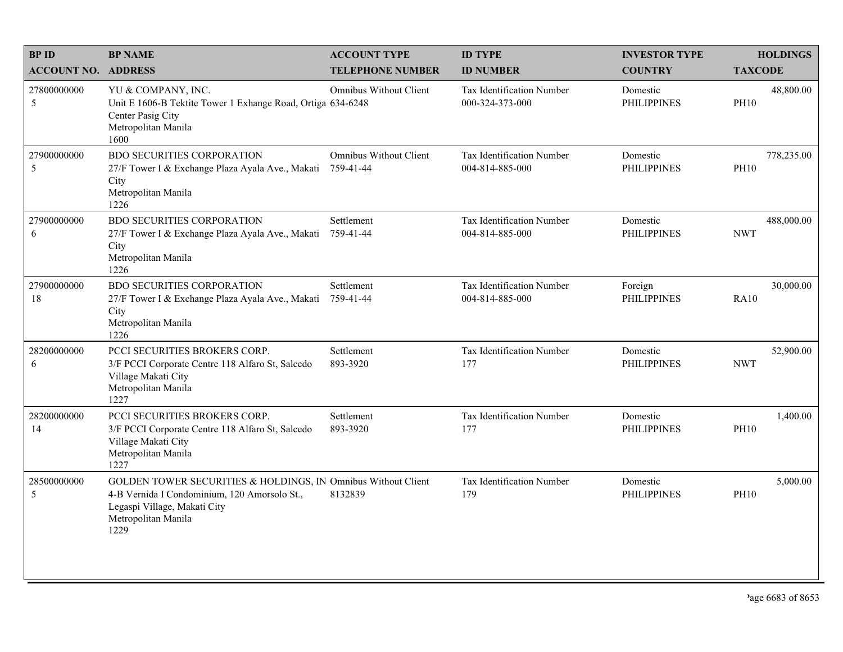| <b>BPID</b>                | <b>BP NAME</b>                                                                                                                                                               | <b>ACCOUNT TYPE</b>                        | <b>ID TYPE</b>                               | <b>INVESTOR TYPE</b>           | <b>HOLDINGS</b>           |
|----------------------------|------------------------------------------------------------------------------------------------------------------------------------------------------------------------------|--------------------------------------------|----------------------------------------------|--------------------------------|---------------------------|
| <b>ACCOUNT NO. ADDRESS</b> |                                                                                                                                                                              | <b>TELEPHONE NUMBER</b>                    | <b>ID NUMBER</b>                             | <b>COUNTRY</b>                 | <b>TAXCODE</b>            |
| 27800000000<br>5           | YU & COMPANY, INC.<br>Unit E 1606-B Tektite Tower 1 Exhange Road, Ortiga 634-6248<br>Center Pasig City<br>Metropolitan Manila<br>1600                                        | Omnibus Without Client                     | Tax Identification Number<br>000-324-373-000 | Domestic<br><b>PHILIPPINES</b> | 48,800.00<br><b>PH10</b>  |
| 27900000000<br>5           | <b>BDO SECURITIES CORPORATION</b><br>27/F Tower I & Exchange Plaza Ayala Ave., Makati<br>City<br>Metropolitan Manila<br>1226                                                 | <b>Omnibus Without Client</b><br>759-41-44 | Tax Identification Number<br>004-814-885-000 | Domestic<br><b>PHILIPPINES</b> | 778,235.00<br><b>PH10</b> |
| 27900000000<br>6           | BDO SECURITIES CORPORATION<br>27/F Tower I & Exchange Plaza Ayala Ave., Makati<br>City<br>Metropolitan Manila<br>1226                                                        | Settlement<br>759-41-44                    | Tax Identification Number<br>004-814-885-000 | Domestic<br><b>PHILIPPINES</b> | 488,000.00<br><b>NWT</b>  |
| 27900000000<br>18          | <b>BDO SECURITIES CORPORATION</b><br>27/F Tower I & Exchange Plaza Ayala Ave., Makati<br>City<br>Metropolitan Manila<br>1226                                                 | Settlement<br>759-41-44                    | Tax Identification Number<br>004-814-885-000 | Foreign<br><b>PHILIPPINES</b>  | 30,000.00<br><b>RA10</b>  |
| 28200000000<br>6           | PCCI SECURITIES BROKERS CORP.<br>3/F PCCI Corporate Centre 118 Alfaro St, Salcedo<br>Village Makati City<br>Metropolitan Manila<br>1227                                      | Settlement<br>893-3920                     | Tax Identification Number<br>177             | Domestic<br><b>PHILIPPINES</b> | 52,900.00<br><b>NWT</b>   |
| 28200000000<br>14          | PCCI SECURITIES BROKERS CORP.<br>3/F PCCI Corporate Centre 118 Alfaro St, Salcedo<br>Village Makati City<br>Metropolitan Manila<br>1227                                      | Settlement<br>893-3920                     | Tax Identification Number<br>177             | Domestic<br><b>PHILIPPINES</b> | 1,400.00<br><b>PH10</b>   |
| 28500000000<br>5           | GOLDEN TOWER SECURITIES & HOLDINGS, IN Omnibus Without Client<br>4-B Vernida I Condominium, 120 Amorsolo St.,<br>Legaspi Village, Makati City<br>Metropolitan Manila<br>1229 | 8132839                                    | Tax Identification Number<br>179             | Domestic<br><b>PHILIPPINES</b> | 5,000.00<br><b>PH10</b>   |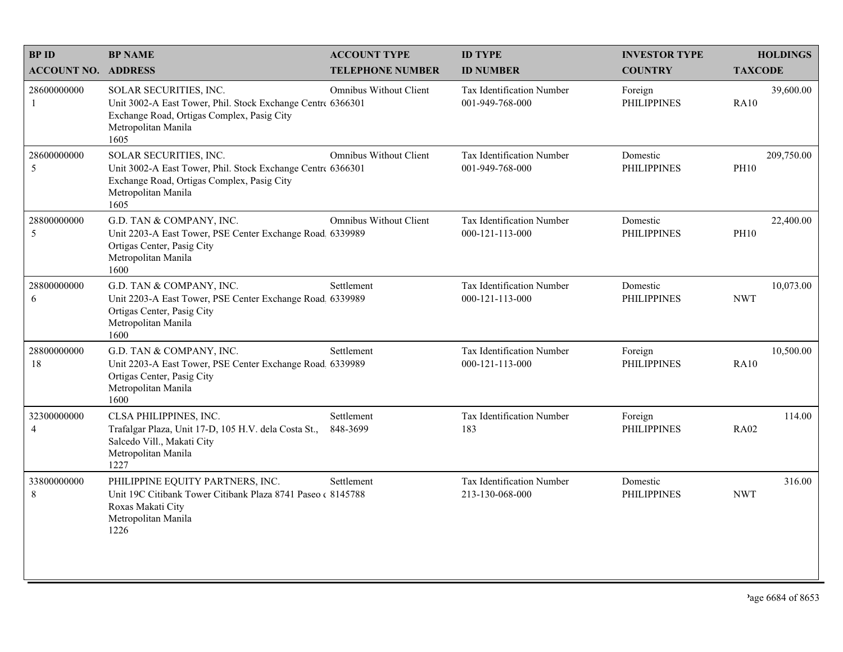| <b>BPID</b>                   | <b>BP NAME</b>                                                                                                                                                     | <b>ACCOUNT TYPE</b>           | <b>ID TYPE</b>                                       | <b>INVESTOR TYPE</b>           | <b>HOLDINGS</b>           |
|-------------------------------|--------------------------------------------------------------------------------------------------------------------------------------------------------------------|-------------------------------|------------------------------------------------------|--------------------------------|---------------------------|
| <b>ACCOUNT NO. ADDRESS</b>    |                                                                                                                                                                    | <b>TELEPHONE NUMBER</b>       | <b>ID NUMBER</b>                                     | <b>COUNTRY</b>                 | <b>TAXCODE</b>            |
| 28600000000<br>1              | SOLAR SECURITIES, INC.<br>Unit 3002-A East Tower, Phil. Stock Exchange Centre 6366301<br>Exchange Road, Ortigas Complex, Pasig City<br>Metropolitan Manila<br>1605 | Omnibus Without Client        | <b>Tax Identification Number</b><br>001-949-768-000  | Foreign<br><b>PHILIPPINES</b>  | 39,600.00<br><b>RA10</b>  |
| 28600000000<br>5              | SOLAR SECURITIES, INC.<br>Unit 3002-A East Tower, Phil. Stock Exchange Centre 6366301<br>Exchange Road, Ortigas Complex, Pasig City<br>Metropolitan Manila<br>1605 | <b>Omnibus Without Client</b> | Tax Identification Number<br>001-949-768-000         | Domestic<br><b>PHILIPPINES</b> | 209,750.00<br><b>PH10</b> |
| 28800000000<br>5              | G.D. TAN & COMPANY, INC.<br>Unit 2203-A East Tower, PSE Center Exchange Road 6339989<br>Ortigas Center, Pasig City<br>Metropolitan Manila<br>1600                  | <b>Omnibus Without Client</b> | Tax Identification Number<br>$000 - 121 - 113 - 000$ | Domestic<br><b>PHILIPPINES</b> | 22,400.00<br><b>PH10</b>  |
| 28800000000<br>6              | G.D. TAN & COMPANY, INC.<br>Unit 2203-A East Tower, PSE Center Exchange Road 6339989<br>Ortigas Center, Pasig City<br>Metropolitan Manila<br>1600                  | Settlement                    | Tax Identification Number<br>000-121-113-000         | Domestic<br><b>PHILIPPINES</b> | 10,073.00<br><b>NWT</b>   |
| 28800000000<br>18             | G.D. TAN & COMPANY, INC.<br>Unit 2203-A East Tower, PSE Center Exchange Road, 6339989<br>Ortigas Center, Pasig City<br>Metropolitan Manila<br>1600                 | Settlement                    | <b>Tax Identification Number</b><br>000-121-113-000  | Foreign<br><b>PHILIPPINES</b>  | 10,500.00<br><b>RA10</b>  |
| 32300000000<br>$\overline{4}$ | CLSA PHILIPPINES, INC.<br>Trafalgar Plaza, Unit 17-D, 105 H.V. dela Costa St.,<br>Salcedo Vill., Makati City<br>Metropolitan Manila<br>1227                        | Settlement<br>848-3699        | Tax Identification Number<br>183                     | Foreign<br><b>PHILIPPINES</b>  | 114.00<br><b>RA02</b>     |
| 33800000000<br>$\,8\,$        | PHILIPPINE EQUITY PARTNERS, INC.<br>Unit 19C Citibank Tower Citibank Plaza 8741 Paseo (8145788)<br>Roxas Makati City<br>Metropolitan Manila<br>1226                | Settlement                    | Tax Identification Number<br>213-130-068-000         | Domestic<br><b>PHILIPPINES</b> | 316.00<br><b>NWT</b>      |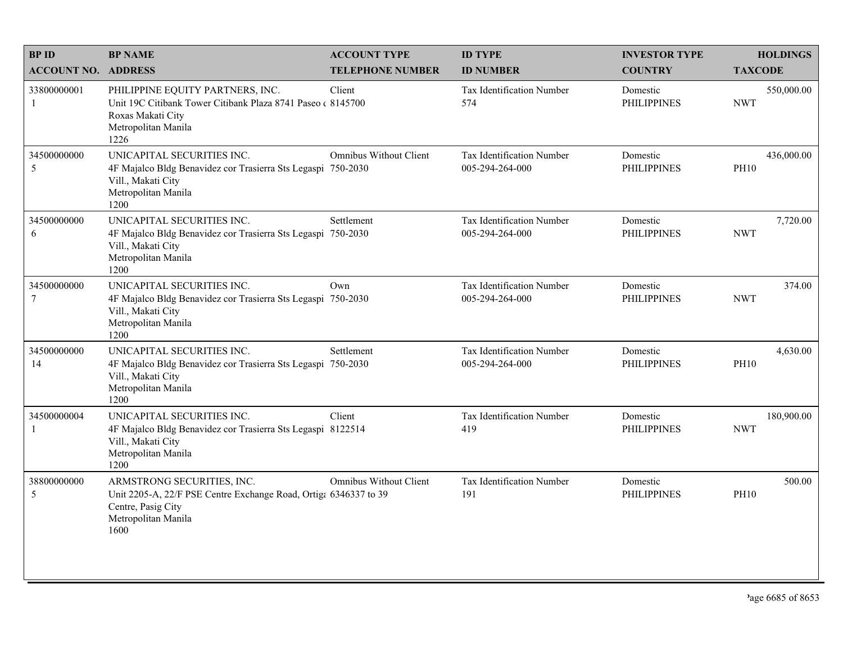| <b>BPID</b>                   | <b>BP NAME</b>                                                                                                                                      | <b>ACCOUNT TYPE</b>           | <b>ID TYPE</b>                               | <b>INVESTOR TYPE</b>           | <b>HOLDINGS</b>           |
|-------------------------------|-----------------------------------------------------------------------------------------------------------------------------------------------------|-------------------------------|----------------------------------------------|--------------------------------|---------------------------|
| <b>ACCOUNT NO. ADDRESS</b>    |                                                                                                                                                     | <b>TELEPHONE NUMBER</b>       | <b>ID NUMBER</b>                             | <b>COUNTRY</b>                 | <b>TAXCODE</b>            |
| 33800000001<br>-1             | PHILIPPINE EQUITY PARTNERS, INC.<br>Unit 19C Citibank Tower Citibank Plaza 8741 Paseo (8145700)<br>Roxas Makati City<br>Metropolitan Manila<br>1226 | Client                        | <b>Tax Identification Number</b><br>574      | Domestic<br><b>PHILIPPINES</b> | 550,000.00<br><b>NWT</b>  |
| 34500000000<br>5              | UNICAPITAL SECURITIES INC.<br>4F Majalco Bldg Benavidez cor Trasierra Sts Legaspi 750-2030<br>Vill., Makati City<br>Metropolitan Manila<br>1200     | <b>Omnibus Without Client</b> | Tax Identification Number<br>005-294-264-000 | Domestic<br><b>PHILIPPINES</b> | 436,000.00<br><b>PH10</b> |
| 34500000000<br>6              | UNICAPITAL SECURITIES INC.<br>4F Majalco Bldg Benavidez cor Trasierra Sts Legaspi 750-2030<br>Vill., Makati City<br>Metropolitan Manila<br>1200     | Settlement                    | Tax Identification Number<br>005-294-264-000 | Domestic<br><b>PHILIPPINES</b> | 7,720.00<br><b>NWT</b>    |
| 34500000000<br>$\overline{7}$ | UNICAPITAL SECURITIES INC.<br>4F Majalco Bldg Benavidez cor Trasierra Sts Legaspi 750-2030<br>Vill., Makati City<br>Metropolitan Manila<br>1200     | Own                           | Tax Identification Number<br>005-294-264-000 | Domestic<br><b>PHILIPPINES</b> | 374.00<br><b>NWT</b>      |
| 34500000000<br>14             | UNICAPITAL SECURITIES INC.<br>4F Majalco Bldg Benavidez cor Trasierra Sts Legaspi 750-2030<br>Vill., Makati City<br>Metropolitan Manila<br>1200     | Settlement                    | Tax Identification Number<br>005-294-264-000 | Domestic<br><b>PHILIPPINES</b> | 4,630.00<br><b>PH10</b>   |
| 34500000004<br>-1             | UNICAPITAL SECURITIES INC.<br>4F Majalco Bldg Benavidez cor Trasierra Sts Legaspi 8122514<br>Vill., Makati City<br>Metropolitan Manila<br>1200      | Client                        | Tax Identification Number<br>419             | Domestic<br><b>PHILIPPINES</b> | 180,900.00<br><b>NWT</b>  |
| 38800000000<br>5              | ARMSTRONG SECURITIES, INC.<br>Unit 2205-A, 22/F PSE Centre Exchange Road, Ortiga 6346337 to 39<br>Centre, Pasig City<br>Metropolitan Manila<br>1600 | <b>Omnibus Without Client</b> | Tax Identification Number<br>191             | Domestic<br><b>PHILIPPINES</b> | 500.00<br><b>PH10</b>     |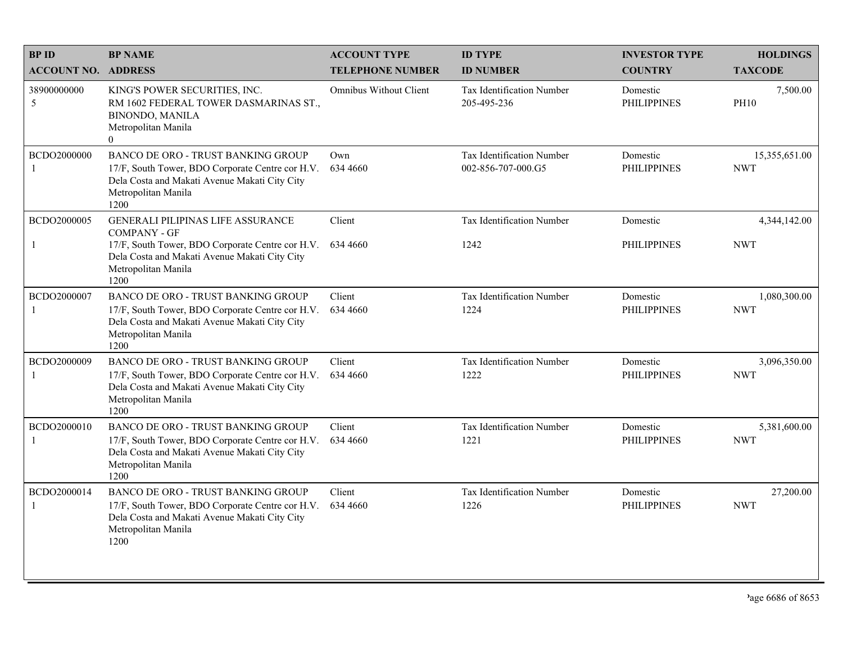| <b>BPID</b>                 | <b>BP NAME</b>                                                                                                                                                                | <b>ACCOUNT TYPE</b>           | <b>ID TYPE</b>                                  | <b>INVESTOR TYPE</b>           | <b>HOLDINGS</b>             |
|-----------------------------|-------------------------------------------------------------------------------------------------------------------------------------------------------------------------------|-------------------------------|-------------------------------------------------|--------------------------------|-----------------------------|
| <b>ACCOUNT NO. ADDRESS</b>  |                                                                                                                                                                               | <b>TELEPHONE NUMBER</b>       | <b>ID NUMBER</b>                                | <b>COUNTRY</b>                 | <b>TAXCODE</b>              |
| 38900000000<br>5            | KING'S POWER SECURITIES, INC.<br>RM 1602 FEDERAL TOWER DASMARINAS ST.,<br><b>BINONDO, MANILA</b><br>Metropolitan Manila<br>$\mathbf{0}$                                       | <b>Omnibus Without Client</b> | <b>Tax Identification Number</b><br>205-495-236 | Domestic<br><b>PHILIPPINES</b> | 7,500.00<br><b>PH10</b>     |
| BCDO2000000<br>$\mathbf{1}$ | BANCO DE ORO - TRUST BANKING GROUP<br>17/F, South Tower, BDO Corporate Centre cor H.V.<br>Dela Costa and Makati Avenue Makati City City<br>Metropolitan Manila<br>1200        | Own<br>634 4660               | Tax Identification Number<br>002-856-707-000.G5 | Domestic<br><b>PHILIPPINES</b> | 15,355,651.00<br><b>NWT</b> |
| BCDO2000005                 | <b>GENERALI PILIPINAS LIFE ASSURANCE</b><br><b>COMPANY - GF</b>                                                                                                               | Client                        | Tax Identification Number                       | Domestic                       | 4,344,142.00                |
| -1                          | 17/F, South Tower, BDO Corporate Centre cor H.V.<br>Dela Costa and Makati Avenue Makati City City<br>Metropolitan Manila<br>1200                                              | 634 4660                      | 1242                                            | <b>PHILIPPINES</b>             | <b>NWT</b>                  |
| BCDO2000007<br>$\mathbf{1}$ | <b>BANCO DE ORO - TRUST BANKING GROUP</b><br>17/F, South Tower, BDO Corporate Centre cor H.V.<br>Dela Costa and Makati Avenue Makati City City<br>Metropolitan Manila<br>1200 | Client<br>634 4660            | Tax Identification Number<br>1224               | Domestic<br><b>PHILIPPINES</b> | 1,080,300.00<br><b>NWT</b>  |
| BCDO2000009<br>$\mathbf{1}$ | <b>BANCO DE ORO - TRUST BANKING GROUP</b><br>17/F, South Tower, BDO Corporate Centre cor H.V.<br>Dela Costa and Makati Avenue Makati City City<br>Metropolitan Manila<br>1200 | Client<br>634 4660            | Tax Identification Number<br>1222               | Domestic<br><b>PHILIPPINES</b> | 3,096,350.00<br><b>NWT</b>  |
| BCDO2000010<br>-1           | <b>BANCO DE ORO - TRUST BANKING GROUP</b><br>17/F, South Tower, BDO Corporate Centre cor H.V.<br>Dela Costa and Makati Avenue Makati City City<br>Metropolitan Manila<br>1200 | Client<br>634 4660            | Tax Identification Number<br>1221               | Domestic<br><b>PHILIPPINES</b> | 5,381,600.00<br><b>NWT</b>  |
| BCDO2000014<br>$\mathbf{1}$ | <b>BANCO DE ORO - TRUST BANKING GROUP</b><br>17/F, South Tower, BDO Corporate Centre cor H.V.<br>Dela Costa and Makati Avenue Makati City City<br>Metropolitan Manila<br>1200 | Client<br>634 4660            | Tax Identification Number<br>1226               | Domestic<br><b>PHILIPPINES</b> | 27,200.00<br><b>NWT</b>     |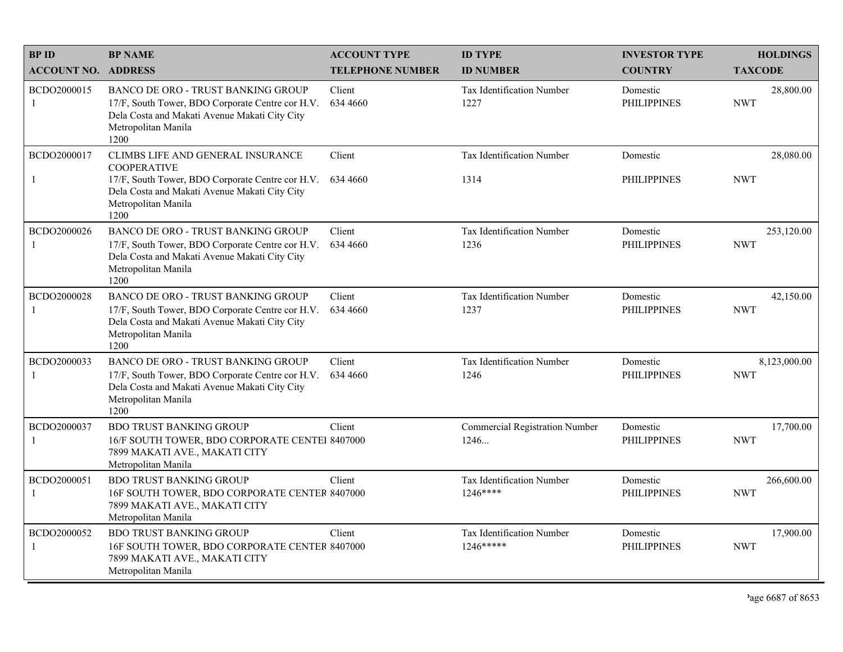| <b>BPID</b>                 | <b>BP NAME</b>                                                                                                                                                                              | <b>ACCOUNT TYPE</b>     | <b>ID TYPE</b>                                | <b>INVESTOR TYPE</b>           | <b>HOLDINGS</b>            |
|-----------------------------|---------------------------------------------------------------------------------------------------------------------------------------------------------------------------------------------|-------------------------|-----------------------------------------------|--------------------------------|----------------------------|
| <b>ACCOUNT NO. ADDRESS</b>  |                                                                                                                                                                                             | <b>TELEPHONE NUMBER</b> | <b>ID NUMBER</b>                              | <b>COUNTRY</b>                 | <b>TAXCODE</b>             |
| BCDO2000015<br>-1           | <b>BANCO DE ORO - TRUST BANKING GROUP</b><br>17/F, South Tower, BDO Corporate Centre cor H.V.<br>Dela Costa and Makati Avenue Makati City City<br>Metropolitan Manila<br>1200               | Client<br>634 4660      | <b>Tax Identification Number</b><br>1227      | Domestic<br><b>PHILIPPINES</b> | 28,800.00<br><b>NWT</b>    |
| BCDO2000017<br>-1           | CLIMBS LIFE AND GENERAL INSURANCE<br><b>COOPERATIVE</b><br>17/F, South Tower, BDO Corporate Centre cor H.V.<br>Dela Costa and Makati Avenue Makati City City<br>Metropolitan Manila<br>1200 | Client<br>634 4660      | Tax Identification Number<br>1314             | Domestic<br><b>PHILIPPINES</b> | 28,080.00<br><b>NWT</b>    |
| BCDO2000026<br>-1           | <b>BANCO DE ORO - TRUST BANKING GROUP</b><br>17/F, South Tower, BDO Corporate Centre cor H.V.<br>Dela Costa and Makati Avenue Makati City City<br>Metropolitan Manila<br>1200               | Client<br>634 4660      | Tax Identification Number<br>1236             | Domestic<br><b>PHILIPPINES</b> | 253,120.00<br><b>NWT</b>   |
| BCDO2000028<br>$\mathbf{1}$ | BANCO DE ORO - TRUST BANKING GROUP<br>17/F, South Tower, BDO Corporate Centre cor H.V.<br>Dela Costa and Makati Avenue Makati City City<br>Metropolitan Manila<br>1200                      | Client<br>634 4660      | Tax Identification Number<br>1237             | Domestic<br><b>PHILIPPINES</b> | 42,150.00<br><b>NWT</b>    |
| BCDO2000033<br>-1           | <b>BANCO DE ORO - TRUST BANKING GROUP</b><br>17/F, South Tower, BDO Corporate Centre cor H.V.<br>Dela Costa and Makati Avenue Makati City City<br>Metropolitan Manila<br>1200               | Client<br>634 4660      | Tax Identification Number<br>1246             | Domestic<br><b>PHILIPPINES</b> | 8,123,000.00<br><b>NWT</b> |
| BCDO2000037<br>$\mathbf{1}$ | <b>BDO TRUST BANKING GROUP</b><br>16/F SOUTH TOWER, BDO CORPORATE CENTEI 8407000<br>7899 MAKATI AVE., MAKATI CITY<br>Metropolitan Manila                                                    | Client                  | <b>Commercial Registration Number</b><br>1246 | Domestic<br><b>PHILIPPINES</b> | 17,700.00<br><b>NWT</b>    |
| BCDO2000051<br>-1           | <b>BDO TRUST BANKING GROUP</b><br>16F SOUTH TOWER, BDO CORPORATE CENTER 8407000<br>7899 MAKATI AVE., MAKATI CITY<br>Metropolitan Manila                                                     | Client                  | Tax Identification Number<br>$1246***$        | Domestic<br><b>PHILIPPINES</b> | 266,600.00<br><b>NWT</b>   |
| BCDO2000052<br>-1           | <b>BDO TRUST BANKING GROUP</b><br>16F SOUTH TOWER, BDO CORPORATE CENTER 8407000<br>7899 MAKATI AVE., MAKATI CITY<br>Metropolitan Manila                                                     | Client                  | <b>Tax Identification Number</b><br>1246***** | Domestic<br><b>PHILIPPINES</b> | 17,900.00<br><b>NWT</b>    |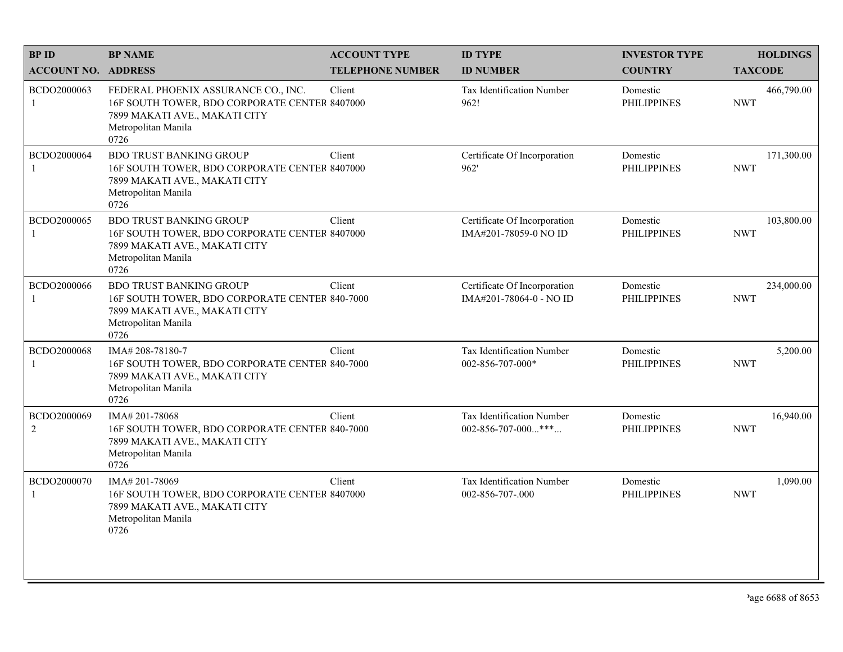| <b>BPID</b>                   | <b>BP NAME</b>                                                                                                                                       | <b>ACCOUNT TYPE</b>     | <b>ID TYPE</b>                                          | <b>INVESTOR TYPE</b>           | <b>HOLDINGS</b>          |
|-------------------------------|------------------------------------------------------------------------------------------------------------------------------------------------------|-------------------------|---------------------------------------------------------|--------------------------------|--------------------------|
| <b>ACCOUNT NO. ADDRESS</b>    |                                                                                                                                                      | <b>TELEPHONE NUMBER</b> | <b>ID NUMBER</b>                                        | <b>COUNTRY</b>                 | <b>TAXCODE</b>           |
| BCDO2000063<br>1              | FEDERAL PHOENIX ASSURANCE CO., INC.<br>16F SOUTH TOWER, BDO CORPORATE CENTER 8407000<br>7899 MAKATI AVE., MAKATI CITY<br>Metropolitan Manila<br>0726 | Client                  | Tax Identification Number<br>962!                       | Domestic<br><b>PHILIPPINES</b> | 466,790.00<br><b>NWT</b> |
| BCDO2000064                   | <b>BDO TRUST BANKING GROUP</b><br>16F SOUTH TOWER, BDO CORPORATE CENTER 8407000<br>7899 MAKATI AVE., MAKATI CITY<br>Metropolitan Manila<br>0726      | Client                  | Certificate Of Incorporation<br>962'                    | Domestic<br><b>PHILIPPINES</b> | 171,300.00<br><b>NWT</b> |
| BCDO2000065                   | <b>BDO TRUST BANKING GROUP</b><br>16F SOUTH TOWER, BDO CORPORATE CENTER 8407000<br>7899 MAKATI AVE., MAKATI CITY<br>Metropolitan Manila<br>0726      | Client                  | Certificate Of Incorporation<br>IMA#201-78059-0 NO ID   | Domestic<br><b>PHILIPPINES</b> | 103,800.00<br><b>NWT</b> |
| BCDO2000066                   | <b>BDO TRUST BANKING GROUP</b><br>16F SOUTH TOWER, BDO CORPORATE CENTER 840-7000<br>7899 MAKATI AVE., MAKATI CITY<br>Metropolitan Manila<br>0726     | Client                  | Certificate Of Incorporation<br>IMA#201-78064-0 - NO ID | Domestic<br><b>PHILIPPINES</b> | 234,000.00<br><b>NWT</b> |
| BCDO2000068                   | IMA#208-78180-7<br>16F SOUTH TOWER, BDO CORPORATE CENTER 840-7000<br>7899 MAKATI AVE., MAKATI CITY<br>Metropolitan Manila<br>0726                    | Client                  | Tax Identification Number<br>002-856-707-000*           | Domestic<br><b>PHILIPPINES</b> | 5,200.00<br><b>NWT</b>   |
| BCDO2000069<br>$\overline{2}$ | IMA# 201-78068<br>16F SOUTH TOWER, BDO CORPORATE CENTER 840-7000<br>7899 MAKATI AVE., MAKATI CITY<br>Metropolitan Manila<br>0726                     | Client                  | Tax Identification Number<br>002-856-707-000***         | Domestic<br><b>PHILIPPINES</b> | 16,940.00<br><b>NWT</b>  |
| BCDO2000070<br>1              | IMA# 201-78069<br>16F SOUTH TOWER, BDO CORPORATE CENTER 8407000<br>7899 MAKATI AVE., MAKATI CITY<br>Metropolitan Manila<br>0726                      | Client                  | Tax Identification Number<br>002-856-707-.000           | Domestic<br><b>PHILIPPINES</b> | 1,090.00<br><b>NWT</b>   |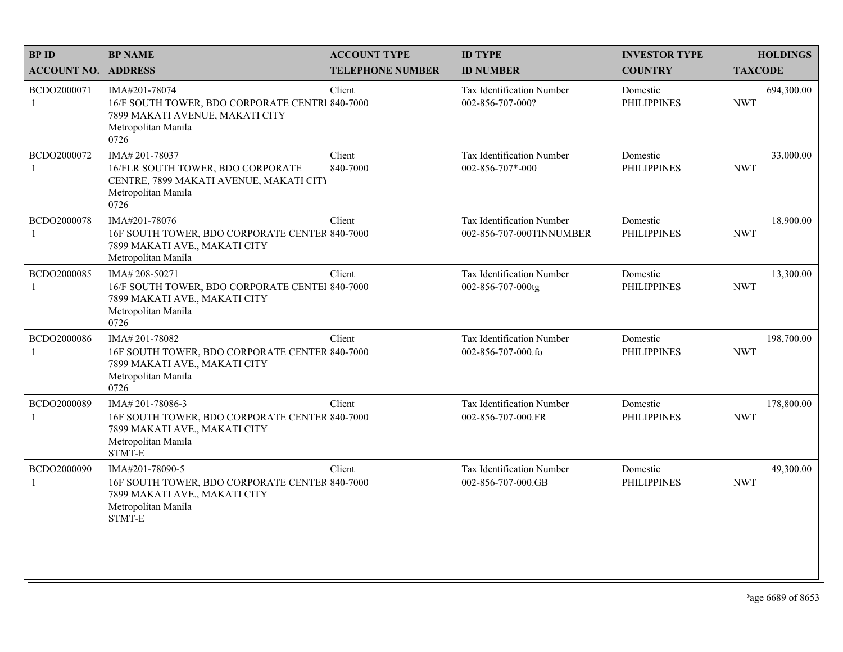| <b>BP NAME</b>                                                                                                               | <b>ACCOUNT TYPE</b>     | <b>ID TYPE</b>                                                                                                                                                                                                                                                                                             | <b>INVESTOR TYPE</b>           | <b>HOLDINGS</b>          |
|------------------------------------------------------------------------------------------------------------------------------|-------------------------|------------------------------------------------------------------------------------------------------------------------------------------------------------------------------------------------------------------------------------------------------------------------------------------------------------|--------------------------------|--------------------------|
| <b>ACCOUNT NO. ADDRESS</b>                                                                                                   | <b>TELEPHONE NUMBER</b> | <b>ID NUMBER</b>                                                                                                                                                                                                                                                                                           | <b>COUNTRY</b>                 | <b>TAXCODE</b>           |
| IMA#201-78074<br>7899 MAKATI AVENUE, MAKATI CITY<br>Metropolitan Manila<br>0726                                              | Client                  | Tax Identification Number<br>002-856-707-000?                                                                                                                                                                                                                                                              | Domestic<br><b>PHILIPPINES</b> | 694,300.00<br><b>NWT</b> |
| IMA#201-78037<br>16/FLR SOUTH TOWER, BDO CORPORATE<br>CENTRE, 7899 MAKATI AVENUE, MAKATI CITY<br>Metropolitan Manila<br>0726 | Client<br>840-7000      | Tax Identification Number<br>002-856-707*-000                                                                                                                                                                                                                                                              | Domestic<br><b>PHILIPPINES</b> | 33,000.00<br><b>NWT</b>  |
| IMA#201-78076<br>7899 MAKATI AVE., MAKATI CITY<br>Metropolitan Manila                                                        | Client                  | <b>Tax Identification Number</b><br>002-856-707-000TINNUMBER                                                                                                                                                                                                                                               | Domestic<br><b>PHILIPPINES</b> | 18,900.00<br><b>NWT</b>  |
| IMA# 208-50271<br>7899 MAKATI AVE., MAKATI CITY<br>Metropolitan Manila<br>0726                                               | Client                  | Tax Identification Number<br>002-856-707-000tg                                                                                                                                                                                                                                                             | Domestic<br><b>PHILIPPINES</b> | 13,300.00<br><b>NWT</b>  |
| IMA#201-78082<br>7899 MAKATI AVE., MAKATI CITY<br>Metropolitan Manila<br>0726                                                | Client                  | Tax Identification Number<br>002-856-707-000.fo                                                                                                                                                                                                                                                            | Domestic<br><b>PHILIPPINES</b> | 198,700.00<br><b>NWT</b> |
| IMA# 201-78086-3<br>7899 MAKATI AVE., MAKATI CITY<br>Metropolitan Manila<br>STMT-E                                           | Client                  | Tax Identification Number<br>002-856-707-000.FR                                                                                                                                                                                                                                                            | Domestic<br><b>PHILIPPINES</b> | 178,800.00<br><b>NWT</b> |
| IMA#201-78090-5<br>7899 MAKATI AVE., MAKATI CITY<br>Metropolitan Manila<br>STMT-E                                            | Client                  | <b>Tax Identification Number</b><br>002-856-707-000.GB                                                                                                                                                                                                                                                     | Domestic<br><b>PHILIPPINES</b> | 49,300.00<br><b>NWT</b>  |
|                                                                                                                              |                         | 16/F SOUTH TOWER, BDO CORPORATE CENTR1 840-7000<br>16F SOUTH TOWER, BDO CORPORATE CENTER 840-7000<br>16/F SOUTH TOWER, BDO CORPORATE CENTEI 840-7000<br>16F SOUTH TOWER, BDO CORPORATE CENTER 840-7000<br>16F SOUTH TOWER, BDO CORPORATE CENTER 840-7000<br>16F SOUTH TOWER, BDO CORPORATE CENTER 840-7000 |                                |                          |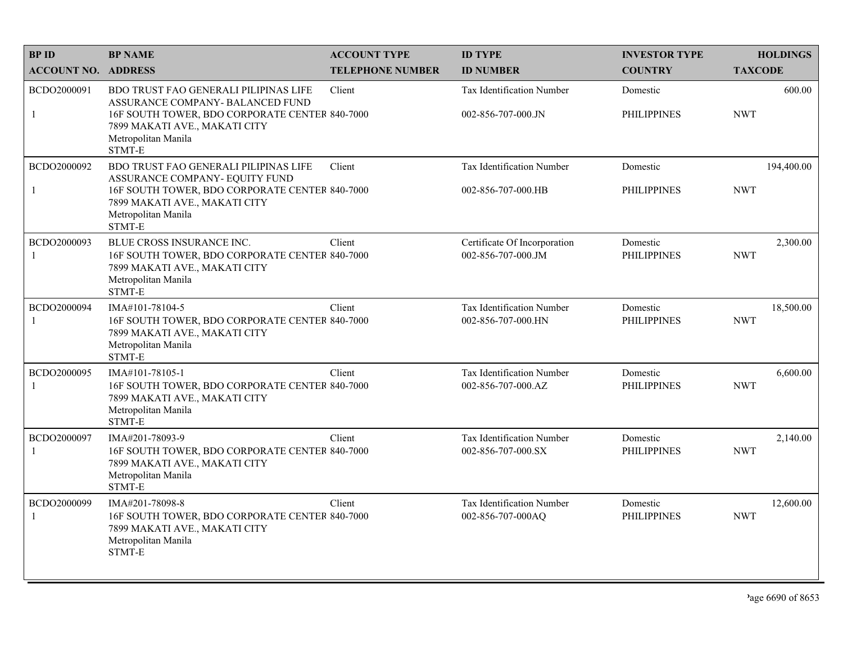| <b>BPID</b>                 | <b>BP NAME</b>                                                                                                                                                                                       | <b>ACCOUNT TYPE</b>     | <b>ID TYPE</b>                                         | <b>INVESTOR TYPE</b>           | <b>HOLDINGS</b>          |
|-----------------------------|------------------------------------------------------------------------------------------------------------------------------------------------------------------------------------------------------|-------------------------|--------------------------------------------------------|--------------------------------|--------------------------|
| <b>ACCOUNT NO. ADDRESS</b>  |                                                                                                                                                                                                      | <b>TELEPHONE NUMBER</b> | <b>ID NUMBER</b>                                       | <b>COUNTRY</b>                 | <b>TAXCODE</b>           |
| BCDO2000091<br>$\mathbf{1}$ | <b>BDO TRUST FAO GENERALI PILIPINAS LIFE</b><br>ASSURANCE COMPANY- BALANCED FUND<br>16F SOUTH TOWER, BDO CORPORATE CENTER 840-7000<br>7899 MAKATI AVE., MAKATI CITY<br>Metropolitan Manila<br>STMT-E | Client                  | <b>Tax Identification Number</b><br>002-856-707-000.JN | Domestic<br><b>PHILIPPINES</b> | 600.00<br><b>NWT</b>     |
| BCDO2000092<br>$\mathbf{1}$ | <b>BDO TRUST FAO GENERALI PILIPINAS LIFE</b><br>ASSURANCE COMPANY- EQUITY FUND<br>16F SOUTH TOWER, BDO CORPORATE CENTER 840-7000<br>7899 MAKATI AVE., MAKATI CITY<br>Metropolitan Manila<br>STMT-E   | Client                  | <b>Tax Identification Number</b><br>002-856-707-000.HB | Domestic<br><b>PHILIPPINES</b> | 194,400.00<br><b>NWT</b> |
| BCDO2000093<br>$\mathbf{1}$ | BLUE CROSS INSURANCE INC.<br>16F SOUTH TOWER, BDO CORPORATE CENTER 840-7000<br>7899 MAKATI AVE., MAKATI CITY<br>Metropolitan Manila<br>STMT-E                                                        | Client                  | Certificate Of Incorporation<br>002-856-707-000.JM     | Domestic<br><b>PHILIPPINES</b> | 2,300.00<br><b>NWT</b>   |
| BCDO2000094<br>-1           | IMA#101-78104-5<br>16F SOUTH TOWER, BDO CORPORATE CENTER 840-7000<br>7899 MAKATI AVE., MAKATI CITY<br>Metropolitan Manila<br>STMT-E                                                                  | Client                  | Tax Identification Number<br>002-856-707-000.HN        | Domestic<br><b>PHILIPPINES</b> | 18,500.00<br><b>NWT</b>  |
| BCDO2000095<br>-1           | IMA#101-78105-1<br>16F SOUTH TOWER, BDO CORPORATE CENTER 840-7000<br>7899 MAKATI AVE., MAKATI CITY<br>Metropolitan Manila<br>STMT-E                                                                  | Client                  | Tax Identification Number<br>002-856-707-000.AZ        | Domestic<br><b>PHILIPPINES</b> | 6,600.00<br><b>NWT</b>   |
| BCDO2000097<br>-1           | IMA#201-78093-9<br>16F SOUTH TOWER, BDO CORPORATE CENTER 840-7000<br>7899 MAKATI AVE., MAKATI CITY<br>Metropolitan Manila<br>STMT-E                                                                  | Client                  | Tax Identification Number<br>002-856-707-000.SX        | Domestic<br><b>PHILIPPINES</b> | 2,140.00<br><b>NWT</b>   |
| BCDO2000099<br>-1           | IMA#201-78098-8<br>16F SOUTH TOWER, BDO CORPORATE CENTER 840-7000<br>7899 MAKATI AVE., MAKATI CITY<br>Metropolitan Manila<br>STMT-E                                                                  | Client                  | <b>Tax Identification Number</b><br>002-856-707-000AO  | Domestic<br><b>PHILIPPINES</b> | 12,600.00<br><b>NWT</b>  |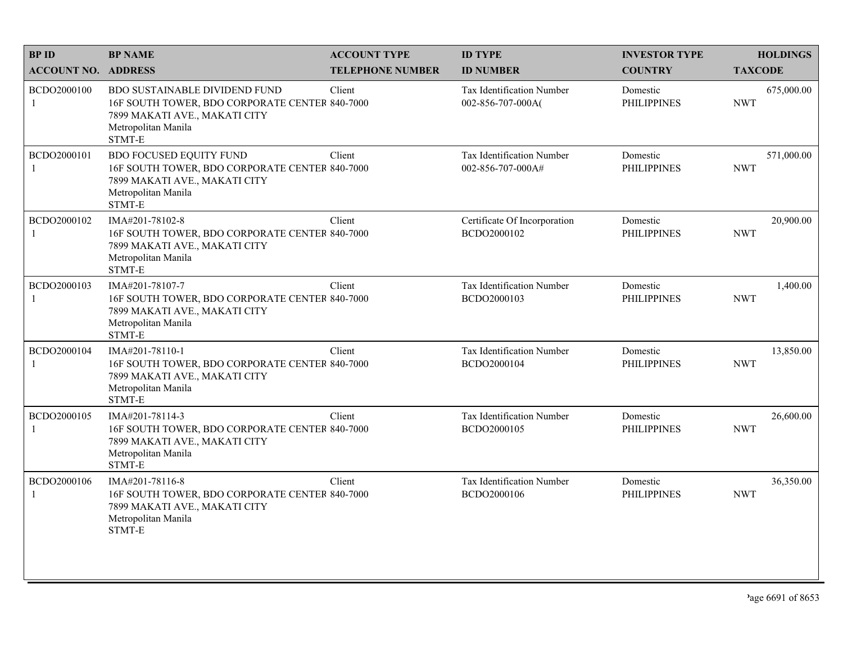| <b>BPID</b>                 | <b>BP NAME</b>                                                                                                                                           | <b>ACCOUNT TYPE</b>     | <b>ID TYPE</b>                                 | <b>INVESTOR TYPE</b>           | <b>HOLDINGS</b>          |
|-----------------------------|----------------------------------------------------------------------------------------------------------------------------------------------------------|-------------------------|------------------------------------------------|--------------------------------|--------------------------|
| <b>ACCOUNT NO. ADDRESS</b>  |                                                                                                                                                          | <b>TELEPHONE NUMBER</b> | <b>ID NUMBER</b>                               | <b>COUNTRY</b>                 | <b>TAXCODE</b>           |
| BCDO2000100<br>1            | <b>BDO SUSTAINABLE DIVIDEND FUND</b><br>16F SOUTH TOWER, BDO CORPORATE CENTER 840-7000<br>7899 MAKATI AVE., MAKATI CITY<br>Metropolitan Manila<br>STMT-E | Client                  | Tax Identification Number<br>002-856-707-000A  | Domestic<br><b>PHILIPPINES</b> | 675,000.00<br><b>NWT</b> |
| BCDO2000101<br>$\mathbf{1}$ | <b>BDO FOCUSED EQUITY FUND</b><br>16F SOUTH TOWER, BDO CORPORATE CENTER 840-7000<br>7899 MAKATI AVE., MAKATI CITY<br>Metropolitan Manila<br>STMT-E       | Client                  | Tax Identification Number<br>002-856-707-000A# | Domestic<br><b>PHILIPPINES</b> | 571,000.00<br><b>NWT</b> |
| BCDO2000102                 | IMA#201-78102-8<br>16F SOUTH TOWER, BDO CORPORATE CENTER 840-7000<br>7899 MAKATI AVE., MAKATI CITY<br>Metropolitan Manila<br>STMT-E                      | Client                  | Certificate Of Incorporation<br>BCDO2000102    | Domestic<br><b>PHILIPPINES</b> | 20,900.00<br><b>NWT</b>  |
| BCDO2000103                 | IMA#201-78107-7<br>16F SOUTH TOWER, BDO CORPORATE CENTER 840-7000<br>7899 MAKATI AVE., MAKATI CITY<br>Metropolitan Manila<br>STMT-E                      | Client                  | Tax Identification Number<br>BCDO2000103       | Domestic<br><b>PHILIPPINES</b> | 1,400.00<br><b>NWT</b>   |
| BCDO2000104                 | IMA#201-78110-1<br>16F SOUTH TOWER, BDO CORPORATE CENTER 840-7000<br>7899 MAKATI AVE., MAKATI CITY<br>Metropolitan Manila<br>STMT-E                      | Client                  | Tax Identification Number<br>BCDO2000104       | Domestic<br><b>PHILIPPINES</b> | 13,850.00<br><b>NWT</b>  |
| BCDO2000105<br>$\mathbf{1}$ | IMA#201-78114-3<br>16F SOUTH TOWER, BDO CORPORATE CENTER 840-7000<br>7899 MAKATI AVE., MAKATI CITY<br>Metropolitan Manila<br>STMT-E                      | Client                  | Tax Identification Number<br>BCDO2000105       | Domestic<br><b>PHILIPPINES</b> | 26,600.00<br><b>NWT</b>  |
| BCDO2000106                 | IMA#201-78116-8<br>16F SOUTH TOWER, BDO CORPORATE CENTER 840-7000<br>7899 MAKATI AVE., MAKATI CITY<br>Metropolitan Manila<br>STMT-E                      | Client                  | Tax Identification Number<br>BCDO2000106       | Domestic<br><b>PHILIPPINES</b> | 36,350.00<br><b>NWT</b>  |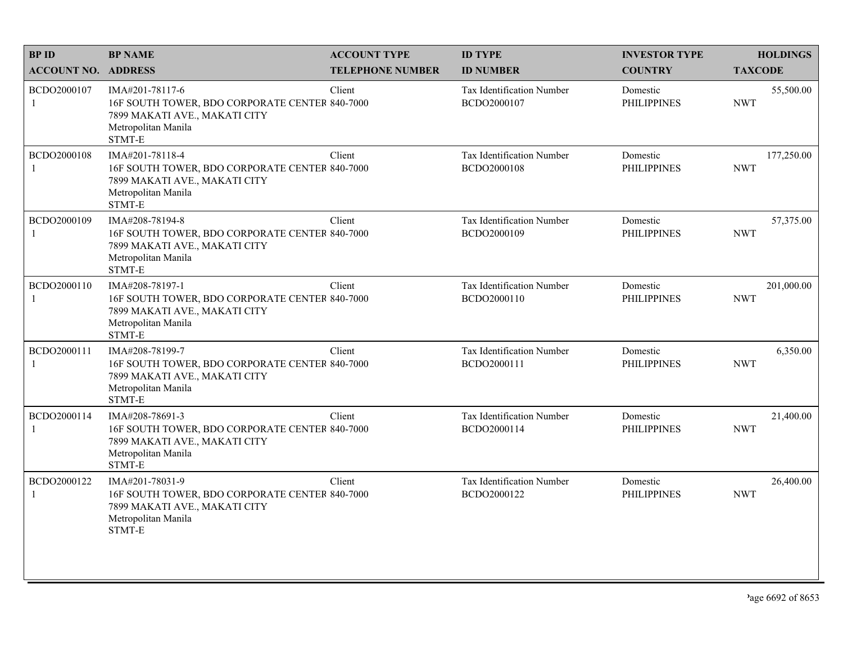| <b>BPID</b>                 | <b>BP NAME</b>                                                                                                                      | <b>ACCOUNT TYPE</b>     | <b>ID TYPE</b>                           | <b>INVESTOR TYPE</b>           | <b>HOLDINGS</b>          |
|-----------------------------|-------------------------------------------------------------------------------------------------------------------------------------|-------------------------|------------------------------------------|--------------------------------|--------------------------|
| <b>ACCOUNT NO. ADDRESS</b>  |                                                                                                                                     | <b>TELEPHONE NUMBER</b> | <b>ID NUMBER</b>                         | <b>COUNTRY</b>                 | <b>TAXCODE</b>           |
| BCDO2000107<br>$\mathbf{1}$ | IMA#201-78117-6<br>16F SOUTH TOWER, BDO CORPORATE CENTER 840-7000<br>7899 MAKATI AVE., MAKATI CITY<br>Metropolitan Manila<br>STMT-E | Client                  | Tax Identification Number<br>BCDO2000107 | Domestic<br><b>PHILIPPINES</b> | 55,500.00<br><b>NWT</b>  |
| BCDO2000108                 | IMA#201-78118-4<br>16F SOUTH TOWER, BDO CORPORATE CENTER 840-7000<br>7899 MAKATI AVE., MAKATI CITY<br>Metropolitan Manila<br>STMT-E | Client                  | Tax Identification Number<br>BCDO2000108 | Domestic<br><b>PHILIPPINES</b> | 177,250.00<br><b>NWT</b> |
| BCDO2000109<br>1            | IMA#208-78194-8<br>16F SOUTH TOWER, BDO CORPORATE CENTER 840-7000<br>7899 MAKATI AVE., MAKATI CITY<br>Metropolitan Manila<br>STMT-E | Client                  | Tax Identification Number<br>BCDO2000109 | Domestic<br><b>PHILIPPINES</b> | 57,375.00<br><b>NWT</b>  |
| BCDO2000110<br>1            | IMA#208-78197-1<br>16F SOUTH TOWER, BDO CORPORATE CENTER 840-7000<br>7899 MAKATI AVE., MAKATI CITY<br>Metropolitan Manila<br>STMT-E | Client                  | Tax Identification Number<br>BCDO2000110 | Domestic<br><b>PHILIPPINES</b> | 201,000.00<br><b>NWT</b> |
| BCDO2000111<br>1            | IMA#208-78199-7<br>16F SOUTH TOWER, BDO CORPORATE CENTER 840-7000<br>7899 MAKATI AVE., MAKATI CITY<br>Metropolitan Manila<br>STMT-E | Client                  | Tax Identification Number<br>BCDO2000111 | Domestic<br><b>PHILIPPINES</b> | 6,350.00<br><b>NWT</b>   |
| BCDO2000114<br>1            | IMA#208-78691-3<br>16F SOUTH TOWER, BDO CORPORATE CENTER 840-7000<br>7899 MAKATI AVE., MAKATI CITY<br>Metropolitan Manila<br>STMT-E | Client                  | Tax Identification Number<br>BCDO2000114 | Domestic<br><b>PHILIPPINES</b> | 21,400.00<br><b>NWT</b>  |
| BCDO2000122<br>1            | IMA#201-78031-9<br>16F SOUTH TOWER, BDO CORPORATE CENTER 840-7000<br>7899 MAKATI AVE., MAKATI CITY<br>Metropolitan Manila<br>STMT-E | Client                  | Tax Identification Number<br>BCDO2000122 | Domestic<br><b>PHILIPPINES</b> | 26,400.00<br><b>NWT</b>  |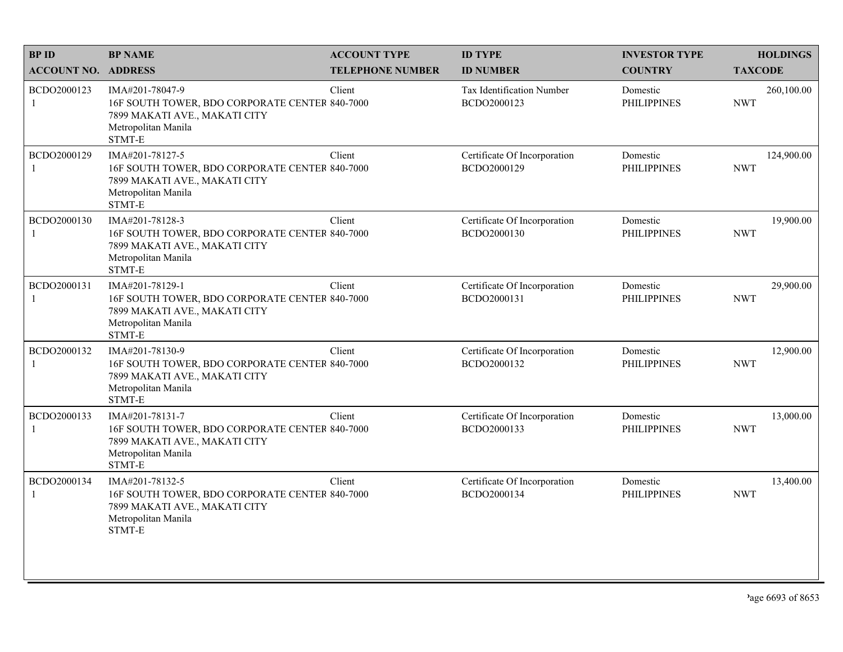| <b>BPID</b>                 | <b>BP NAME</b>                                                                                                                      | <b>ACCOUNT TYPE</b>     | <b>ID TYPE</b>                              | <b>INVESTOR TYPE</b>           | <b>HOLDINGS</b>          |
|-----------------------------|-------------------------------------------------------------------------------------------------------------------------------------|-------------------------|---------------------------------------------|--------------------------------|--------------------------|
| <b>ACCOUNT NO. ADDRESS</b>  |                                                                                                                                     | <b>TELEPHONE NUMBER</b> | <b>ID NUMBER</b>                            | <b>COUNTRY</b>                 | <b>TAXCODE</b>           |
| BCDO2000123<br>$\mathbf{1}$ | IMA#201-78047-9<br>16F SOUTH TOWER, BDO CORPORATE CENTER 840-7000<br>7899 MAKATI AVE., MAKATI CITY<br>Metropolitan Manila<br>STMT-E | Client                  | Tax Identification Number<br>BCDO2000123    | Domestic<br><b>PHILIPPINES</b> | 260,100.00<br><b>NWT</b> |
| BCDO2000129<br>$\mathbf{1}$ | IMA#201-78127-5<br>16F SOUTH TOWER, BDO CORPORATE CENTER 840-7000<br>7899 MAKATI AVE., MAKATI CITY<br>Metropolitan Manila<br>STMT-E | Client                  | Certificate Of Incorporation<br>BCDO2000129 | Domestic<br><b>PHILIPPINES</b> | 124,900.00<br><b>NWT</b> |
| BCDO2000130<br>1            | IMA#201-78128-3<br>16F SOUTH TOWER, BDO CORPORATE CENTER 840-7000<br>7899 MAKATI AVE., MAKATI CITY<br>Metropolitan Manila<br>STMT-E | Client                  | Certificate Of Incorporation<br>BCDO2000130 | Domestic<br><b>PHILIPPINES</b> | 19,900.00<br><b>NWT</b>  |
| BCDO2000131<br>1            | IMA#201-78129-1<br>16F SOUTH TOWER, BDO CORPORATE CENTER 840-7000<br>7899 MAKATI AVE., MAKATI CITY<br>Metropolitan Manila<br>STMT-E | Client                  | Certificate Of Incorporation<br>BCDO2000131 | Domestic<br><b>PHILIPPINES</b> | 29,900.00<br><b>NWT</b>  |
| BCDO2000132<br>1            | IMA#201-78130-9<br>16F SOUTH TOWER, BDO CORPORATE CENTER 840-7000<br>7899 MAKATI AVE., MAKATI CITY<br>Metropolitan Manila<br>STMT-E | Client                  | Certificate Of Incorporation<br>BCDO2000132 | Domestic<br><b>PHILIPPINES</b> | 12,900.00<br><b>NWT</b>  |
| BCDO2000133<br>$\mathbf{1}$ | IMA#201-78131-7<br>16F SOUTH TOWER, BDO CORPORATE CENTER 840-7000<br>7899 MAKATI AVE., MAKATI CITY<br>Metropolitan Manila<br>STMT-E | Client                  | Certificate Of Incorporation<br>BCDO2000133 | Domestic<br><b>PHILIPPINES</b> | 13,000.00<br><b>NWT</b>  |
| BCDO2000134<br>1            | IMA#201-78132-5<br>16F SOUTH TOWER, BDO CORPORATE CENTER 840-7000<br>7899 MAKATI AVE., MAKATI CITY<br>Metropolitan Manila<br>STMT-E | Client                  | Certificate Of Incorporation<br>BCDO2000134 | Domestic<br><b>PHILIPPINES</b> | 13,400.00<br><b>NWT</b>  |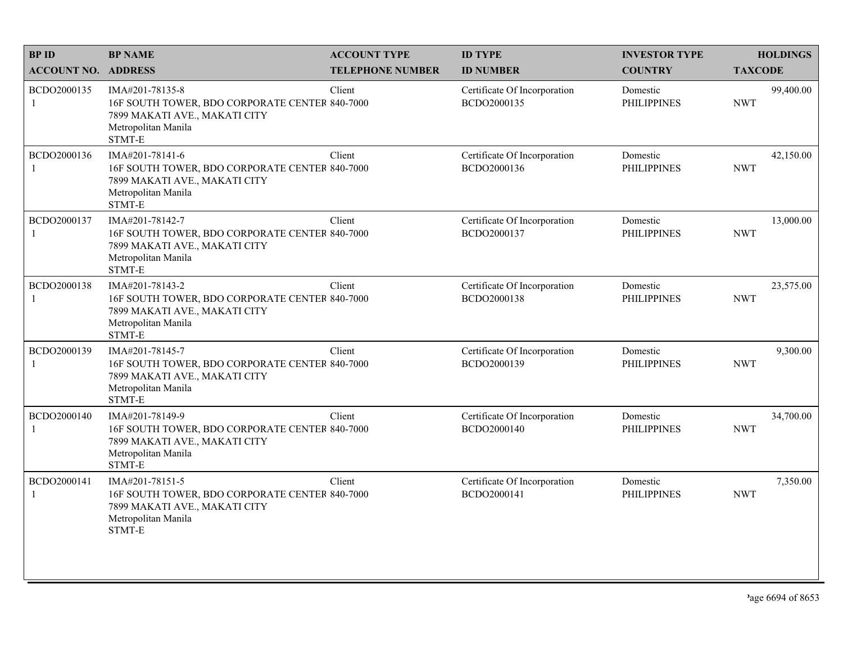| <b>BPID</b>                 | <b>BP NAME</b>                                                                                                                      | <b>ACCOUNT TYPE</b>     | <b>ID TYPE</b>                              | <b>INVESTOR TYPE</b>           | <b>HOLDINGS</b>         |
|-----------------------------|-------------------------------------------------------------------------------------------------------------------------------------|-------------------------|---------------------------------------------|--------------------------------|-------------------------|
| <b>ACCOUNT NO. ADDRESS</b>  |                                                                                                                                     | <b>TELEPHONE NUMBER</b> | <b>ID NUMBER</b>                            | <b>COUNTRY</b>                 | <b>TAXCODE</b>          |
| BCDO2000135<br>$\mathbf{1}$ | IMA#201-78135-8<br>16F SOUTH TOWER, BDO CORPORATE CENTER 840-7000<br>7899 MAKATI AVE., MAKATI CITY<br>Metropolitan Manila<br>STMT-E | Client                  | Certificate Of Incorporation<br>BCDO2000135 | Domestic<br><b>PHILIPPINES</b> | 99,400.00<br><b>NWT</b> |
| BCDO2000136<br>$\mathbf{1}$ | IMA#201-78141-6<br>16F SOUTH TOWER, BDO CORPORATE CENTER 840-7000<br>7899 MAKATI AVE., MAKATI CITY<br>Metropolitan Manila<br>STMT-E | Client                  | Certificate Of Incorporation<br>BCDO2000136 | Domestic<br><b>PHILIPPINES</b> | 42,150.00<br><b>NWT</b> |
| BCDO2000137<br>1            | IMA#201-78142-7<br>16F SOUTH TOWER, BDO CORPORATE CENTER 840-7000<br>7899 MAKATI AVE., MAKATI CITY<br>Metropolitan Manila<br>STMT-E | Client                  | Certificate Of Incorporation<br>BCDO2000137 | Domestic<br><b>PHILIPPINES</b> | 13,000.00<br><b>NWT</b> |
| BCDO2000138<br>1            | IMA#201-78143-2<br>16F SOUTH TOWER, BDO CORPORATE CENTER 840-7000<br>7899 MAKATI AVE., MAKATI CITY<br>Metropolitan Manila<br>STMT-E | Client                  | Certificate Of Incorporation<br>BCDO2000138 | Domestic<br><b>PHILIPPINES</b> | 23,575.00<br><b>NWT</b> |
| BCDO2000139<br>-1           | IMA#201-78145-7<br>16F SOUTH TOWER, BDO CORPORATE CENTER 840-7000<br>7899 MAKATI AVE., MAKATI CITY<br>Metropolitan Manila<br>STMT-E | Client                  | Certificate Of Incorporation<br>BCDO2000139 | Domestic<br><b>PHILIPPINES</b> | 9,300.00<br><b>NWT</b>  |
| BCDO2000140<br>$\mathbf{1}$ | IMA#201-78149-9<br>16F SOUTH TOWER, BDO CORPORATE CENTER 840-7000<br>7899 MAKATI AVE., MAKATI CITY<br>Metropolitan Manila<br>STMT-E | Client                  | Certificate Of Incorporation<br>BCDO2000140 | Domestic<br><b>PHILIPPINES</b> | 34,700.00<br><b>NWT</b> |
| BCDO2000141<br>1            | IMA#201-78151-5<br>16F SOUTH TOWER, BDO CORPORATE CENTER 840-7000<br>7899 MAKATI AVE., MAKATI CITY<br>Metropolitan Manila<br>STMT-E | Client                  | Certificate Of Incorporation<br>BCDO2000141 | Domestic<br><b>PHILIPPINES</b> | 7,350.00<br><b>NWT</b>  |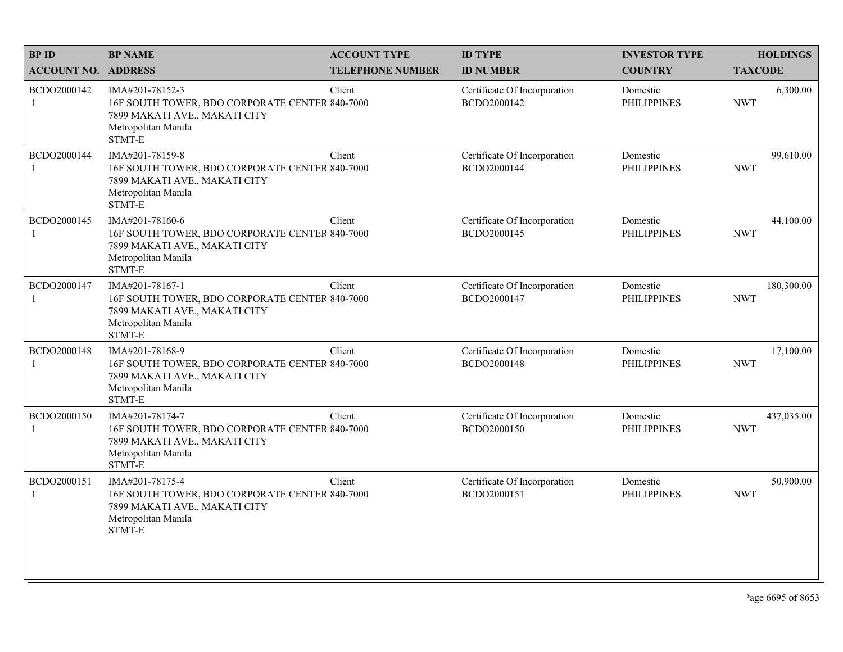| <b>BPID</b>                 | <b>BP NAME</b>                                                                                                                      | <b>ACCOUNT TYPE</b>     | <b>ID TYPE</b>                              | <b>INVESTOR TYPE</b>           | <b>HOLDINGS</b>          |
|-----------------------------|-------------------------------------------------------------------------------------------------------------------------------------|-------------------------|---------------------------------------------|--------------------------------|--------------------------|
| <b>ACCOUNT NO. ADDRESS</b>  |                                                                                                                                     | <b>TELEPHONE NUMBER</b> | <b>ID NUMBER</b>                            | <b>COUNTRY</b>                 | <b>TAXCODE</b>           |
| BCDO2000142<br>$\mathbf{1}$ | IMA#201-78152-3<br>16F SOUTH TOWER, BDO CORPORATE CENTER 840-7000<br>7899 MAKATI AVE., MAKATI CITY<br>Metropolitan Manila<br>STMT-E | Client                  | Certificate Of Incorporation<br>BCDO2000142 | Domestic<br><b>PHILIPPINES</b> | 6,300.00<br><b>NWT</b>   |
| BCDO2000144<br>$\mathbf{1}$ | IMA#201-78159-8<br>16F SOUTH TOWER, BDO CORPORATE CENTER 840-7000<br>7899 MAKATI AVE., MAKATI CITY<br>Metropolitan Manila<br>STMT-E | Client                  | Certificate Of Incorporation<br>BCDO2000144 | Domestic<br><b>PHILIPPINES</b> | 99,610.00<br><b>NWT</b>  |
| BCDO2000145<br>1            | IMA#201-78160-6<br>16F SOUTH TOWER, BDO CORPORATE CENTER 840-7000<br>7899 MAKATI AVE., MAKATI CITY<br>Metropolitan Manila<br>STMT-E | Client                  | Certificate Of Incorporation<br>BCDO2000145 | Domestic<br><b>PHILIPPINES</b> | 44,100.00<br><b>NWT</b>  |
| BCDO2000147<br>1            | IMA#201-78167-1<br>16F SOUTH TOWER, BDO CORPORATE CENTER 840-7000<br>7899 MAKATI AVE., MAKATI CITY<br>Metropolitan Manila<br>STMT-E | Client                  | Certificate Of Incorporation<br>BCDO2000147 | Domestic<br><b>PHILIPPINES</b> | 180,300.00<br><b>NWT</b> |
| BCDO2000148<br>-1           | IMA#201-78168-9<br>16F SOUTH TOWER, BDO CORPORATE CENTER 840-7000<br>7899 MAKATI AVE., MAKATI CITY<br>Metropolitan Manila<br>STMT-E | Client                  | Certificate Of Incorporation<br>BCDO2000148 | Domestic<br><b>PHILIPPINES</b> | 17,100.00<br><b>NWT</b>  |
| BCDO2000150<br>$\mathbf{1}$ | IMA#201-78174-7<br>16F SOUTH TOWER, BDO CORPORATE CENTER 840-7000<br>7899 MAKATI AVE., MAKATI CITY<br>Metropolitan Manila<br>STMT-E | Client                  | Certificate Of Incorporation<br>BCDO2000150 | Domestic<br><b>PHILIPPINES</b> | 437,035.00<br><b>NWT</b> |
| BCDO2000151<br>1            | IMA#201-78175-4<br>16F SOUTH TOWER, BDO CORPORATE CENTER 840-7000<br>7899 MAKATI AVE., MAKATI CITY<br>Metropolitan Manila<br>STMT-E | Client                  | Certificate Of Incorporation<br>BCDO2000151 | Domestic<br><b>PHILIPPINES</b> | 50,900.00<br><b>NWT</b>  |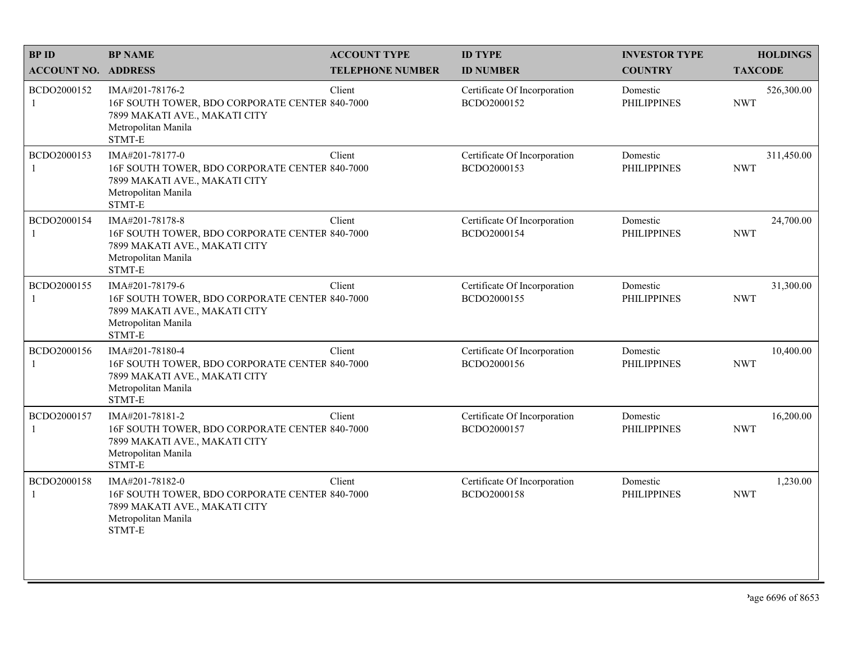| <b>BPID</b>                 | <b>BP NAME</b>                                                                                                                      | <b>ACCOUNT TYPE</b>     | <b>ID TYPE</b>                              | <b>INVESTOR TYPE</b>           | <b>HOLDINGS</b>          |
|-----------------------------|-------------------------------------------------------------------------------------------------------------------------------------|-------------------------|---------------------------------------------|--------------------------------|--------------------------|
| <b>ACCOUNT NO. ADDRESS</b>  |                                                                                                                                     | <b>TELEPHONE NUMBER</b> | <b>ID NUMBER</b>                            | <b>COUNTRY</b>                 | <b>TAXCODE</b>           |
| BCDO2000152<br>$\mathbf{1}$ | IMA#201-78176-2<br>16F SOUTH TOWER, BDO CORPORATE CENTER 840-7000<br>7899 MAKATI AVE., MAKATI CITY<br>Metropolitan Manila<br>STMT-E | Client                  | Certificate Of Incorporation<br>BCDO2000152 | Domestic<br><b>PHILIPPINES</b> | 526,300.00<br><b>NWT</b> |
| BCDO2000153<br>$\mathbf{1}$ | IMA#201-78177-0<br>16F SOUTH TOWER, BDO CORPORATE CENTER 840-7000<br>7899 MAKATI AVE., MAKATI CITY<br>Metropolitan Manila<br>STMT-E | Client                  | Certificate Of Incorporation<br>BCDO2000153 | Domestic<br><b>PHILIPPINES</b> | 311,450.00<br><b>NWT</b> |
| BCDO2000154<br>1            | IMA#201-78178-8<br>16F SOUTH TOWER, BDO CORPORATE CENTER 840-7000<br>7899 MAKATI AVE., MAKATI CITY<br>Metropolitan Manila<br>STMT-E | Client                  | Certificate Of Incorporation<br>BCDO2000154 | Domestic<br><b>PHILIPPINES</b> | 24,700.00<br><b>NWT</b>  |
| BCDO2000155<br>1            | IMA#201-78179-6<br>16F SOUTH TOWER, BDO CORPORATE CENTER 840-7000<br>7899 MAKATI AVE., MAKATI CITY<br>Metropolitan Manila<br>STMT-E | Client                  | Certificate Of Incorporation<br>BCDO2000155 | Domestic<br><b>PHILIPPINES</b> | 31,300.00<br><b>NWT</b>  |
| BCDO2000156<br>-1           | IMA#201-78180-4<br>16F SOUTH TOWER, BDO CORPORATE CENTER 840-7000<br>7899 MAKATI AVE., MAKATI CITY<br>Metropolitan Manila<br>STMT-E | Client                  | Certificate Of Incorporation<br>BCDO2000156 | Domestic<br><b>PHILIPPINES</b> | 10,400.00<br><b>NWT</b>  |
| BCDO2000157<br>$\mathbf{1}$ | IMA#201-78181-2<br>16F SOUTH TOWER, BDO CORPORATE CENTER 840-7000<br>7899 MAKATI AVE., MAKATI CITY<br>Metropolitan Manila<br>STMT-E | Client                  | Certificate Of Incorporation<br>BCDO2000157 | Domestic<br><b>PHILIPPINES</b> | 16,200.00<br><b>NWT</b>  |
| BCDO2000158<br>1            | IMA#201-78182-0<br>16F SOUTH TOWER, BDO CORPORATE CENTER 840-7000<br>7899 MAKATI AVE., MAKATI CITY<br>Metropolitan Manila<br>STMT-E | Client                  | Certificate Of Incorporation<br>BCDO2000158 | Domestic<br><b>PHILIPPINES</b> | 1,230.00<br><b>NWT</b>   |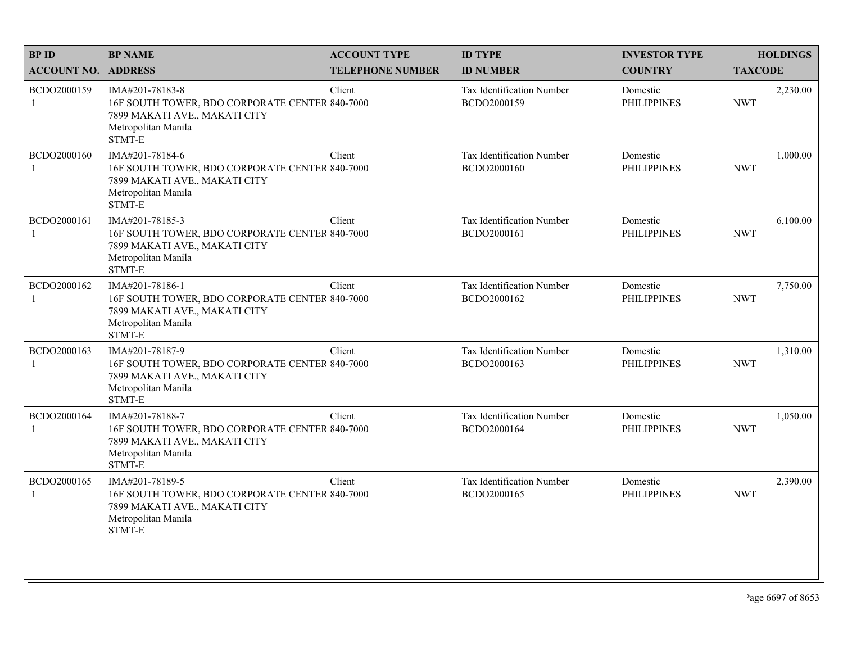| <b>BPID</b>                 | <b>BP NAME</b>                                                                                                                      | <b>ACCOUNT TYPE</b>     | <b>ID TYPE</b>                           | <b>INVESTOR TYPE</b>           | <b>HOLDINGS</b>        |
|-----------------------------|-------------------------------------------------------------------------------------------------------------------------------------|-------------------------|------------------------------------------|--------------------------------|------------------------|
| <b>ACCOUNT NO. ADDRESS</b>  |                                                                                                                                     | <b>TELEPHONE NUMBER</b> | <b>ID NUMBER</b>                         | <b>COUNTRY</b>                 | <b>TAXCODE</b>         |
| BCDO2000159<br>1            | IMA#201-78183-8<br>16F SOUTH TOWER, BDO CORPORATE CENTER 840-7000<br>7899 MAKATI AVE., MAKATI CITY<br>Metropolitan Manila<br>STMT-E | Client                  | Tax Identification Number<br>BCDO2000159 | Domestic<br><b>PHILIPPINES</b> | 2,230.00<br><b>NWT</b> |
| BCDO2000160<br>$\mathbf{1}$ | IMA#201-78184-6<br>16F SOUTH TOWER, BDO CORPORATE CENTER 840-7000<br>7899 MAKATI AVE., MAKATI CITY<br>Metropolitan Manila<br>STMT-E | Client                  | Tax Identification Number<br>BCDO2000160 | Domestic<br><b>PHILIPPINES</b> | 1,000.00<br><b>NWT</b> |
| BCDO2000161<br>1            | IMA#201-78185-3<br>16F SOUTH TOWER, BDO CORPORATE CENTER 840-7000<br>7899 MAKATI AVE., MAKATI CITY<br>Metropolitan Manila<br>STMT-E | Client                  | Tax Identification Number<br>BCDO2000161 | Domestic<br><b>PHILIPPINES</b> | 6,100.00<br><b>NWT</b> |
| BCDO2000162<br>$\mathbf{1}$ | IMA#201-78186-1<br>16F SOUTH TOWER, BDO CORPORATE CENTER 840-7000<br>7899 MAKATI AVE., MAKATI CITY<br>Metropolitan Manila<br>STMT-E | Client                  | Tax Identification Number<br>BCDO2000162 | Domestic<br><b>PHILIPPINES</b> | 7,750.00<br><b>NWT</b> |
| BCDO2000163<br>1            | IMA#201-78187-9<br>16F SOUTH TOWER, BDO CORPORATE CENTER 840-7000<br>7899 MAKATI AVE., MAKATI CITY<br>Metropolitan Manila<br>STMT-E | Client                  | Tax Identification Number<br>BCDO2000163 | Domestic<br><b>PHILIPPINES</b> | 1,310.00<br><b>NWT</b> |
| BCDO2000164<br>$\mathbf{1}$ | IMA#201-78188-7<br>16F SOUTH TOWER, BDO CORPORATE CENTER 840-7000<br>7899 MAKATI AVE., MAKATI CITY<br>Metropolitan Manila<br>STMT-E | Client                  | Tax Identification Number<br>BCDO2000164 | Domestic<br><b>PHILIPPINES</b> | 1,050.00<br><b>NWT</b> |
| BCDO2000165<br>1            | IMA#201-78189-5<br>16F SOUTH TOWER, BDO CORPORATE CENTER 840-7000<br>7899 MAKATI AVE., MAKATI CITY<br>Metropolitan Manila<br>STMT-E | Client                  | Tax Identification Number<br>BCDO2000165 | Domestic<br><b>PHILIPPINES</b> | 2,390.00<br><b>NWT</b> |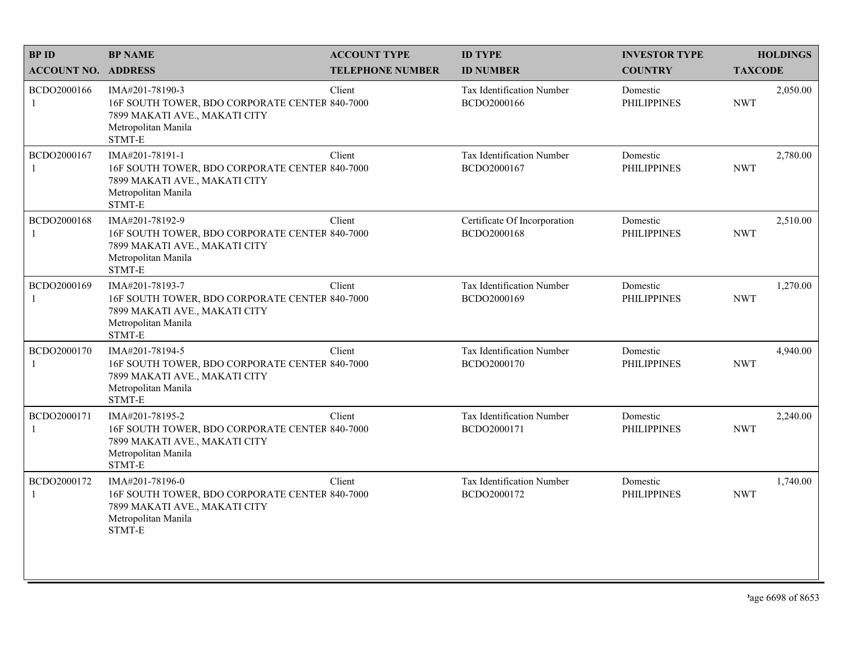| <b>BPID</b>                 | <b>BP NAME</b>                                                                                                                      | <b>ACCOUNT TYPE</b>     | <b>ID TYPE</b>                              | <b>INVESTOR TYPE</b>           | <b>HOLDINGS</b>        |
|-----------------------------|-------------------------------------------------------------------------------------------------------------------------------------|-------------------------|---------------------------------------------|--------------------------------|------------------------|
| <b>ACCOUNT NO. ADDRESS</b>  |                                                                                                                                     | <b>TELEPHONE NUMBER</b> | <b>ID NUMBER</b>                            | <b>COUNTRY</b>                 | <b>TAXCODE</b>         |
| BCDO2000166<br>$\mathbf{1}$ | IMA#201-78190-3<br>16F SOUTH TOWER, BDO CORPORATE CENTER 840-7000<br>7899 MAKATI AVE., MAKATI CITY<br>Metropolitan Manila<br>STMT-E | Client                  | Tax Identification Number<br>BCDO2000166    | Domestic<br><b>PHILIPPINES</b> | 2,050.00<br><b>NWT</b> |
| BCDO2000167<br>$\mathbf{1}$ | IMA#201-78191-1<br>16F SOUTH TOWER, BDO CORPORATE CENTER 840-7000<br>7899 MAKATI AVE., MAKATI CITY<br>Metropolitan Manila<br>STMT-E | Client                  | Tax Identification Number<br>BCDO2000167    | Domestic<br><b>PHILIPPINES</b> | 2,780.00<br><b>NWT</b> |
| BCDO2000168<br>1            | IMA#201-78192-9<br>16F SOUTH TOWER, BDO CORPORATE CENTER 840-7000<br>7899 MAKATI AVE., MAKATI CITY<br>Metropolitan Manila<br>STMT-E | Client                  | Certificate Of Incorporation<br>BCDO2000168 | Domestic<br><b>PHILIPPINES</b> | 2,510.00<br><b>NWT</b> |
| BCDO2000169<br>1            | IMA#201-78193-7<br>16F SOUTH TOWER, BDO CORPORATE CENTER 840-7000<br>7899 MAKATI AVE., MAKATI CITY<br>Metropolitan Manila<br>STMT-E | Client                  | Tax Identification Number<br>BCDO2000169    | Domestic<br><b>PHILIPPINES</b> | 1,270.00<br><b>NWT</b> |
| BCDO2000170<br>1            | IMA#201-78194-5<br>16F SOUTH TOWER, BDO CORPORATE CENTER 840-7000<br>7899 MAKATI AVE., MAKATI CITY<br>Metropolitan Manila<br>STMT-E | Client                  | Tax Identification Number<br>BCDO2000170    | Domestic<br><b>PHILIPPINES</b> | 4,940.00<br><b>NWT</b> |
| BCDO2000171<br>$\mathbf{1}$ | IMA#201-78195-2<br>16F SOUTH TOWER, BDO CORPORATE CENTER 840-7000<br>7899 MAKATI AVE., MAKATI CITY<br>Metropolitan Manila<br>STMT-E | Client                  | Tax Identification Number<br>BCDO2000171    | Domestic<br><b>PHILIPPINES</b> | 2,240.00<br><b>NWT</b> |
| BCDO2000172<br>1            | IMA#201-78196-0<br>16F SOUTH TOWER, BDO CORPORATE CENTER 840-7000<br>7899 MAKATI AVE., MAKATI CITY<br>Metropolitan Manila<br>STMT-E | Client                  | Tax Identification Number<br>BCDO2000172    | Domestic<br><b>PHILIPPINES</b> | 1,740.00<br><b>NWT</b> |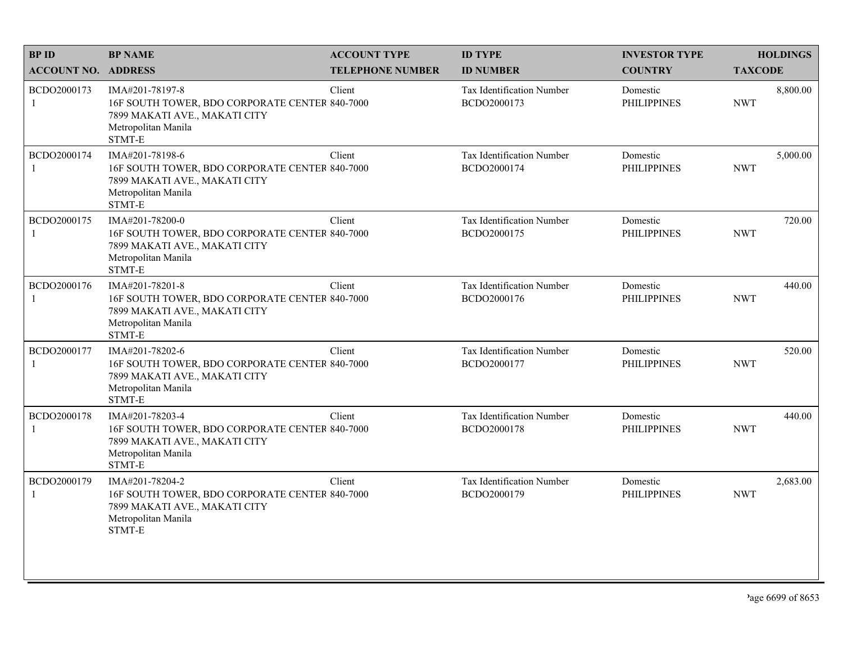| <b>BPID</b>                 | <b>BP NAME</b>                                                                                                                      | <b>ACCOUNT TYPE</b>     | <b>ID TYPE</b>                           | <b>INVESTOR TYPE</b>           | <b>HOLDINGS</b>        |
|-----------------------------|-------------------------------------------------------------------------------------------------------------------------------------|-------------------------|------------------------------------------|--------------------------------|------------------------|
| <b>ACCOUNT NO. ADDRESS</b>  |                                                                                                                                     | <b>TELEPHONE NUMBER</b> | <b>ID NUMBER</b>                         | <b>COUNTRY</b>                 | <b>TAXCODE</b>         |
| BCDO2000173<br>$\mathbf{1}$ | IMA#201-78197-8<br>16F SOUTH TOWER, BDO CORPORATE CENTER 840-7000<br>7899 MAKATI AVE., MAKATI CITY<br>Metropolitan Manila<br>STMT-E | Client                  | Tax Identification Number<br>BCDO2000173 | Domestic<br><b>PHILIPPINES</b> | 8,800.00<br><b>NWT</b> |
| BCDO2000174<br>1            | IMA#201-78198-6<br>16F SOUTH TOWER, BDO CORPORATE CENTER 840-7000<br>7899 MAKATI AVE., MAKATI CITY<br>Metropolitan Manila<br>STMT-E | Client                  | Tax Identification Number<br>BCDO2000174 | Domestic<br><b>PHILIPPINES</b> | 5,000.00<br><b>NWT</b> |
| BCDO2000175<br>1            | IMA#201-78200-0<br>16F SOUTH TOWER, BDO CORPORATE CENTER 840-7000<br>7899 MAKATI AVE., MAKATI CITY<br>Metropolitan Manila<br>STMT-E | Client                  | Tax Identification Number<br>BCDO2000175 | Domestic<br><b>PHILIPPINES</b> | 720.00<br><b>NWT</b>   |
| BCDO2000176<br>1            | IMA#201-78201-8<br>16F SOUTH TOWER, BDO CORPORATE CENTER 840-7000<br>7899 MAKATI AVE., MAKATI CITY<br>Metropolitan Manila<br>STMT-E | Client                  | Tax Identification Number<br>BCDO2000176 | Domestic<br><b>PHILIPPINES</b> | 440.00<br><b>NWT</b>   |
| BCDO2000177<br>1            | IMA#201-78202-6<br>16F SOUTH TOWER, BDO CORPORATE CENTER 840-7000<br>7899 MAKATI AVE., MAKATI CITY<br>Metropolitan Manila<br>STMT-E | Client                  | Tax Identification Number<br>BCDO2000177 | Domestic<br><b>PHILIPPINES</b> | 520.00<br><b>NWT</b>   |
| BCDO2000178<br>$\mathbf{1}$ | IMA#201-78203-4<br>16F SOUTH TOWER, BDO CORPORATE CENTER 840-7000<br>7899 MAKATI AVE., MAKATI CITY<br>Metropolitan Manila<br>STMT-E | Client                  | Tax Identification Number<br>BCDO2000178 | Domestic<br><b>PHILIPPINES</b> | 440.00<br><b>NWT</b>   |
| BCDO2000179<br>1            | IMA#201-78204-2<br>16F SOUTH TOWER, BDO CORPORATE CENTER 840-7000<br>7899 MAKATI AVE., MAKATI CITY<br>Metropolitan Manila<br>STMT-E | Client                  | Tax Identification Number<br>BCDO2000179 | Domestic<br><b>PHILIPPINES</b> | 2,683.00<br><b>NWT</b> |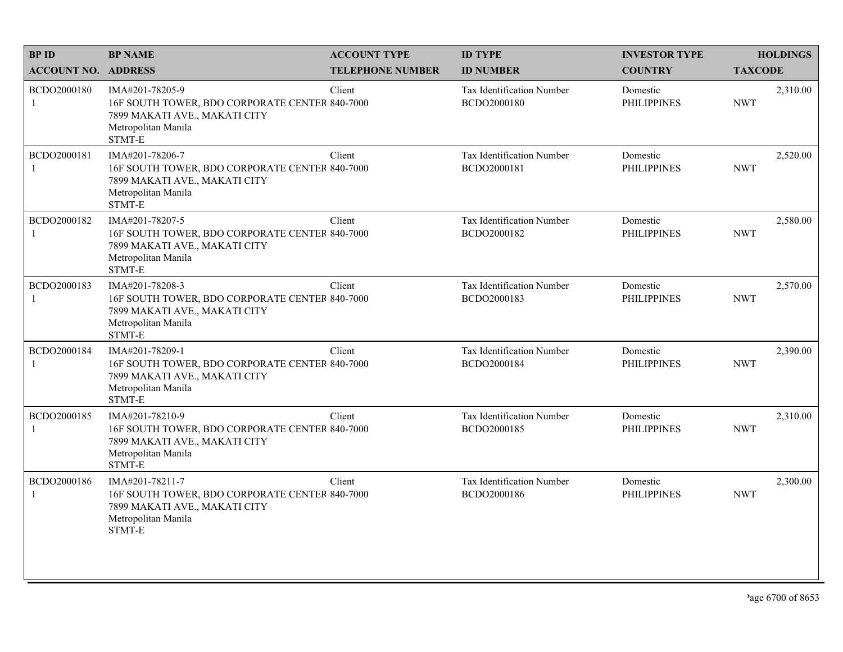| <b>BPID</b>                 | <b>BP NAME</b>                                                                                                                      | <b>ACCOUNT TYPE</b>     | <b>ID TYPE</b>                                  | <b>INVESTOR TYPE</b>           | <b>HOLDINGS</b>        |
|-----------------------------|-------------------------------------------------------------------------------------------------------------------------------------|-------------------------|-------------------------------------------------|--------------------------------|------------------------|
| <b>ACCOUNT NO. ADDRESS</b>  |                                                                                                                                     | <b>TELEPHONE NUMBER</b> | <b>ID NUMBER</b>                                | <b>COUNTRY</b>                 | <b>TAXCODE</b>         |
| BCDO2000180<br>1            | IMA#201-78205-9<br>16F SOUTH TOWER, BDO CORPORATE CENTER 840-7000<br>7899 MAKATI AVE., MAKATI CITY<br>Metropolitan Manila<br>STMT-E | Client                  | <b>Tax Identification Number</b><br>BCDO2000180 | Domestic<br><b>PHILIPPINES</b> | 2,310.00<br><b>NWT</b> |
| BCDO2000181<br>$\mathbf{1}$ | IMA#201-78206-7<br>16F SOUTH TOWER, BDO CORPORATE CENTER 840-7000<br>7899 MAKATI AVE., MAKATI CITY<br>Metropolitan Manila<br>STMT-E | Client                  | Tax Identification Number<br>BCDO2000181        | Domestic<br><b>PHILIPPINES</b> | 2,520.00<br><b>NWT</b> |
| BCDO2000182                 | IMA#201-78207-5<br>16F SOUTH TOWER, BDO CORPORATE CENTER 840-7000<br>7899 MAKATI AVE., MAKATI CITY<br>Metropolitan Manila<br>STMT-E | Client                  | Tax Identification Number<br>BCDO2000182        | Domestic<br><b>PHILIPPINES</b> | 2,580.00<br><b>NWT</b> |
| BCDO2000183                 | IMA#201-78208-3<br>16F SOUTH TOWER, BDO CORPORATE CENTER 840-7000<br>7899 MAKATI AVE., MAKATI CITY<br>Metropolitan Manila<br>STMT-E | Client                  | Tax Identification Number<br>BCDO2000183        | Domestic<br><b>PHILIPPINES</b> | 2,570.00<br><b>NWT</b> |
| BCDO2000184                 | IMA#201-78209-1<br>16F SOUTH TOWER, BDO CORPORATE CENTER 840-7000<br>7899 MAKATI AVE., MAKATI CITY<br>Metropolitan Manila<br>STMT-E | Client                  | Tax Identification Number<br>BCDO2000184        | Domestic<br><b>PHILIPPINES</b> | 2,390.00<br><b>NWT</b> |
| BCDO2000185<br>1            | IMA#201-78210-9<br>16F SOUTH TOWER, BDO CORPORATE CENTER 840-7000<br>7899 MAKATI AVE., MAKATI CITY<br>Metropolitan Manila<br>STMT-E | Client                  | Tax Identification Number<br>BCDO2000185        | Domestic<br><b>PHILIPPINES</b> | 2,310.00<br><b>NWT</b> |
| BCDO2000186                 | IMA#201-78211-7<br>16F SOUTH TOWER, BDO CORPORATE CENTER 840-7000<br>7899 MAKATI AVE., MAKATI CITY<br>Metropolitan Manila<br>STMT-E | Client                  | Tax Identification Number<br>BCDO2000186        | Domestic<br><b>PHILIPPINES</b> | 2,300.00<br><b>NWT</b> |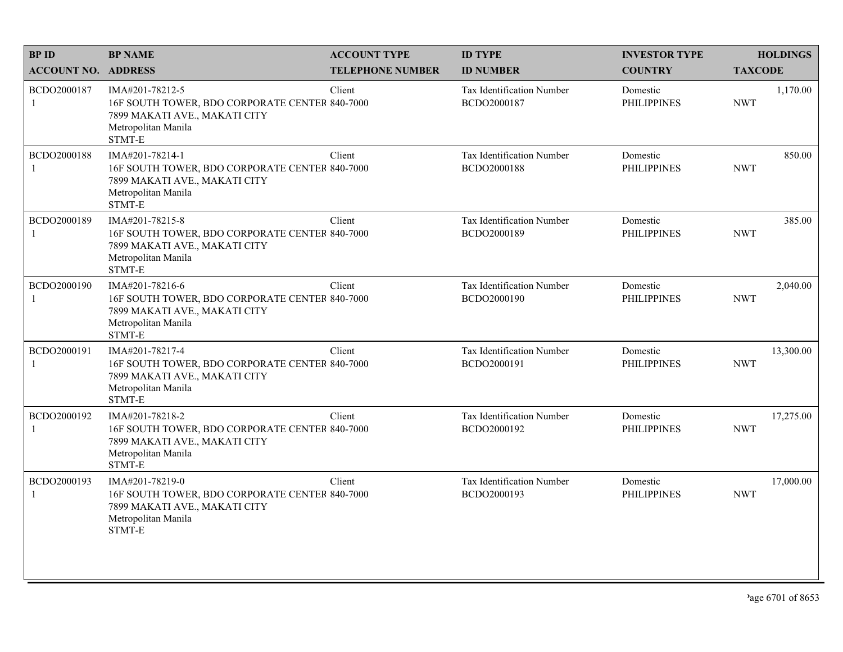| <b>BPID</b>                 | <b>BP NAME</b>                                                                                                                                       | <b>ACCOUNT TYPE</b>     | <b>ID TYPE</b>                           | <b>INVESTOR TYPE</b>           | <b>HOLDINGS</b>         |
|-----------------------------|------------------------------------------------------------------------------------------------------------------------------------------------------|-------------------------|------------------------------------------|--------------------------------|-------------------------|
| <b>ACCOUNT NO. ADDRESS</b>  |                                                                                                                                                      | <b>TELEPHONE NUMBER</b> | <b>ID NUMBER</b>                         | <b>COUNTRY</b>                 | <b>TAXCODE</b>          |
| BCDO2000187<br>$\mathbf{1}$ | IMA#201-78212-5<br>16F SOUTH TOWER, BDO CORPORATE CENTER 840-7000<br>7899 MAKATI AVE., MAKATI CITY<br>Metropolitan Manila<br>STMT-E                  | Client                  | Tax Identification Number<br>BCDO2000187 | Domestic<br><b>PHILIPPINES</b> | 1,170.00<br><b>NWT</b>  |
| BCDO2000188<br>$\mathbf{1}$ | IMA#201-78214-1<br>16F SOUTH TOWER, BDO CORPORATE CENTER 840-7000<br>7899 MAKATI AVE., MAKATI CITY<br>Metropolitan Manila<br>$\operatorname{STMT-E}$ | Client                  | Tax Identification Number<br>BCDO2000188 | Domestic<br><b>PHILIPPINES</b> | 850.00<br><b>NWT</b>    |
| BCDO2000189<br>-1           | IMA#201-78215-8<br>16F SOUTH TOWER, BDO CORPORATE CENTER 840-7000<br>7899 MAKATI AVE., MAKATI CITY<br>Metropolitan Manila<br>STMT-E                  | Client                  | Tax Identification Number<br>BCDO2000189 | Domestic<br><b>PHILIPPINES</b> | 385.00<br><b>NWT</b>    |
| BCDO2000190<br>1            | IMA#201-78216-6<br>16F SOUTH TOWER, BDO CORPORATE CENTER 840-7000<br>7899 MAKATI AVE., MAKATI CITY<br>Metropolitan Manila<br>STMT-E                  | Client                  | Tax Identification Number<br>BCDO2000190 | Domestic<br><b>PHILIPPINES</b> | 2,040.00<br><b>NWT</b>  |
| BCDO2000191<br>-1           | IMA#201-78217-4<br>16F SOUTH TOWER, BDO CORPORATE CENTER 840-7000<br>7899 MAKATI AVE., MAKATI CITY<br>Metropolitan Manila<br>STMT-E                  | Client                  | Tax Identification Number<br>BCDO2000191 | Domestic<br><b>PHILIPPINES</b> | 13,300.00<br><b>NWT</b> |
| BCDO2000192<br>1            | IMA#201-78218-2<br>16F SOUTH TOWER, BDO CORPORATE CENTER 840-7000<br>7899 MAKATI AVE., MAKATI CITY<br>Metropolitan Manila<br>STMT-E                  | Client                  | Tax Identification Number<br>BCDO2000192 | Domestic<br><b>PHILIPPINES</b> | 17,275.00<br><b>NWT</b> |
| BCDO2000193<br>$\mathbf{1}$ | IMA#201-78219-0<br>16F SOUTH TOWER, BDO CORPORATE CENTER 840-7000<br>7899 MAKATI AVE., MAKATI CITY<br>Metropolitan Manila<br>STMT-E                  | Client                  | Tax Identification Number<br>BCDO2000193 | Domestic<br><b>PHILIPPINES</b> | 17,000.00<br><b>NWT</b> |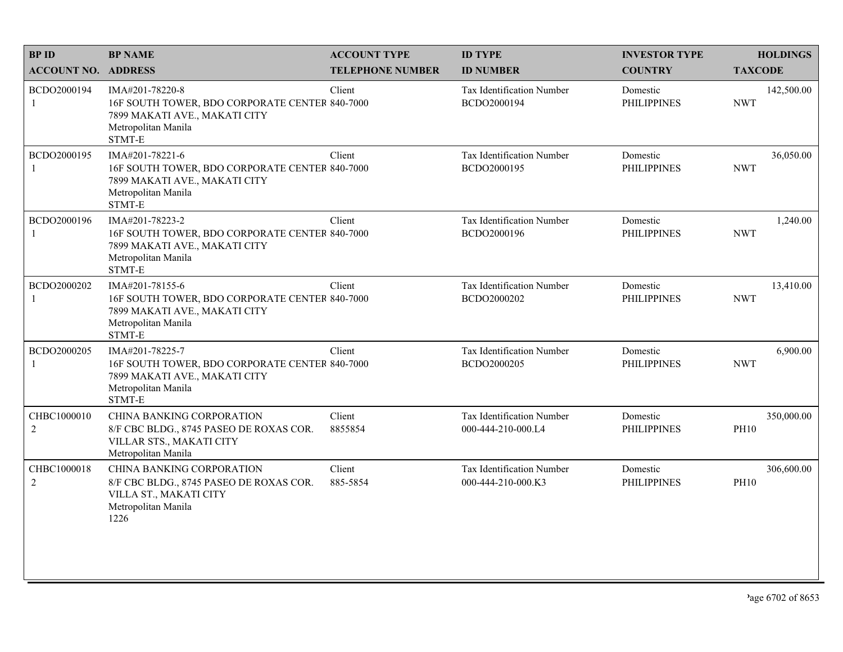| <b>BPID</b>                   | <b>BP NAME</b>                                                                                                                                       | <b>ACCOUNT TYPE</b>     | <b>ID TYPE</b>                                  | <b>INVESTOR TYPE</b>           | <b>HOLDINGS</b>           |
|-------------------------------|------------------------------------------------------------------------------------------------------------------------------------------------------|-------------------------|-------------------------------------------------|--------------------------------|---------------------------|
| <b>ACCOUNT NO. ADDRESS</b>    |                                                                                                                                                      | <b>TELEPHONE NUMBER</b> | <b>ID NUMBER</b>                                | <b>COUNTRY</b>                 | <b>TAXCODE</b>            |
| BCDO2000194<br>1              | IMA#201-78220-8<br>16F SOUTH TOWER, BDO CORPORATE CENTER 840-7000<br>7899 MAKATI AVE., MAKATI CITY<br>Metropolitan Manila<br>STMT-E                  | Client                  | Tax Identification Number<br>BCDO2000194        | Domestic<br><b>PHILIPPINES</b> | 142,500.00<br><b>NWT</b>  |
| BCDO2000195                   | IMA#201-78221-6<br>16F SOUTH TOWER, BDO CORPORATE CENTER 840-7000<br>7899 MAKATI AVE., MAKATI CITY<br>Metropolitan Manila<br>$\operatorname{STMT-E}$ | Client                  | Tax Identification Number<br>BCDO2000195        | Domestic<br><b>PHILIPPINES</b> | 36,050.00<br><b>NWT</b>   |
| BCDO2000196                   | IMA#201-78223-2<br>16F SOUTH TOWER, BDO CORPORATE CENTER 840-7000<br>7899 MAKATI AVE., MAKATI CITY<br>Metropolitan Manila<br>STMT-E                  | Client                  | Tax Identification Number<br>BCDO2000196        | Domestic<br><b>PHILIPPINES</b> | 1,240.00<br><b>NWT</b>    |
| BCDO2000202                   | IMA#201-78155-6<br>16F SOUTH TOWER, BDO CORPORATE CENTER 840-7000<br>7899 MAKATI AVE., MAKATI CITY<br>Metropolitan Manila<br>STMT-E                  | Client                  | Tax Identification Number<br>BCDO2000202        | Domestic<br><b>PHILIPPINES</b> | 13,410.00<br><b>NWT</b>   |
| BCDO2000205                   | IMA#201-78225-7<br>16F SOUTH TOWER, BDO CORPORATE CENTER 840-7000<br>7899 MAKATI AVE., MAKATI CITY<br>Metropolitan Manila<br>STMT-E                  | Client                  | Tax Identification Number<br>BCDO2000205        | Domestic<br><b>PHILIPPINES</b> | 6,900.00<br><b>NWT</b>    |
| CHBC1000010<br>$\overline{c}$ | <b>CHINA BANKING CORPORATION</b><br>8/F CBC BLDG., 8745 PASEO DE ROXAS COR.<br>VILLAR STS., MAKATI CITY<br>Metropolitan Manila                       | Client<br>8855854       | Tax Identification Number<br>000-444-210-000.L4 | Domestic<br><b>PHILIPPINES</b> | 350,000.00<br><b>PH10</b> |
| CHBC1000018<br>$\overline{c}$ | <b>CHINA BANKING CORPORATION</b><br>8/F CBC BLDG., 8745 PASEO DE ROXAS COR.<br>VILLA ST., MAKATI CITY<br>Metropolitan Manila<br>1226                 | Client<br>885-5854      | Tax Identification Number<br>000-444-210-000.K3 | Domestic<br><b>PHILIPPINES</b> | 306,600.00<br><b>PH10</b> |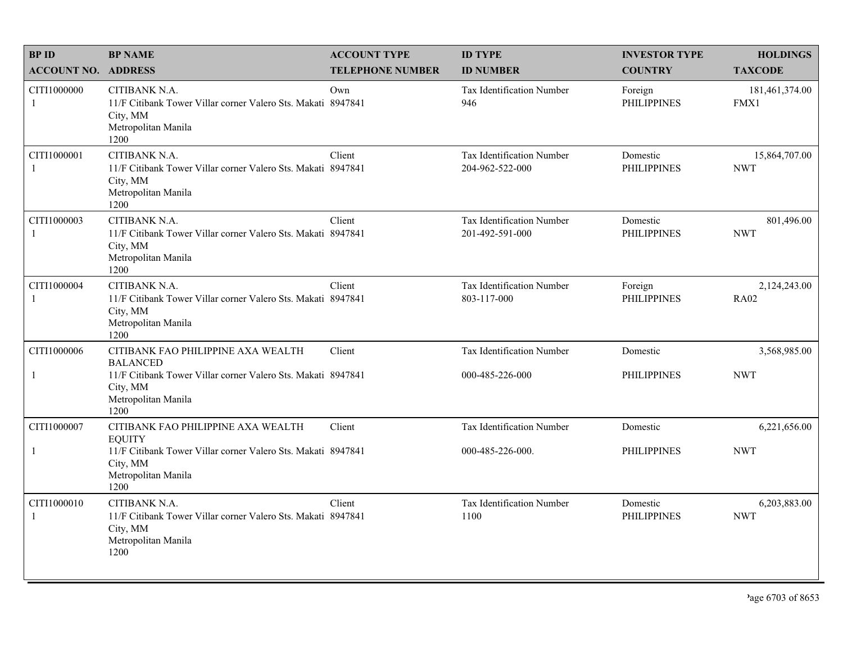| <b>BPID</b>                 | <b>BP NAME</b>                                                                                                           | <b>ACCOUNT TYPE</b>     | <b>ID TYPE</b>                               | <b>INVESTOR TYPE</b>           | <b>HOLDINGS</b>             |
|-----------------------------|--------------------------------------------------------------------------------------------------------------------------|-------------------------|----------------------------------------------|--------------------------------|-----------------------------|
| <b>ACCOUNT NO. ADDRESS</b>  |                                                                                                                          | <b>TELEPHONE NUMBER</b> | <b>ID NUMBER</b>                             | <b>COUNTRY</b>                 | <b>TAXCODE</b>              |
| CITI1000000<br>-1           | CITIBANK N.A.<br>11/F Citibank Tower Villar corner Valero Sts. Makati 8947841<br>City, MM<br>Metropolitan Manila<br>1200 | Own                     | <b>Tax Identification Number</b><br>946      | Foreign<br><b>PHILIPPINES</b>  | 181,461,374.00<br>FMX1      |
| CITI1000001<br>$\mathbf{1}$ | CITIBANK N.A.<br>11/F Citibank Tower Villar corner Valero Sts. Makati 8947841<br>City, MM<br>Metropolitan Manila<br>1200 | Client                  | Tax Identification Number<br>204-962-522-000 | Domestic<br><b>PHILIPPINES</b> | 15,864,707.00<br><b>NWT</b> |
| CITI1000003<br>-1           | CITIBANK N.A.<br>11/F Citibank Tower Villar corner Valero Sts. Makati 8947841<br>City, MM<br>Metropolitan Manila<br>1200 | Client                  | Tax Identification Number<br>201-492-591-000 | Domestic<br><b>PHILIPPINES</b> | 801,496.00<br><b>NWT</b>    |
| CITI1000004<br>-1           | CITIBANK N.A.<br>11/F Citibank Tower Villar corner Valero Sts. Makati 8947841<br>City, MM<br>Metropolitan Manila<br>1200 | Client                  | Tax Identification Number<br>803-117-000     | Foreign<br><b>PHILIPPINES</b>  | 2,124,243.00<br><b>RA02</b> |
| CITI1000006                 | CITIBANK FAO PHILIPPINE AXA WEALTH<br><b>BALANCED</b>                                                                    | Client                  | Tax Identification Number                    | Domestic                       | 3,568,985.00                |
| $\mathbf{1}$                | 11/F Citibank Tower Villar corner Valero Sts. Makati 8947841<br>City, MM<br>Metropolitan Manila<br>1200                  |                         | 000-485-226-000                              | <b>PHILIPPINES</b>             | <b>NWT</b>                  |
| CITI1000007                 | CITIBANK FAO PHILIPPINE AXA WEALTH<br><b>EQUITY</b>                                                                      | Client                  | <b>Tax Identification Number</b>             | Domestic                       | 6,221,656.00                |
| $\mathbf{1}$                | 11/F Citibank Tower Villar corner Valero Sts. Makati 8947841<br>City, MM<br>Metropolitan Manila<br>1200                  |                         | 000-485-226-000.                             | <b>PHILIPPINES</b>             | <b>NWT</b>                  |
| CITI1000010<br>-1           | CITIBANK N.A.<br>11/F Citibank Tower Villar corner Valero Sts. Makati 8947841<br>City, MM<br>Metropolitan Manila<br>1200 | Client                  | Tax Identification Number<br>1100            | Domestic<br><b>PHILIPPINES</b> | 6,203,883.00<br><b>NWT</b>  |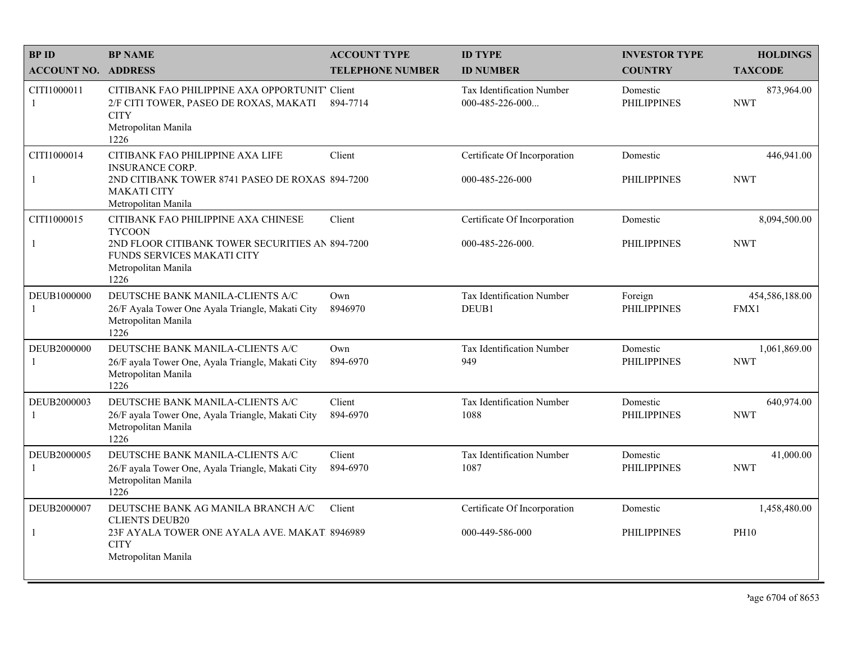| <b>BPID</b>                 | <b>BP NAME</b>                                                                                                                                                              | <b>ACCOUNT TYPE</b>     | <b>ID TYPE</b>                                   | <b>INVESTOR TYPE</b>           | <b>HOLDINGS</b>             |
|-----------------------------|-----------------------------------------------------------------------------------------------------------------------------------------------------------------------------|-------------------------|--------------------------------------------------|--------------------------------|-----------------------------|
| <b>ACCOUNT NO. ADDRESS</b>  |                                                                                                                                                                             | <b>TELEPHONE NUMBER</b> | <b>ID NUMBER</b>                                 | <b>COUNTRY</b>                 | <b>TAXCODE</b>              |
| CITI1000011<br>$\mathbf{1}$ | CITIBANK FAO PHILIPPINE AXA OPPORTUNIT' Client<br>2/F CITI TOWER, PASEO DE ROXAS, MAKATI<br><b>CITY</b><br>Metropolitan Manila<br>1226                                      | 894-7714                | Tax Identification Number<br>000-485-226-000     | Domestic<br><b>PHILIPPINES</b> | 873,964.00<br><b>NWT</b>    |
| CITI1000014<br>$\mathbf{1}$ | CITIBANK FAO PHILIPPINE AXA LIFE<br><b>INSURANCE CORP.</b><br>2ND CITIBANK TOWER 8741 PASEO DE ROXAS 894-7200<br><b>MAKATI CITY</b><br>Metropolitan Manila                  | Client                  | Certificate Of Incorporation<br>000-485-226-000  | Domestic<br><b>PHILIPPINES</b> | 446,941.00<br><b>NWT</b>    |
| CITI1000015<br>$\mathbf{1}$ | CITIBANK FAO PHILIPPINE AXA CHINESE<br><b>TYCOON</b><br>2ND FLOOR CITIBANK TOWER SECURITIES AN 894-7200<br><b>FUNDS SERVICES MAKATI CITY</b><br>Metropolitan Manila<br>1226 | Client                  | Certificate Of Incorporation<br>000-485-226-000. | Domestic<br><b>PHILIPPINES</b> | 8,094,500.00<br><b>NWT</b>  |
| DEUB1000000<br>$\mathbf{1}$ | DEUTSCHE BANK MANILA-CLIENTS A/C<br>26/F Ayala Tower One Ayala Triangle, Makati City<br>Metropolitan Manila<br>1226                                                         | Own<br>8946970          | Tax Identification Number<br>DEUB1               | Foreign<br><b>PHILIPPINES</b>  | 454,586,188.00<br>FMX1      |
| DEUB2000000<br>-1           | DEUTSCHE BANK MANILA-CLIENTS A/C<br>26/F ayala Tower One, Ayala Triangle, Makati City<br>Metropolitan Manila<br>1226                                                        | Own<br>894-6970         | Tax Identification Number<br>949                 | Domestic<br><b>PHILIPPINES</b> | 1,061,869.00<br><b>NWT</b>  |
| DEUB2000003<br>-1           | DEUTSCHE BANK MANILA-CLIENTS A/C<br>26/F ayala Tower One, Ayala Triangle, Makati City<br>Metropolitan Manila<br>1226                                                        | Client<br>894-6970      | Tax Identification Number<br>1088                | Domestic<br><b>PHILIPPINES</b> | 640,974.00<br><b>NWT</b>    |
| DEUB2000005<br>$\mathbf{1}$ | DEUTSCHE BANK MANILA-CLIENTS A/C<br>26/F ayala Tower One, Ayala Triangle, Makati City<br>Metropolitan Manila<br>1226                                                        | Client<br>894-6970      | Tax Identification Number<br>1087                | Domestic<br><b>PHILIPPINES</b> | 41,000.00<br><b>NWT</b>     |
| DEUB2000007<br>$\mathbf{1}$ | DEUTSCHE BANK AG MANILA BRANCH A/C<br><b>CLIENTS DEUB20</b><br>23F AYALA TOWER ONE AYALA AVE. MAKAT 8946989<br><b>CITY</b><br>Metropolitan Manila                           | Client                  | Certificate Of Incorporation<br>000-449-586-000  | Domestic<br><b>PHILIPPINES</b> | 1,458,480.00<br><b>PH10</b> |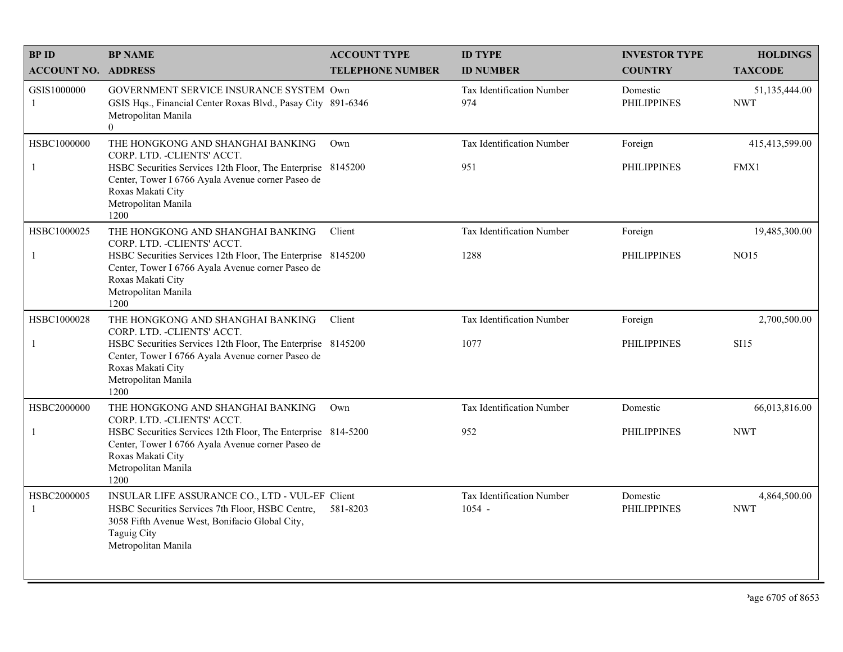| <b>BPID</b>                 | <b>BP NAME</b>                                                                                                                                                                                                                            | <b>ACCOUNT TYPE</b>     | <b>ID TYPE</b>                               | <b>INVESTOR TYPE</b>           | <b>HOLDINGS</b>              |
|-----------------------------|-------------------------------------------------------------------------------------------------------------------------------------------------------------------------------------------------------------------------------------------|-------------------------|----------------------------------------------|--------------------------------|------------------------------|
| <b>ACCOUNT NO. ADDRESS</b>  |                                                                                                                                                                                                                                           | <b>TELEPHONE NUMBER</b> | <b>ID NUMBER</b>                             | <b>COUNTRY</b>                 | <b>TAXCODE</b>               |
| GSIS1000000<br>-1           | GOVERNMENT SERVICE INSURANCE SYSTEM Own<br>GSIS Hqs., Financial Center Roxas Blvd., Pasay City 891-6346<br>Metropolitan Manila<br>$\overline{0}$                                                                                          |                         | <b>Tax Identification Number</b><br>974      | Domestic<br><b>PHILIPPINES</b> | 51,135,444.00<br><b>NWT</b>  |
| HSBC1000000<br>$\mathbf{1}$ | THE HONGKONG AND SHANGHAI BANKING<br>CORP. LTD. - CLIENTS' ACCT.<br>HSBC Securities Services 12th Floor, The Enterprise 8145200<br>Center, Tower I 6766 Ayala Avenue corner Paseo de<br>Roxas Makati City<br>Metropolitan Manila<br>1200  | Own                     | Tax Identification Number<br>951             | Foreign<br><b>PHILIPPINES</b>  | 415,413,599.00<br>FMX1       |
| HSBC1000025<br>-1           | THE HONGKONG AND SHANGHAI BANKING<br>CORP. LTD. - CLIENTS' ACCT.<br>HSBC Securities Services 12th Floor, The Enterprise 8145200<br>Center, Tower I 6766 Ayala Avenue corner Paseo de<br>Roxas Makati City<br>Metropolitan Manila<br>1200  | Client                  | Tax Identification Number<br>1288            | Foreign<br><b>PHILIPPINES</b>  | 19,485,300.00<br><b>NO15</b> |
| HSBC1000028<br>$\mathbf{1}$ | THE HONGKONG AND SHANGHAI BANKING<br>CORP. LTD. - CLIENTS' ACCT.<br>HSBC Securities Services 12th Floor, The Enterprise 8145200<br>Center, Tower I 6766 Ayala Avenue corner Paseo de<br>Roxas Makati City<br>Metropolitan Manila<br>1200  | Client                  | <b>Tax Identification Number</b><br>1077     | Foreign<br><b>PHILIPPINES</b>  | 2,700,500.00<br><b>SI15</b>  |
| HSBC2000000<br>$\mathbf{1}$ | THE HONGKONG AND SHANGHAI BANKING<br>CORP. LTD. - CLIENTS' ACCT.<br>HSBC Securities Services 12th Floor, The Enterprise 814-5200<br>Center, Tower I 6766 Ayala Avenue corner Paseo de<br>Roxas Makati City<br>Metropolitan Manila<br>1200 | Own                     | <b>Tax Identification Number</b><br>952      | Domestic<br><b>PHILIPPINES</b> | 66,013,816.00<br><b>NWT</b>  |
| HSBC2000005<br>$\mathbf{1}$ | INSULAR LIFE ASSURANCE CO., LTD - VUL-EF Client<br>HSBC Securities Services 7th Floor, HSBC Centre,<br>3058 Fifth Avenue West, Bonifacio Global City,<br><b>Taguig City</b><br>Metropolitan Manila                                        | 581-8203                | <b>Tax Identification Number</b><br>$1054 -$ | Domestic<br><b>PHILIPPINES</b> | 4,864,500.00<br><b>NWT</b>   |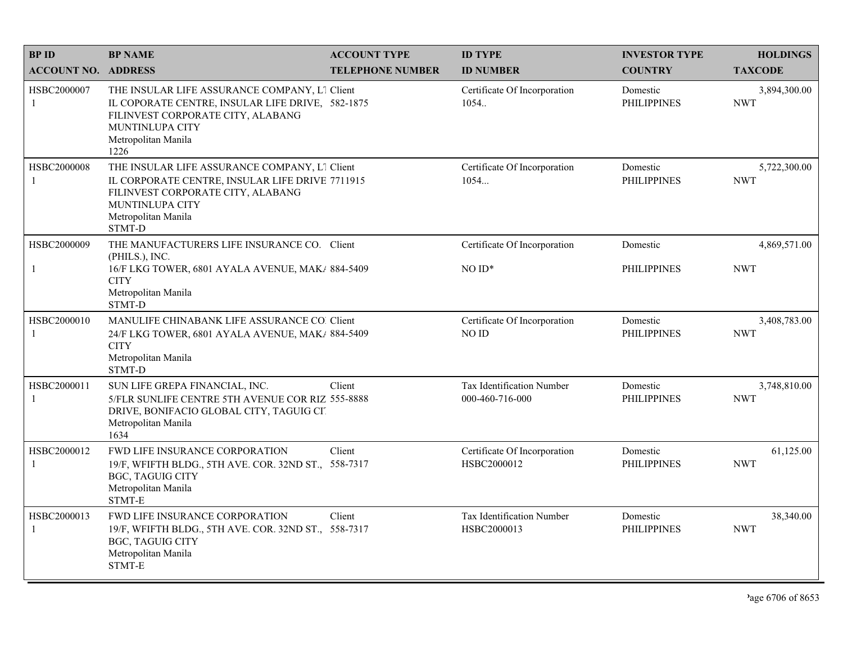| <b>BPID</b>                   | <b>BP NAME</b>                                                                                                                                                                                   | <b>ACCOUNT TYPE</b>     | <b>ID TYPE</b>                               | <b>INVESTOR TYPE</b>           | <b>HOLDINGS</b>            |
|-------------------------------|--------------------------------------------------------------------------------------------------------------------------------------------------------------------------------------------------|-------------------------|----------------------------------------------|--------------------------------|----------------------------|
| <b>ACCOUNT NO. ADDRESS</b>    |                                                                                                                                                                                                  | <b>TELEPHONE NUMBER</b> | <b>ID NUMBER</b>                             | <b>COUNTRY</b>                 | <b>TAXCODE</b>             |
| HSBC2000007<br>-1             | THE INSULAR LIFE ASSURANCE COMPANY, L1 Client<br>IL COPORATE CENTRE, INSULAR LIFE DRIVE, 582-1875<br>FILINVEST CORPORATE CITY, ALABANG<br><b>MUNTINLUPA CITY</b><br>Metropolitan Manila<br>1226  |                         | Certificate Of Incorporation<br>1054         | Domestic<br><b>PHILIPPINES</b> | 3,894,300.00<br><b>NWT</b> |
| HSBC2000008<br>$\overline{1}$ | THE INSULAR LIFE ASSURANCE COMPANY, L1 Client<br>IL CORPORATE CENTRE, INSULAR LIFE DRIVE 7711915<br>FILINVEST CORPORATE CITY, ALABANG<br><b>MUNTINLUPA CITY</b><br>Metropolitan Manila<br>STMT-D |                         | Certificate Of Incorporation<br>1054         | Domestic<br><b>PHILIPPINES</b> | 5,722,300.00<br><b>NWT</b> |
| HSBC2000009                   | THE MANUFACTURERS LIFE INSURANCE CO. Client                                                                                                                                                      |                         | Certificate Of Incorporation                 | Domestic                       | 4,869,571.00               |
| $\mathbf{1}$                  | (PHILS.), INC.<br>16/F LKG TOWER, 6801 AYALA AVENUE, MAK/ 884-5409<br><b>CITY</b><br>Metropolitan Manila<br>STMT-D                                                                               |                         | $NOID*$                                      | <b>PHILIPPINES</b>             | <b>NWT</b>                 |
| HSBC2000010<br>-1             | MANULIFE CHINABANK LIFE ASSURANCE CO. Client<br>24/F LKG TOWER, 6801 AYALA AVENUE, MAK/ 884-5409<br><b>CITY</b><br>Metropolitan Manila<br>STMT-D                                                 |                         | Certificate Of Incorporation<br>NO ID        | Domestic<br><b>PHILIPPINES</b> | 3,408,783.00<br><b>NWT</b> |
| HSBC2000011<br>$\mathbf{1}$   | SUN LIFE GREPA FINANCIAL, INC.<br>5/FLR SUNLIFE CENTRE 5TH AVENUE COR RIZ 555-8888<br>DRIVE, BONIFACIO GLOBAL CITY, TAGUIG CIT<br>Metropolitan Manila<br>1634                                    | Client                  | Tax Identification Number<br>000-460-716-000 | Domestic<br><b>PHILIPPINES</b> | 3,748,810.00<br><b>NWT</b> |
| HSBC2000012<br>-1             | FWD LIFE INSURANCE CORPORATION<br>19/F, WFIFTH BLDG., 5TH AVE. COR. 32ND ST., 558-7317<br><b>BGC, TAGUIG CITY</b><br>Metropolitan Manila<br>STMT-E                                               | Client                  | Certificate Of Incorporation<br>HSBC2000012  | Domestic<br><b>PHILIPPINES</b> | 61,125.00<br><b>NWT</b>    |
| HSBC2000013<br>$\mathbf{1}$   | <b>FWD LIFE INSURANCE CORPORATION</b><br>19/F, WFIFTH BLDG., 5TH AVE. COR. 32ND ST., 558-7317<br><b>BGC, TAGUIG CITY</b><br>Metropolitan Manila<br>STMT-E                                        | Client                  | Tax Identification Number<br>HSBC2000013     | Domestic<br><b>PHILIPPINES</b> | 38,340.00<br><b>NWT</b>    |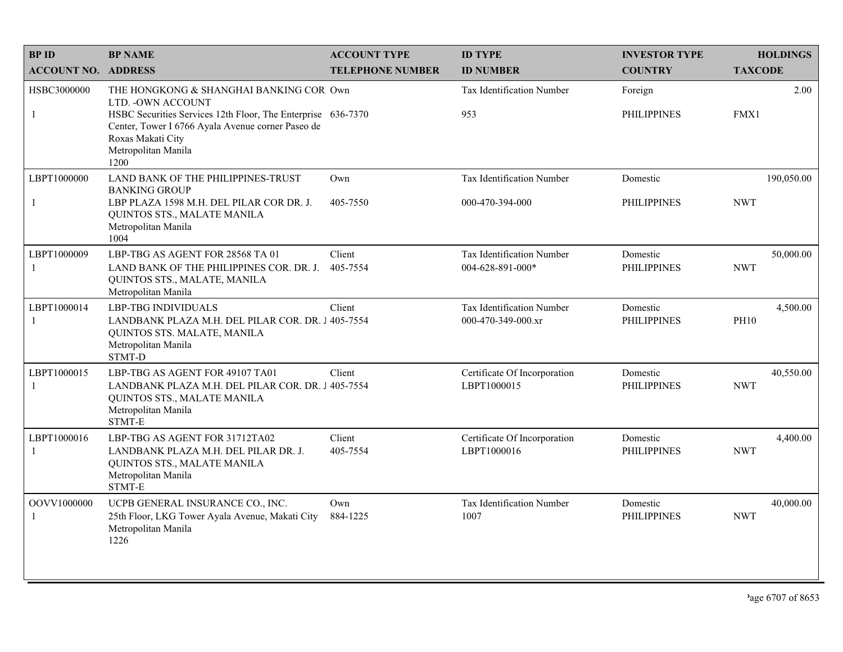| <b>BPID</b>                 | <b>BP NAME</b>                                                                                                                                                                                                                         | <b>ACCOUNT TYPE</b>     | <b>ID TYPE</b>                                  | <b>INVESTOR TYPE</b>           | <b>HOLDINGS</b>          |
|-----------------------------|----------------------------------------------------------------------------------------------------------------------------------------------------------------------------------------------------------------------------------------|-------------------------|-------------------------------------------------|--------------------------------|--------------------------|
| <b>ACCOUNT NO. ADDRESS</b>  |                                                                                                                                                                                                                                        | <b>TELEPHONE NUMBER</b> | <b>ID NUMBER</b>                                | <b>COUNTRY</b>                 | <b>TAXCODE</b>           |
| HSBC3000000<br>$\mathbf{1}$ | THE HONGKONG & SHANGHAI BANKING COR Own<br>LTD. - OWN ACCOUNT<br>HSBC Securities Services 12th Floor, The Enterprise 636-7370<br>Center, Tower I 6766 Ayala Avenue corner Paseo de<br>Roxas Makati City<br>Metropolitan Manila<br>1200 |                         | Tax Identification Number<br>953                | Foreign<br><b>PHILIPPINES</b>  | 2.00<br>FMX1             |
| LBPT1000000<br>$\mathbf{1}$ | LAND BANK OF THE PHILIPPINES-TRUST<br><b>BANKING GROUP</b><br>LBP PLAZA 1598 M.H. DEL PILAR COR DR. J.<br>QUINTOS STS., MALATE MANILA<br>Metropolitan Manila<br>1004                                                                   | Own<br>405-7550         | Tax Identification Number<br>000-470-394-000    | Domestic<br><b>PHILIPPINES</b> | 190,050.00<br><b>NWT</b> |
| LBPT1000009<br>-1           | LBP-TBG AS AGENT FOR 28568 TA 01<br>LAND BANK OF THE PHILIPPINES COR. DR. J.<br>QUINTOS STS., MALATE, MANILA<br>Metropolitan Manila                                                                                                    | Client<br>405-7554      | Tax Identification Number<br>004-628-891-000*   | Domestic<br><b>PHILIPPINES</b> | 50,000.00<br><b>NWT</b>  |
| LBPT1000014<br>-1           | <b>LBP-TBG INDIVIDUALS</b><br>LANDBANK PLAZA M.H. DEL PILAR COR. DR. J 405-7554<br>QUINTOS STS. MALATE, MANILA<br>Metropolitan Manila<br>STMT-D                                                                                        | Client                  | Tax Identification Number<br>000-470-349-000.xr | Domestic<br><b>PHILIPPINES</b> | 4,500.00<br><b>PH10</b>  |
| LBPT1000015<br>-1           | LBP-TBG AS AGENT FOR 49107 TA01<br>LANDBANK PLAZA M.H. DEL PILAR COR. DR. J 405-7554<br>QUINTOS STS., MALATE MANILA<br>Metropolitan Manila<br>STMT-E                                                                                   | Client                  | Certificate Of Incorporation<br>LBPT1000015     | Domestic<br><b>PHILIPPINES</b> | 40,550.00<br><b>NWT</b>  |
| LBPT1000016<br>$\mathbf{1}$ | LBP-TBG AS AGENT FOR 31712TA02<br>LANDBANK PLAZA M.H. DEL PILAR DR. J.<br>QUINTOS STS., MALATE MANILA<br>Metropolitan Manila<br>$\operatorname{STMT-E}$                                                                                | Client<br>405-7554      | Certificate Of Incorporation<br>LBPT1000016     | Domestic<br><b>PHILIPPINES</b> | 4,400.00<br><b>NWT</b>   |
| OOVV1000000<br>-1           | UCPB GENERAL INSURANCE CO., INC.<br>25th Floor, LKG Tower Ayala Avenue, Makati City<br>Metropolitan Manila<br>1226                                                                                                                     | Own<br>884-1225         | Tax Identification Number<br>1007               | Domestic<br><b>PHILIPPINES</b> | 40,000.00<br><b>NWT</b>  |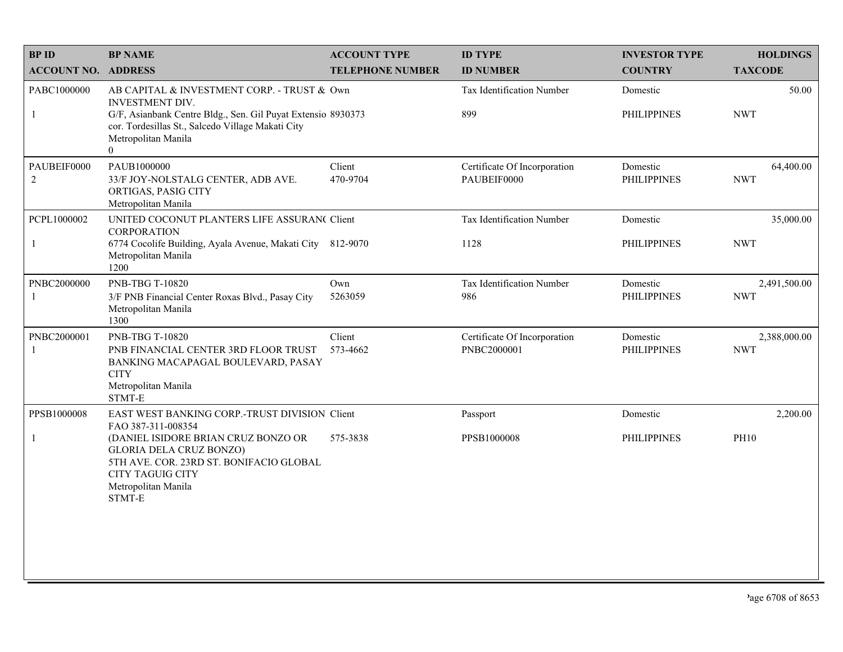| <b>BPID</b>                   | <b>BP NAME</b>                                                                                                                                                                                                               | <b>ACCOUNT TYPE</b>     | <b>ID TYPE</b>                              | <b>INVESTOR TYPE</b>           | <b>HOLDINGS</b>            |
|-------------------------------|------------------------------------------------------------------------------------------------------------------------------------------------------------------------------------------------------------------------------|-------------------------|---------------------------------------------|--------------------------------|----------------------------|
| <b>ACCOUNT NO. ADDRESS</b>    |                                                                                                                                                                                                                              | <b>TELEPHONE NUMBER</b> | <b>ID NUMBER</b>                            | <b>COUNTRY</b>                 | <b>TAXCODE</b>             |
| PABC1000000<br>$\mathbf{1}$   | AB CAPITAL & INVESTMENT CORP. - TRUST & Own<br>INVESTMENT DIV.<br>G/F, Asianbank Centre Bldg., Sen. Gil Puyat Extensio 8930373<br>cor. Tordesillas St., Salcedo Village Makati City<br>Metropolitan Manila<br>$\overline{0}$ |                         | Tax Identification Number<br>899            | Domestic<br><b>PHILIPPINES</b> | 50.00<br><b>NWT</b>        |
| PAUBEIF0000<br>$\overline{2}$ | PAUB1000000<br>33/F JOY-NOLSTALG CENTER, ADB AVE.<br>ORTIGAS, PASIG CITY<br>Metropolitan Manila                                                                                                                              | Client<br>470-9704      | Certificate Of Incorporation<br>PAUBEIF0000 | Domestic<br><b>PHILIPPINES</b> | 64,400.00<br><b>NWT</b>    |
| PCPL1000002<br>$\mathbf{1}$   | UNITED COCONUT PLANTERS LIFE ASSURAN( Client<br><b>CORPORATION</b><br>6774 Cocolife Building, Ayala Avenue, Makati City 812-9070<br>Metropolitan Manila<br>1200                                                              |                         | Tax Identification Number<br>1128           | Domestic<br><b>PHILIPPINES</b> | 35,000.00<br><b>NWT</b>    |
| PNBC2000000<br>$\mathbf{1}$   | PNB-TBG T-10820<br>3/F PNB Financial Center Roxas Blvd., Pasay City<br>Metropolitan Manila<br>1300                                                                                                                           | Own<br>5263059          | Tax Identification Number<br>986            | Domestic<br><b>PHILIPPINES</b> | 2,491,500.00<br><b>NWT</b> |
| PNBC2000001<br>1              | PNB-TBG T-10820<br>PNB FINANCIAL CENTER 3RD FLOOR TRUST<br>BANKING MACAPAGAL BOULEVARD, PASAY<br><b>CITY</b><br>Metropolitan Manila<br>STMT-E                                                                                | Client<br>573-4662      | Certificate Of Incorporation<br>PNBC2000001 | Domestic<br><b>PHILIPPINES</b> | 2,388,000.00<br><b>NWT</b> |
| PPSB1000008                   | EAST WEST BANKING CORP.-TRUST DIVISION Client<br>FAO 387-311-008354                                                                                                                                                          |                         | Passport                                    | Domestic                       | 2,200.00                   |
| $\mathbf{1}$                  | (DANIEL ISIDORE BRIAN CRUZ BONZO OR<br><b>GLORIA DELA CRUZ BONZO)</b><br>5TH AVE. COR. 23RD ST. BONIFACIO GLOBAL<br><b>CITY TAGUIG CITY</b><br>Metropolitan Manila<br>STMT-E                                                 | 575-3838                | PPSB1000008                                 | <b>PHILIPPINES</b>             | PH10                       |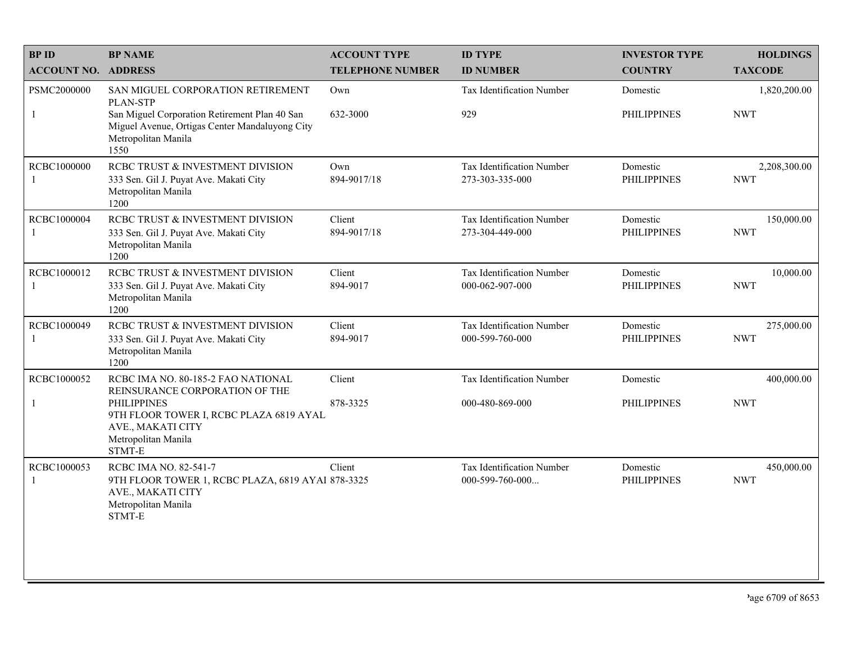| <b>BPID</b>                 | <b>BP NAME</b>                                                                                                                                                                              | <b>ACCOUNT TYPE</b>     | <b>ID TYPE</b>                               | <b>INVESTOR TYPE</b>           | <b>HOLDINGS</b>            |
|-----------------------------|---------------------------------------------------------------------------------------------------------------------------------------------------------------------------------------------|-------------------------|----------------------------------------------|--------------------------------|----------------------------|
| <b>ACCOUNT NO. ADDRESS</b>  |                                                                                                                                                                                             | <b>TELEPHONE NUMBER</b> | <b>ID NUMBER</b>                             | <b>COUNTRY</b>                 | <b>TAXCODE</b>             |
| PSMC2000000<br>$\mathbf{1}$ | SAN MIGUEL CORPORATION RETIREMENT<br><b>PLAN-STP</b><br>San Miguel Corporation Retirement Plan 40 San<br>Miguel Avenue, Ortigas Center Mandaluyong City<br>Metropolitan Manila<br>1550      | Own<br>632-3000         | <b>Tax Identification Number</b><br>929      | Domestic<br><b>PHILIPPINES</b> | 1,820,200.00<br><b>NWT</b> |
| RCBC1000000<br>-1           | RCBC TRUST & INVESTMENT DIVISION<br>333 Sen. Gil J. Puyat Ave. Makati City<br>Metropolitan Manila<br>1200                                                                                   | Own<br>894-9017/18      | Tax Identification Number<br>273-303-335-000 | Domestic<br><b>PHILIPPINES</b> | 2,208,300.00<br><b>NWT</b> |
| <b>RCBC1000004</b><br>-1    | RCBC TRUST & INVESTMENT DIVISION<br>333 Sen. Gil J. Puyat Ave. Makati City<br>Metropolitan Manila<br>1200                                                                                   | Client<br>894-9017/18   | Tax Identification Number<br>273-304-449-000 | Domestic<br><b>PHILIPPINES</b> | 150,000.00<br><b>NWT</b>   |
| RCBC1000012<br>-1           | RCBC TRUST & INVESTMENT DIVISION<br>333 Sen. Gil J. Puyat Ave. Makati City<br>Metropolitan Manila<br>1200                                                                                   | Client<br>894-9017      | Tax Identification Number<br>000-062-907-000 | Domestic<br><b>PHILIPPINES</b> | 10,000.00<br><b>NWT</b>    |
| RCBC1000049<br>-1           | RCBC TRUST & INVESTMENT DIVISION<br>333 Sen. Gil J. Puyat Ave. Makati City<br>Metropolitan Manila<br>1200                                                                                   | Client<br>894-9017      | Tax Identification Number<br>000-599-760-000 | Domestic<br><b>PHILIPPINES</b> | 275,000.00<br><b>NWT</b>   |
| RCBC1000052<br>$\mathbf{1}$ | RCBC IMA NO. 80-185-2 FAO NATIONAL<br>REINSURANCE CORPORATION OF THE<br><b>PHILIPPINES</b><br>9TH FLOOR TOWER I, RCBC PLAZA 6819 AYAL<br>AVE., MAKATI CITY<br>Metropolitan Manila<br>STMT-E | Client<br>878-3325      | Tax Identification Number<br>000-480-869-000 | Domestic<br><b>PHILIPPINES</b> | 400,000.00<br><b>NWT</b>   |
| RCBC1000053<br>-1           | RCBC IMA NO. 82-541-7<br>9TH FLOOR TOWER 1, RCBC PLAZA, 6819 AYAI 878-3325<br>AVE., MAKATI CITY<br>Metropolitan Manila<br>STMT-E                                                            | Client                  | Tax Identification Number<br>000-599-760-000 | Domestic<br><b>PHILIPPINES</b> | 450,000.00<br><b>NWT</b>   |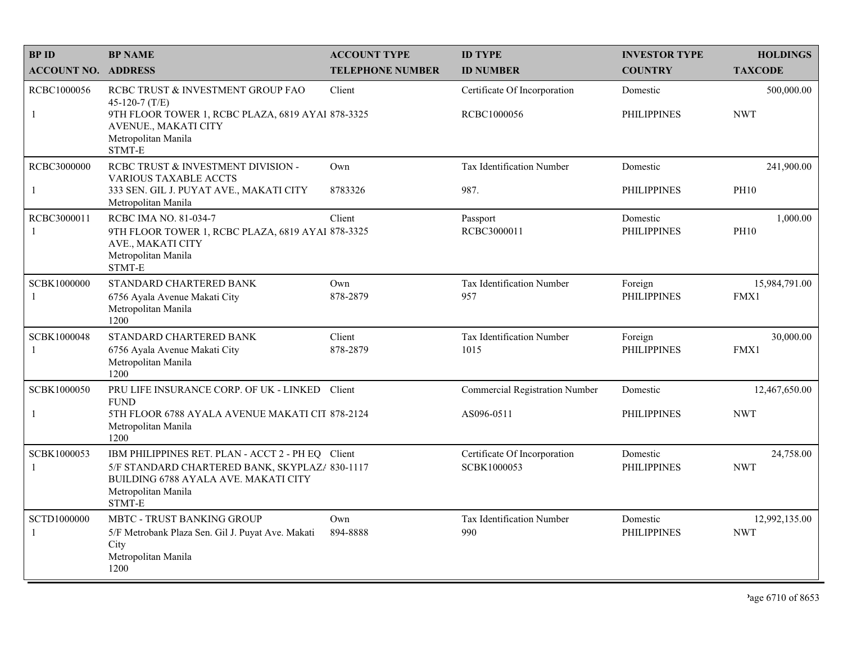| <b>BP ID</b>                       | <b>BP NAME</b>                                                                                                                                                               | <b>ACCOUNT TYPE</b>     | <b>ID TYPE</b>                              | <b>INVESTOR TYPE</b>           | <b>HOLDINGS</b>             |
|------------------------------------|------------------------------------------------------------------------------------------------------------------------------------------------------------------------------|-------------------------|---------------------------------------------|--------------------------------|-----------------------------|
| <b>ACCOUNT NO. ADDRESS</b>         |                                                                                                                                                                              | <b>TELEPHONE NUMBER</b> | <b>ID NUMBER</b>                            | <b>COUNTRY</b>                 | <b>TAXCODE</b>              |
| RCBC1000056<br>$\mathbf{1}$        | RCBC TRUST & INVESTMENT GROUP FAO<br>45-120-7 (T/E)<br>9TH FLOOR TOWER 1, RCBC PLAZA, 6819 AYAI 878-3325<br>AVENUE., MAKATI CITY<br>Metropolitan Manila<br>STMT-E            | Client                  | Certificate Of Incorporation<br>RCBC1000056 | Domestic<br><b>PHILIPPINES</b> | 500,000.00<br><b>NWT</b>    |
| RCBC3000000<br>$\mathbf{1}$        | RCBC TRUST & INVESTMENT DIVISION -<br><b>VARIOUS TAXABLE ACCTS</b><br>333 SEN. GIL J. PUYAT AVE., MAKATI CITY<br>Metropolitan Manila                                         | Own<br>8783326          | Tax Identification Number<br>987.           | Domestic<br><b>PHILIPPINES</b> | 241,900.00<br><b>PH10</b>   |
| RCBC3000011<br>-1                  | RCBC IMA NO. 81-034-7<br>9TH FLOOR TOWER 1, RCBC PLAZA, 6819 AYAI 878-3325<br>AVE., MAKATI CITY<br>Metropolitan Manila<br>STMT-E                                             | Client                  | Passport<br>RCBC3000011                     | Domestic<br><b>PHILIPPINES</b> | 1,000.00<br><b>PH10</b>     |
| SCBK1000000<br>-1                  | STANDARD CHARTERED BANK<br>6756 Ayala Avenue Makati City<br>Metropolitan Manila<br>1200                                                                                      | Own<br>878-2879         | Tax Identification Number<br>957            | Foreign<br><b>PHILIPPINES</b>  | 15,984,791.00<br>FMX1       |
| SCBK1000048<br>-1                  | STANDARD CHARTERED BANK<br>6756 Ayala Avenue Makati City<br>Metropolitan Manila<br>1200                                                                                      | Client<br>878-2879      | Tax Identification Number<br>1015           | Foreign<br><b>PHILIPPINES</b>  | 30,000.00<br>FMX1           |
| SCBK1000050                        | PRU LIFE INSURANCE CORP. OF UK - LINKED Client                                                                                                                               |                         | <b>Commercial Registration Number</b>       | Domestic                       | 12,467,650.00               |
| $\mathbf{1}$                       | <b>FUND</b><br>5TH FLOOR 6788 AYALA AVENUE MAKATI CIT 878-2124<br>Metropolitan Manila<br>1200                                                                                |                         | AS096-0511                                  | <b>PHILIPPINES</b>             | <b>NWT</b>                  |
| SCBK1000053<br>-1                  | IBM PHILIPPINES RET. PLAN - ACCT 2 - PH EQ Client<br>5/F STANDARD CHARTERED BANK, SKYPLAZ/ 830-1117<br>BUILDING 6788 AYALA AVE. MAKATI CITY<br>Metropolitan Manila<br>STMT-E |                         | Certificate Of Incorporation<br>SCBK1000053 | Domestic<br><b>PHILIPPINES</b> | 24,758.00<br><b>NWT</b>     |
| <b>SCTD1000000</b><br>$\mathbf{1}$ | <b>MBTC - TRUST BANKING GROUP</b><br>5/F Metrobank Plaza Sen. Gil J. Puyat Ave. Makati<br>City<br>Metropolitan Manila<br>1200                                                | Own<br>894-8888         | Tax Identification Number<br>990            | Domestic<br><b>PHILIPPINES</b> | 12,992,135.00<br><b>NWT</b> |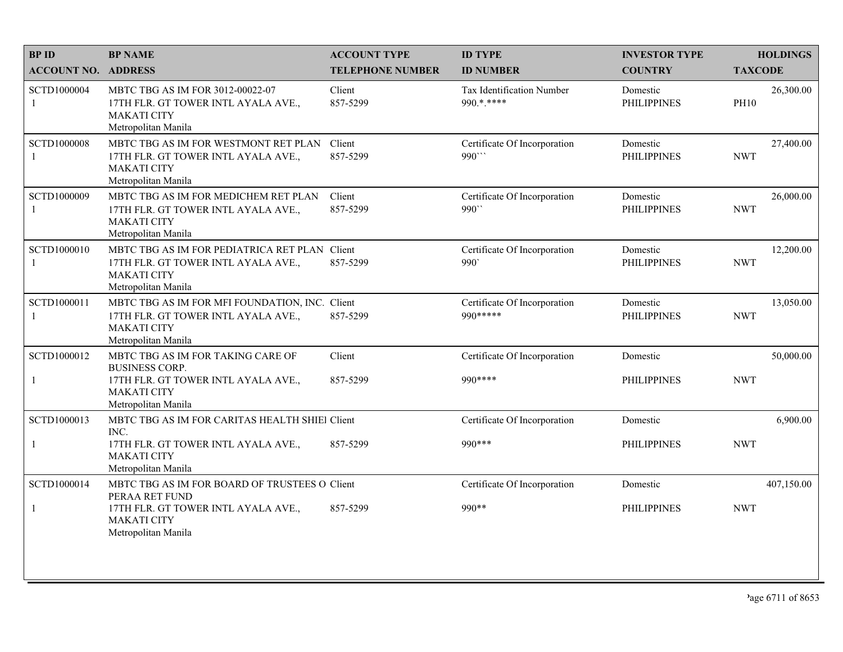| <b>BPID</b>                | <b>BP NAME</b>                                                                                                                     | <b>ACCOUNT TYPE</b>     | <b>ID TYPE</b>                            | <b>INVESTOR TYPE</b>           | <b>HOLDINGS</b>          |
|----------------------------|------------------------------------------------------------------------------------------------------------------------------------|-------------------------|-------------------------------------------|--------------------------------|--------------------------|
| <b>ACCOUNT NO. ADDRESS</b> |                                                                                                                                    | <b>TELEPHONE NUMBER</b> | <b>ID NUMBER</b>                          | <b>COUNTRY</b>                 | <b>TAXCODE</b>           |
| SCTD1000004<br>1           | MBTC TBG AS IM FOR 3012-00022-07<br>17TH FLR. GT TOWER INTL AYALA AVE.,<br><b>MAKATI CITY</b><br>Metropolitan Manila               | Client<br>857-5299      | Tax Identification Number<br>990.*.****   | Domestic<br><b>PHILIPPINES</b> | 26,300.00<br><b>PH10</b> |
| SCTD1000008                | MBTC TBG AS IM FOR WESTMONT RET PLAN<br>17TH FLR. GT TOWER INTL AYALA AVE.,<br><b>MAKATI CITY</b><br>Metropolitan Manila           | Client<br>857-5299      | Certificate Of Incorporation<br>990"      | Domestic<br><b>PHILIPPINES</b> | 27,400.00<br><b>NWT</b>  |
| SCTD1000009<br>-1          | MBTC TBG AS IM FOR MEDICHEM RET PLAN<br>17TH FLR. GT TOWER INTL AYALA AVE.,<br><b>MAKATI CITY</b><br>Metropolitan Manila           | Client<br>857-5299      | Certificate Of Incorporation<br>990"      | Domestic<br><b>PHILIPPINES</b> | 26,000.00<br><b>NWT</b>  |
| SCTD1000010                | MBTC TBG AS IM FOR PEDIATRICA RET PLAN Client<br>17TH FLR. GT TOWER INTL AYALA AVE.,<br><b>MAKATI CITY</b><br>Metropolitan Manila  | 857-5299                | Certificate Of Incorporation<br>990       | Domestic<br><b>PHILIPPINES</b> | 12,200.00<br><b>NWT</b>  |
| SCTD1000011<br>1           | MBTC TBG AS IM FOR MFI FOUNDATION, INC. Client<br>17TH FLR. GT TOWER INTL AYALA AVE.,<br><b>MAKATI CITY</b><br>Metropolitan Manila | 857-5299                | Certificate Of Incorporation<br>990 ***** | Domestic<br><b>PHILIPPINES</b> | 13,050.00<br><b>NWT</b>  |
| SCTD1000012                | MBTC TBG AS IM FOR TAKING CARE OF<br><b>BUSINESS CORP.</b>                                                                         | Client                  | Certificate Of Incorporation              | Domestic                       | 50,000.00                |
| 1                          | 17TH FLR. GT TOWER INTL AYALA AVE.,<br><b>MAKATI CITY</b><br>Metropolitan Manila                                                   | 857-5299                | 990 ****                                  | <b>PHILIPPINES</b>             | <b>NWT</b>               |
| SCTD1000013                | MBTC TBG AS IM FOR CARITAS HEALTH SHIEl Client<br>INC.                                                                             |                         | Certificate Of Incorporation              | Domestic                       | 6,900.00                 |
| $\mathbf{1}$               | 17TH FLR. GT TOWER INTL AYALA AVE.,<br><b>MAKATI CITY</b><br>Metropolitan Manila                                                   | 857-5299                | 990 ***                                   | <b>PHILIPPINES</b>             | <b>NWT</b>               |
| SCTD1000014                | MBTC TBG AS IM FOR BOARD OF TRUSTEES O Client<br>PERAA RET FUND                                                                    |                         | Certificate Of Incorporation              | Domestic                       | 407,150.00               |
|                            | 17TH FLR. GT TOWER INTL AYALA AVE.,<br><b>MAKATI CITY</b><br>Metropolitan Manila                                                   | 857-5299                | 990**                                     | <b>PHILIPPINES</b>             | <b>NWT</b>               |
|                            |                                                                                                                                    |                         |                                           |                                |                          |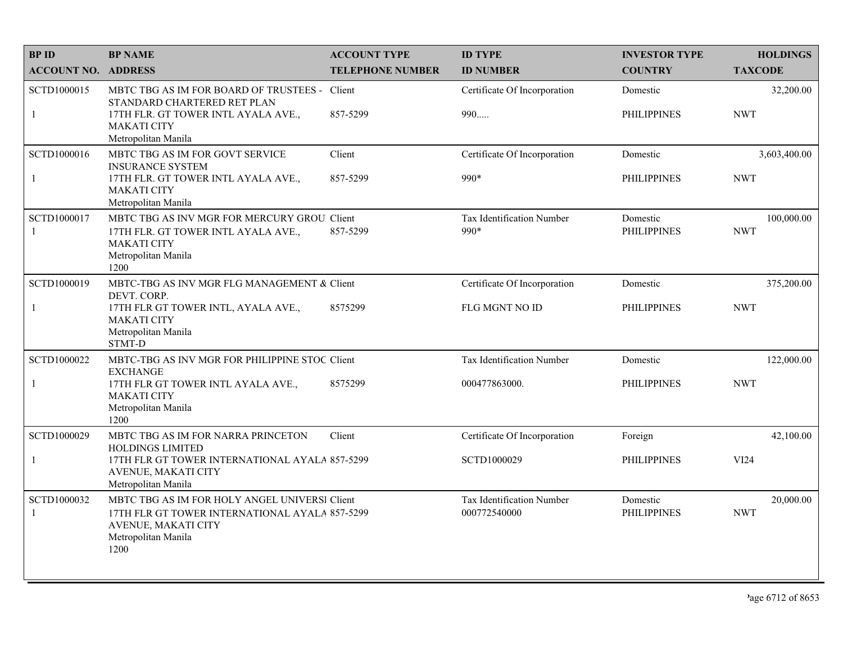| <b>BPID</b>                   | <b>BP NAME</b>                                                                                                                                        | <b>ACCOUNT TYPE</b>     | <b>ID TYPE</b>                            | <b>INVESTOR TYPE</b>           | <b>HOLDINGS</b>          |
|-------------------------------|-------------------------------------------------------------------------------------------------------------------------------------------------------|-------------------------|-------------------------------------------|--------------------------------|--------------------------|
| <b>ACCOUNT NO. ADDRESS</b>    |                                                                                                                                                       | <b>TELEPHONE NUMBER</b> | <b>ID NUMBER</b>                          | <b>COUNTRY</b>                 | <b>TAXCODE</b>           |
| SCTD1000015                   | <b>MBTC TBG AS IM FOR BOARD OF TRUSTEES -</b><br>STANDARD CHARTERED RET PLAN                                                                          | Client                  | Certificate Of Incorporation              | Domestic                       | 32,200.00                |
| $\mathbf{1}$                  | 17TH FLR. GT TOWER INTL AYALA AVE.,<br><b>MAKATI CITY</b><br>Metropolitan Manila                                                                      | 857-5299                | 990                                       | <b>PHILIPPINES</b>             | <b>NWT</b>               |
| SCTD1000016                   | MBTC TBG AS IM FOR GOVT SERVICE<br><b>INSURANCE SYSTEM</b>                                                                                            | Client                  | Certificate Of Incorporation              | Domestic                       | 3,603,400.00             |
| $\mathbf{1}$                  | 17TH FLR. GT TOWER INTL AYALA AVE.,<br><b>MAKATI CITY</b><br>Metropolitan Manila                                                                      | 857-5299                | 990*                                      | <b>PHILIPPINES</b>             | <b>NWT</b>               |
| SCTD1000017<br>$\overline{1}$ | MBTC TBG AS INV MGR FOR MERCURY GROU. Client<br>17TH FLR. GT TOWER INTL AYALA AVE.,<br><b>MAKATI CITY</b><br>Metropolitan Manila<br>1200              | 857-5299                | Tax Identification Number<br>990*         | Domestic<br><b>PHILIPPINES</b> | 100,000.00<br><b>NWT</b> |
| SCTD1000019                   | MBTC-TBG AS INV MGR FLG MANAGEMENT & Client<br>DEVT. CORP.                                                                                            |                         | Certificate Of Incorporation              | Domestic                       | 375,200.00               |
| 1                             | 17TH FLR GT TOWER INTL, AYALA AVE.,<br><b>MAKATI CITY</b><br>Metropolitan Manila<br>STMT-D                                                            | 8575299                 | <b>FLG MGNT NO ID</b>                     | <b>PHILIPPINES</b>             | <b>NWT</b>               |
| SCTD1000022                   | MBTC-TBG AS INV MGR FOR PHILIPPINE STOC Client<br><b>EXCHANGE</b>                                                                                     |                         | Tax Identification Number                 | Domestic                       | 122,000.00               |
| $\mathbf{1}$                  | 17TH FLR GT TOWER INTL AYALA AVE.,<br><b>MAKATI CITY</b><br>Metropolitan Manila<br>1200                                                               | 8575299                 | 000477863000.                             | <b>PHILIPPINES</b>             | <b>NWT</b>               |
| SCTD1000029                   | MBTC TBG AS IM FOR NARRA PRINCETON<br><b>HOLDINGS LIMITED</b>                                                                                         | Client                  | Certificate Of Incorporation              | Foreign                        | 42,100.00                |
| $\mathbf{1}$                  | 17TH FLR GT TOWER INTERNATIONAL AYALA 857-5299<br>AVENUE, MAKATI CITY<br>Metropolitan Manila                                                          |                         | SCTD1000029                               | <b>PHILIPPINES</b>             | VI24                     |
| SCTD1000032<br>$\overline{1}$ | MBTC TBG AS IM FOR HOLY ANGEL UNIVERSI Client<br>17TH FLR GT TOWER INTERNATIONAL AYALA 857-5299<br>AVENUE, MAKATI CITY<br>Metropolitan Manila<br>1200 |                         | Tax Identification Number<br>000772540000 | Domestic<br><b>PHILIPPINES</b> | 20,000.00<br><b>NWT</b>  |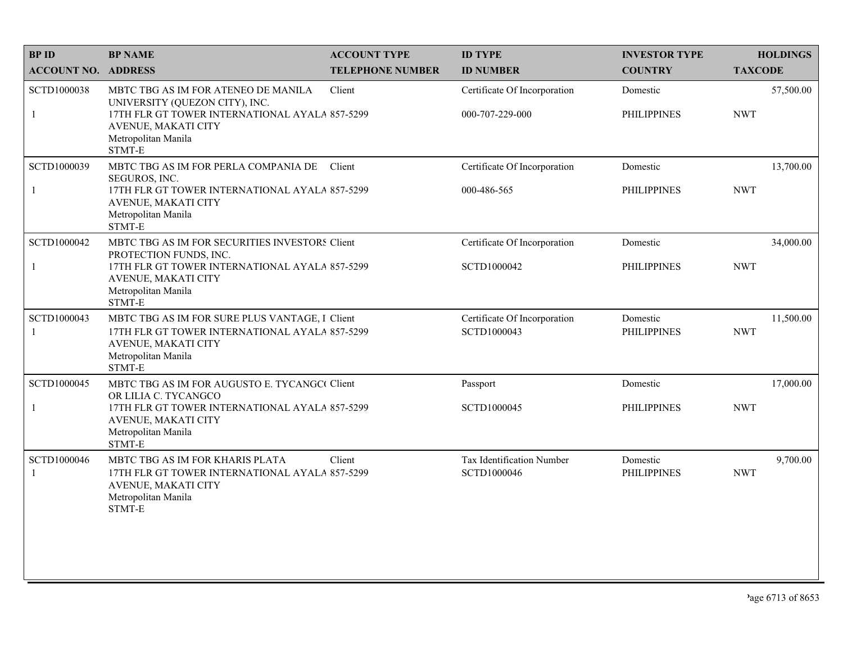| <b>BPID</b>                | <b>BP NAME</b>                                                                                                                                                                     | <b>ACCOUNT TYPE</b>     | <b>ID TYPE</b>                                  | <b>INVESTOR TYPE</b>           | <b>HOLDINGS</b>         |
|----------------------------|------------------------------------------------------------------------------------------------------------------------------------------------------------------------------------|-------------------------|-------------------------------------------------|--------------------------------|-------------------------|
| <b>ACCOUNT NO. ADDRESS</b> |                                                                                                                                                                                    | <b>TELEPHONE NUMBER</b> | <b>ID NUMBER</b>                                | <b>COUNTRY</b>                 | <b>TAXCODE</b>          |
| SCTD1000038<br>1           | MBTC TBG AS IM FOR ATENEO DE MANILA<br>UNIVERSITY (QUEZON CITY), INC.<br>17TH FLR GT TOWER INTERNATIONAL AYALA 857-5299<br>AVENUE, MAKATI CITY<br>Metropolitan Manila<br>STMT-E    | Client                  | Certificate Of Incorporation<br>000-707-229-000 | Domestic<br><b>PHILIPPINES</b> | 57,500.00<br><b>NWT</b> |
| SCTD1000039<br>1           | MBTC TBG AS IM FOR PERLA COMPANIA DE<br>SEGUROS, INC.<br>17TH FLR GT TOWER INTERNATIONAL AYALA 857-5299<br>AVENUE, MAKATI CITY<br>Metropolitan Manila<br>STMT-E                    | Client                  | Certificate Of Incorporation<br>000-486-565     | Domestic<br><b>PHILIPPINES</b> | 13,700.00<br><b>NWT</b> |
| SCTD1000042<br>-1          | MBTC TBG AS IM FOR SECURITIES INVESTORS Client<br>PROTECTION FUNDS, INC.<br>17TH FLR GT TOWER INTERNATIONAL AYALA 857-5299<br>AVENUE, MAKATI CITY<br>Metropolitan Manila<br>STMT-E |                         | Certificate Of Incorporation<br>SCTD1000042     | Domestic<br><b>PHILIPPINES</b> | 34,000.00<br><b>NWT</b> |
| SCTD1000043<br>1           | MBTC TBG AS IM FOR SURE PLUS VANTAGE, I Client<br>17TH FLR GT TOWER INTERNATIONAL AYALA 857-5299<br>AVENUE, MAKATI CITY<br>Metropolitan Manila<br>STMT-E                           |                         | Certificate Of Incorporation<br>SCTD1000043     | Domestic<br><b>PHILIPPINES</b> | 11,500.00<br><b>NWT</b> |
| SCTD1000045                | MBTC TBG AS IM FOR AUGUSTO E. TYCANGC Client<br>OR LILIA C. TYCANGCO                                                                                                               |                         | Passport                                        | Domestic                       | 17,000.00               |
|                            | 17TH FLR GT TOWER INTERNATIONAL AYALA 857-5299<br>AVENUE, MAKATI CITY<br>Metropolitan Manila<br>STMT-E                                                                             |                         | SCTD1000045                                     | <b>PHILIPPINES</b>             | <b>NWT</b>              |
| SCTD1000046                | MBTC TBG AS IM FOR KHARIS PLATA<br>17TH FLR GT TOWER INTERNATIONAL AYALA 857-5299<br>AVENUE, MAKATI CITY<br>Metropolitan Manila<br>STMT-E                                          | Client                  | Tax Identification Number<br>SCTD1000046        | Domestic<br><b>PHILIPPINES</b> | 9,700.00<br><b>NWT</b>  |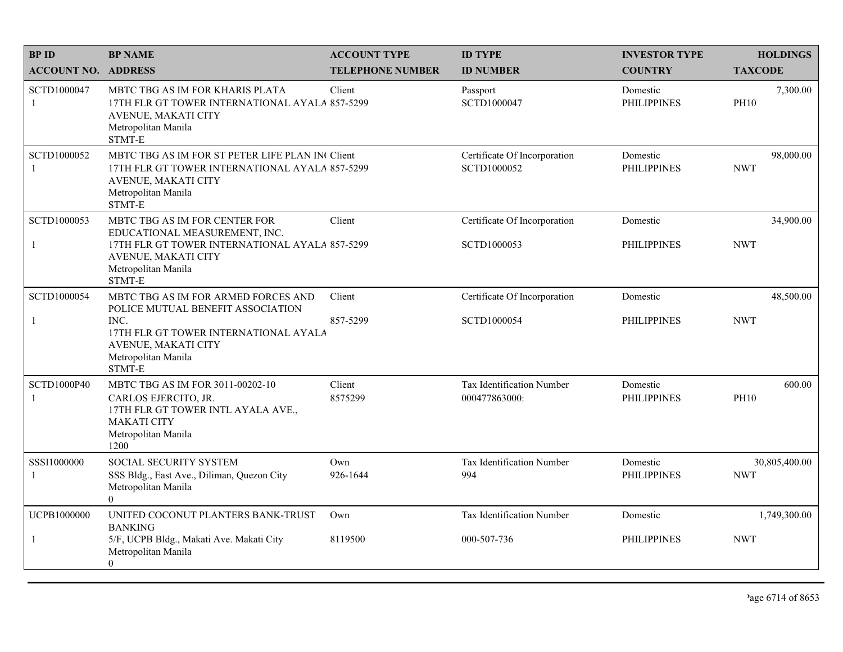| <b>BPID</b>                          | <b>BP NAME</b>                                                                                                                                            | <b>ACCOUNT TYPE</b>     | <b>ID TYPE</b>                              | <b>INVESTOR TYPE</b>           | <b>HOLDINGS</b>             |
|--------------------------------------|-----------------------------------------------------------------------------------------------------------------------------------------------------------|-------------------------|---------------------------------------------|--------------------------------|-----------------------------|
| <b>ACCOUNT NO. ADDRESS</b>           |                                                                                                                                                           | <b>TELEPHONE NUMBER</b> | <b>ID NUMBER</b>                            | <b>COUNTRY</b>                 | <b>TAXCODE</b>              |
| SCTD1000047<br>-1                    | MBTC TBG AS IM FOR KHARIS PLATA<br>17TH FLR GT TOWER INTERNATIONAL AYALA 857-5299<br>AVENUE, MAKATI CITY<br>Metropolitan Manila<br>STMT-E                 | Client                  | Passport<br>SCTD1000047                     | Domestic<br><b>PHILIPPINES</b> | 7,300.00<br><b>PH10</b>     |
| SCTD1000052<br>$\mathbf{1}$          | MBTC TBG AS IM FOR ST PETER LIFE PLAN IN Client<br>17TH FLR GT TOWER INTERNATIONAL AYALA 857-5299<br>AVENUE, MAKATI CITY<br>Metropolitan Manila<br>STMT-E |                         | Certificate Of Incorporation<br>SCTD1000052 | Domestic<br><b>PHILIPPINES</b> | 98,000.00<br><b>NWT</b>     |
| SCTD1000053                          | MBTC TBG AS IM FOR CENTER FOR<br>EDUCATIONAL MEASUREMENT, INC.                                                                                            | Client                  | Certificate Of Incorporation                | Domestic                       | 34,900.00                   |
| $\mathbf{1}$                         | 17TH FLR GT TOWER INTERNATIONAL AYALA 857-5299<br>AVENUE, MAKATI CITY<br>Metropolitan Manila<br>STMT-E                                                    |                         | SCTD1000053                                 | <b>PHILIPPINES</b>             | <b>NWT</b>                  |
| SCTD1000054                          | MBTC TBG AS IM FOR ARMED FORCES AND<br>POLICE MUTUAL BENEFIT ASSOCIATION                                                                                  | Client                  | Certificate Of Incorporation                | Domestic                       | 48,500.00                   |
| -1                                   | INC.<br>17TH FLR GT TOWER INTERNATIONAL AYALA<br>AVENUE, MAKATI CITY<br>Metropolitan Manila<br>STMT-E                                                     | 857-5299                | SCTD1000054                                 | <b>PHILIPPINES</b>             | <b>NWT</b>                  |
| <b>SCTD1000P40</b><br>$\overline{1}$ | MBTC TBG AS IM FOR 3011-00202-10<br>CARLOS EJERCITO, JR.<br>17TH FLR GT TOWER INTL AYALA AVE.,<br><b>MAKATI CITY</b><br>Metropolitan Manila<br>1200       | Client<br>8575299       | Tax Identification Number<br>000477863000:  | Domestic<br><b>PHILIPPINES</b> | 600.00<br><b>PH10</b>       |
| SSSI1000000<br>-1                    | SOCIAL SECURITY SYSTEM<br>SSS Bldg., East Ave., Diliman, Quezon City<br>Metropolitan Manila<br>$\theta$                                                   | Own<br>926-1644         | Tax Identification Number<br>994            | Domestic<br><b>PHILIPPINES</b> | 30,805,400.00<br><b>NWT</b> |
| UCPB1000000                          | UNITED COCONUT PLANTERS BANK-TRUST<br><b>BANKING</b>                                                                                                      | Own                     | Tax Identification Number                   | Domestic                       | 1,749,300.00                |
| $\mathbf{1}$                         | 5/F, UCPB Bldg., Makati Ave. Makati City<br>Metropolitan Manila<br>$\Omega$                                                                               | 8119500                 | 000-507-736                                 | <b>PHILIPPINES</b>             | <b>NWT</b>                  |